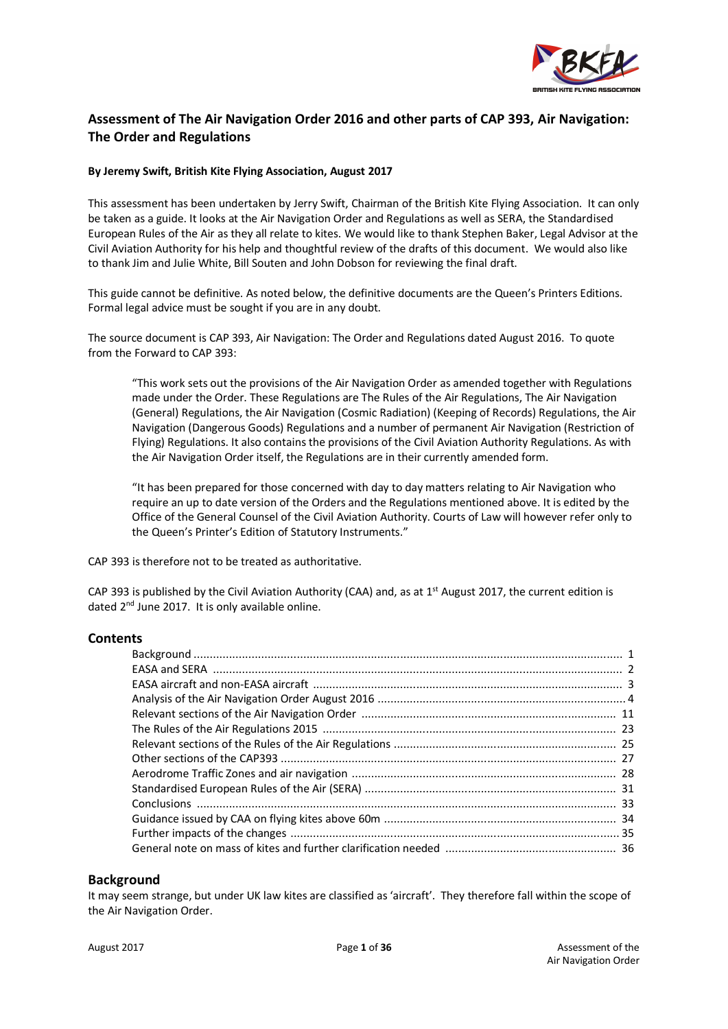

# **Assessment of The Air Navigation Order 2016 and other parts of CAP 393, Air Navigation: The Order and Regulations**

### **By Jeremy Swift, British Kite Flying Association, August 2017**

This assessment has been undertaken by Jerry Swift, Chairman of the British Kite Flying Association. It can only be taken as a guide. It looks at the Air Navigation Order and Regulations as well as SERA, the Standardised European Rules of the Air as they all relate to kites. We would like to thank Stephen Baker, Legal Advisor at the Civil Aviation Authority for his help and thoughtful review of the drafts of this document. We would also like to thank Jim and Julie White, Bill Souten and John Dobson for reviewing the final draft.

This guide cannot be definitive. As noted below, the definitive documents are the Queen's Printers Editions. Formal legal advice must be sought if you are in any doubt.

The source document is CAP 393, Air Navigation: The Order and Regulations dated August 2016. To quote from the Forward to CAP 393:

"This work sets out the provisions of the Air Navigation Order as amended together with Regulations made under the Order. These Regulations are The Rules of the Air Regulations, The Air Navigation (General) Regulations, the Air Navigation (Cosmic Radiation) (Keeping of Records) Regulations, the Air Navigation (Dangerous Goods) Regulations and a number of permanent Air Navigation (Restriction of Flying) Regulations. It also contains the provisions of the Civil Aviation Authority Regulations. As with the Air Navigation Order itself, the Regulations are in their currently amended form.

"It has been prepared for those concerned with day to day matters relating to Air Navigation who require an up to date version of the Orders and the Regulations mentioned above. It is edited by the Office of the General Counsel of the Civil Aviation Authority. Courts of Law will however refer only to the Queen's Printer's Edition of Statutory Instruments."

CAP 393 is therefore not to be treated as authoritative.

CAP 393 is published by the Civil Aviation Authority (CAA) and, as at  $1<sup>st</sup>$  August 2017, the current edition is dated 2<sup>nd</sup> June 2017. It is only available online.

#### **Contents**

#### **Background**

It may seem strange, but under UK law kites are classified as 'aircraft'. They therefore fall within the scope of the Air Navigation Order.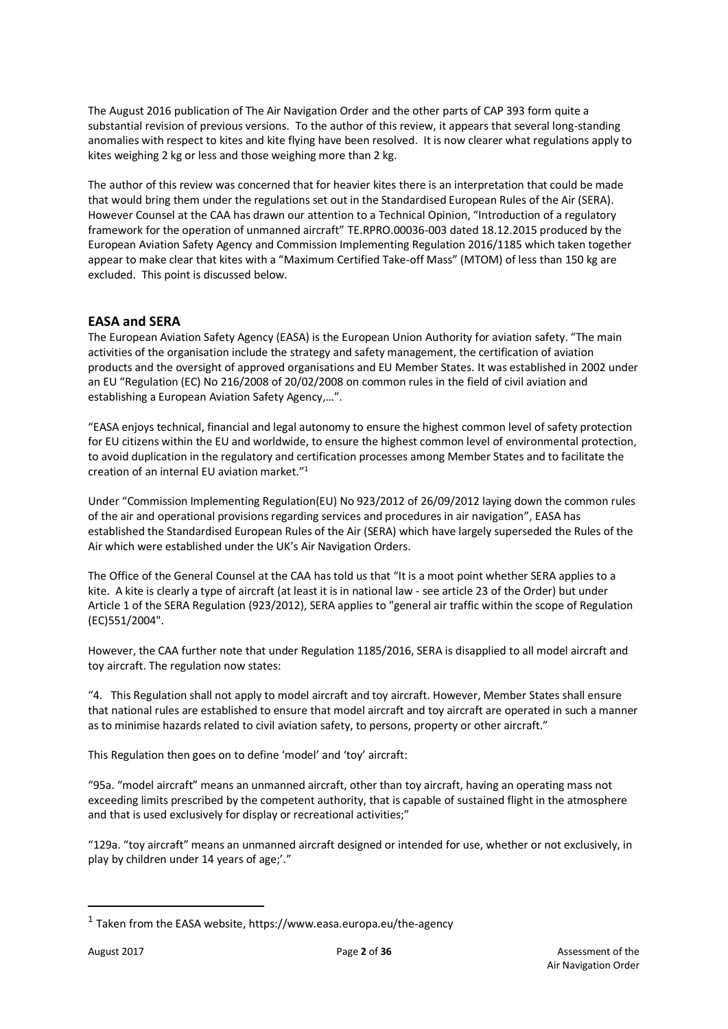The August 2016 publication of The Air Navigation Order and the other parts of CAP 393 form quite a substantial revision of previous versions. To the author of this review, it appears that several long-standing anomalies with respect to kites and kite flying have been resolved. It is now clearer what regulations apply to kites weighing 2 kg or less and those weighing more than 2 kg.

The author of this review was concerned that for heavier kites there is an interpretation that could be made that would bring them under the regulations set out in the Standardised European Rules of the Air (SERA). However Counsel at the CAA has drawn our attention to a Technical Opinion, "Introduction of a regulatory framework for the operation of unmanned aircraft" TE.RPRO.00036-003 dated 18.12.2015 produced by the European Aviation Safety Agency and Commission Implementing Regulation 2016/1185 which taken together appear to make clear that kites with a "Maximum Certified Take-off Mass" (MTOM) of less than 150 kg are excluded. This point is discussed below.

# **EASA and SERA**

The European Aviation Safety Agency (EASA) is the European Union Authority for aviation safety. "The main activities of the organisation include the strategy and safety management, the certification of aviation products and the oversight of approved organisations and EU Member States. It was established in 2002 under an EU "Regulation (EC) No 216/2008 of 20/02/2008 on common rules in the field of civil aviation and establishing a European Aviation Safety Agency,…".

"EASA enjoys technical, financial and legal autonomy to ensure the highest common level of safety protection for EU citizens within the EU and worldwide, to ensure the highest common level of environmental protection, to avoid duplication in the regulatory and certification processes among Member States and to facilitate the creation of an internal EU aviation market." 1

Under "Commission Implementing Regulation(EU) No 923/2012 of 26/09/2012 laying down the common rules of the air and operational provisions regarding services and procedures in air navigation", EASA has established the Standardised European Rules of the Air (SERA) which have largely superseded the Rules of the Air which were established under the UK's Air Navigation Orders.

The Office of the General Counsel at the CAA has told us that "It is a moot point whether SERA applies to a kite. A kite is clearly a type of aircraft (at least it is in national law - see article 23 of the Order) but under Article 1 of the SERA Regulation (923/2012), SERA applies to "general air traffic within the scope of Regulation (EC)551/2004".

However, the CAA further note that under Regulation 1185/2016, SERA is disapplied to all model aircraft and toy aircraft. The regulation now states:

"4. This Regulation shall not apply to model aircraft and toy aircraft. However, Member States shall ensure that national rules are established to ensure that model aircraft and toy aircraft are operated in such a manner as to minimise hazards related to civil aviation safety, to persons, property or other aircraft."

This Regulation then goes on to define 'model' and 'toy' aircraft:

"95a. "model aircraft" means an unmanned aircraft, other than toy aircraft, having an operating mass not exceeding limits prescribed by the competent authority, that is capable of sustained flight in the atmosphere and that is used exclusively for display or recreational activities;"

"129a. "toy aircraft" means an unmanned aircraft designed or intended for use, whether or not exclusively, in play by children under 14 years of age;'."

-

<sup>&</sup>lt;sup>1</sup> Taken from the EASA website, https://www.easa.europa.eu/the-agency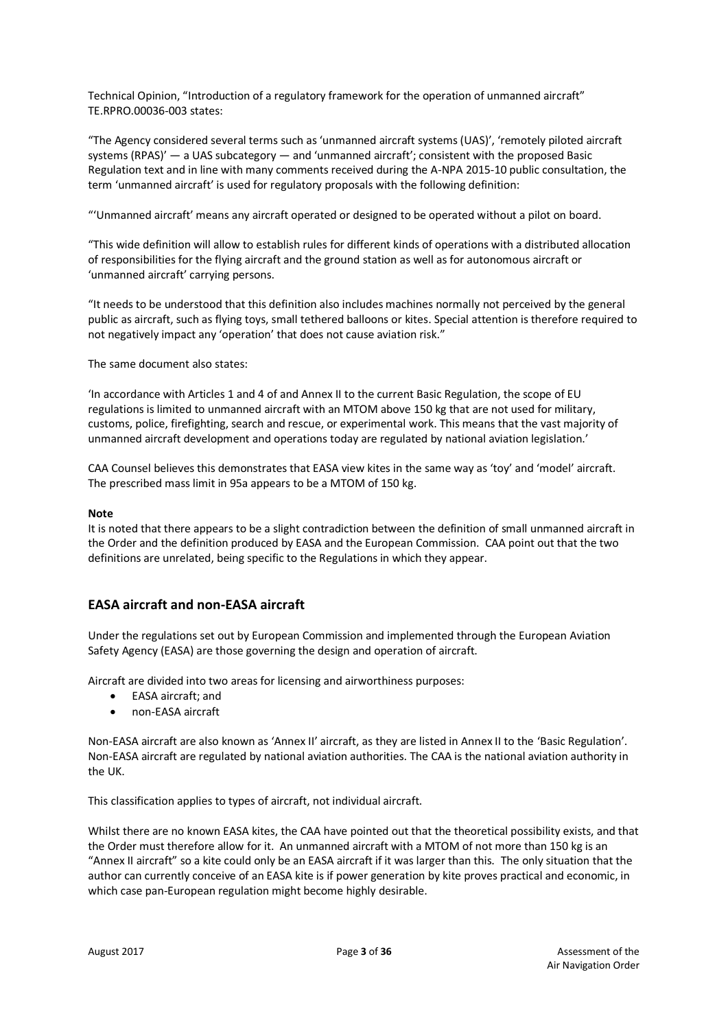Technical Opinion, "Introduction of a regulatory framework for the operation of unmanned aircraft" TE.RPRO.00036-003 states:

"The Agency considered several terms such as 'unmanned aircraft systems (UAS)', 'remotely piloted aircraft systems (RPAS)' — a UAS subcategory — and 'unmanned aircraft'; consistent with the proposed Basic Regulation text and in line with many comments received during the A-NPA 2015-10 public consultation, the term 'unmanned aircraft' is used for regulatory proposals with the following definition:

"'Unmanned aircraft' means any aircraft operated or designed to be operated without a pilot on board.

"This wide definition will allow to establish rules for different kinds of operations with a distributed allocation of responsibilities for the flying aircraft and the ground station as well as for autonomous aircraft or 'unmanned aircraft' carrying persons.

"It needs to be understood that this definition also includes machines normally not perceived by the general public as aircraft, such as flying toys, small tethered balloons or kites. Special attention is therefore required to not negatively impact any 'operation' that does not cause aviation risk."

The same document also states:

'In accordance with Articles 1 and 4 of and Annex II to the current Basic Regulation, the scope of EU regulations is limited to unmanned aircraft with an MTOM above 150 kg that are not used for military, customs, police, firefighting, search and rescue, or experimental work. This means that the vast majority of unmanned aircraft development and operations today are regulated by national aviation legislation.'

CAA Counsel believes this demonstrates that EASA view kites in the same way as 'toy' and 'model' aircraft. The prescribed mass limit in 95a appears to be a MTOM of 150 kg.

#### **Note**

It is noted that there appears to be a slight contradiction between the definition of small unmanned aircraft in the Order and the definition produced by EASA and the European Commission. CAA point out that the two definitions are unrelated, being specific to the Regulations in which they appear.

# **EASA aircraft and non-EASA aircraft**

Under the regulations set out by European Commission and implemented through the European Aviation Safety Agency (EASA) are those governing the design and operation of aircraft.

Aircraft are divided into two areas for licensing and airworthiness purposes:

- EASA aircraft; and
- non-EASA aircraft

Non-EASA aircraft are also known as 'Annex II' aircraft, as they are listed in Annex II to the 'Basic Regulation'. Non-EASA aircraft are regulated by national aviation authorities. The CAA is the national aviation authority in the UK.

This classification applies to types of aircraft, not individual aircraft.

Whilst there are no known EASA kites, the CAA have pointed out that the theoretical possibility exists, and that the Order must therefore allow for it. An unmanned aircraft with a MTOM of not more than 150 kg is an "Annex II aircraft" so a kite could only be an EASA aircraft if it was larger than this. The only situation that the author can currently conceive of an EASA kite is if power generation by kite proves practical and economic, in which case pan-European regulation might become highly desirable.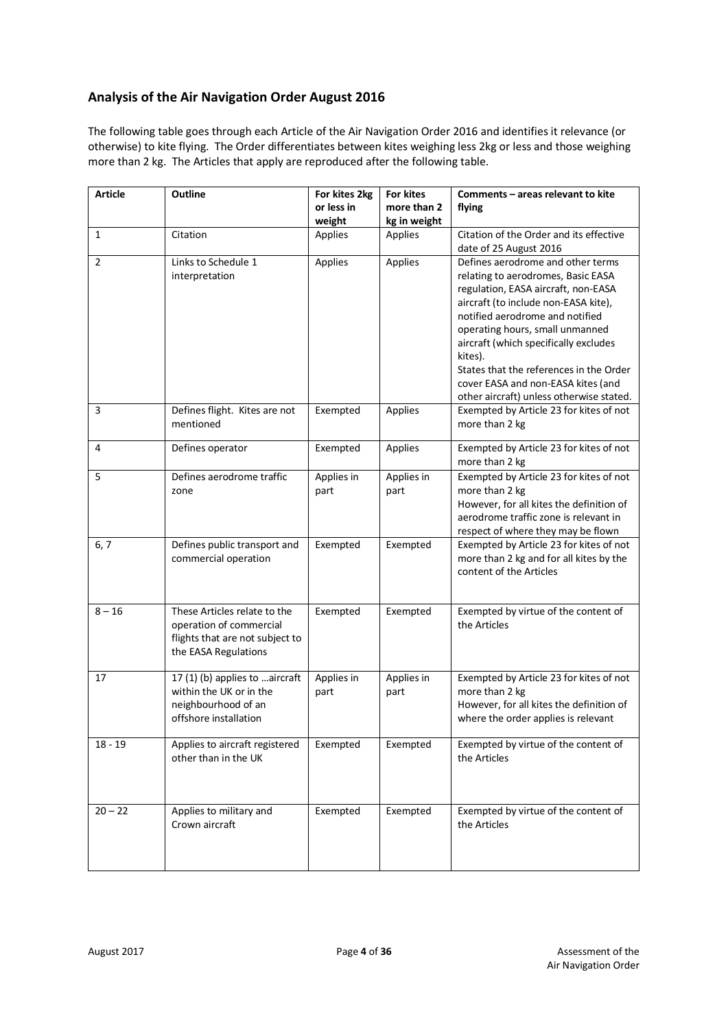# **Analysis of the Air Navigation Order August 2016**

The following table goes through each Article of the Air Navigation Order 2016 and identifies it relevance (or otherwise) to kite flying. The Order differentiates between kites weighing less 2kg or less and those weighing more than 2 kg. The Articles that apply are reproduced after the following table.

| <b>Article</b> | Outline                                                                                                            | For kites 2kg<br>or less in | <b>For kites</b><br>more than 2 | Comments - areas relevant to kite<br>flying                                                                                                                                                                                                                                                                                                                                                                   |
|----------------|--------------------------------------------------------------------------------------------------------------------|-----------------------------|---------------------------------|---------------------------------------------------------------------------------------------------------------------------------------------------------------------------------------------------------------------------------------------------------------------------------------------------------------------------------------------------------------------------------------------------------------|
|                |                                                                                                                    | weight                      | kg in weight                    |                                                                                                                                                                                                                                                                                                                                                                                                               |
| $\mathbf{1}$   | Citation                                                                                                           | Applies                     | Applies                         | Citation of the Order and its effective<br>date of 25 August 2016                                                                                                                                                                                                                                                                                                                                             |
| $\overline{2}$ | Links to Schedule 1<br>interpretation                                                                              | Applies                     | Applies                         | Defines aerodrome and other terms<br>relating to aerodromes, Basic EASA<br>regulation, EASA aircraft, non-EASA<br>aircraft (to include non-EASA kite),<br>notified aerodrome and notified<br>operating hours, small unmanned<br>aircraft (which specifically excludes<br>kites).<br>States that the references in the Order<br>cover EASA and non-EASA kites (and<br>other aircraft) unless otherwise stated. |
| 3              | Defines flight. Kites are not<br>mentioned                                                                         | Exempted                    | Applies                         | Exempted by Article 23 for kites of not<br>more than 2 kg                                                                                                                                                                                                                                                                                                                                                     |
| 4              | Defines operator                                                                                                   | Exempted                    | Applies                         | Exempted by Article 23 for kites of not<br>more than 2 kg                                                                                                                                                                                                                                                                                                                                                     |
| 5              | Defines aerodrome traffic<br>zone                                                                                  | Applies in<br>part          | Applies in<br>part              | Exempted by Article 23 for kites of not<br>more than 2 kg<br>However, for all kites the definition of<br>aerodrome traffic zone is relevant in<br>respect of where they may be flown                                                                                                                                                                                                                          |
| 6, 7           | Defines public transport and<br>commercial operation                                                               | Exempted                    | Exempted                        | Exempted by Article 23 for kites of not<br>more than 2 kg and for all kites by the<br>content of the Articles                                                                                                                                                                                                                                                                                                 |
| $8 - 16$       | These Articles relate to the<br>operation of commercial<br>flights that are not subject to<br>the EASA Regulations | Exempted                    | Exempted                        | Exempted by virtue of the content of<br>the Articles                                                                                                                                                                                                                                                                                                                                                          |
| 17             | 17(1)(b) applies to  aircraft<br>within the UK or in the<br>neighbourhood of an<br>offshore installation           | Applies in<br>part          | Applies in<br>part              | Exempted by Article 23 for kites of not<br>more than 2 kg<br>However, for all kites the definition of<br>where the order applies is relevant                                                                                                                                                                                                                                                                  |
| $18 - 19$      | Applies to aircraft registered<br>other than in the UK                                                             | Exempted                    | Exempted                        | Exempted by virtue of the content of<br>the Articles                                                                                                                                                                                                                                                                                                                                                          |
| $20 - 22$      | Applies to military and<br>Crown aircraft                                                                          | Exempted                    | Exempted                        | Exempted by virtue of the content of<br>the Articles                                                                                                                                                                                                                                                                                                                                                          |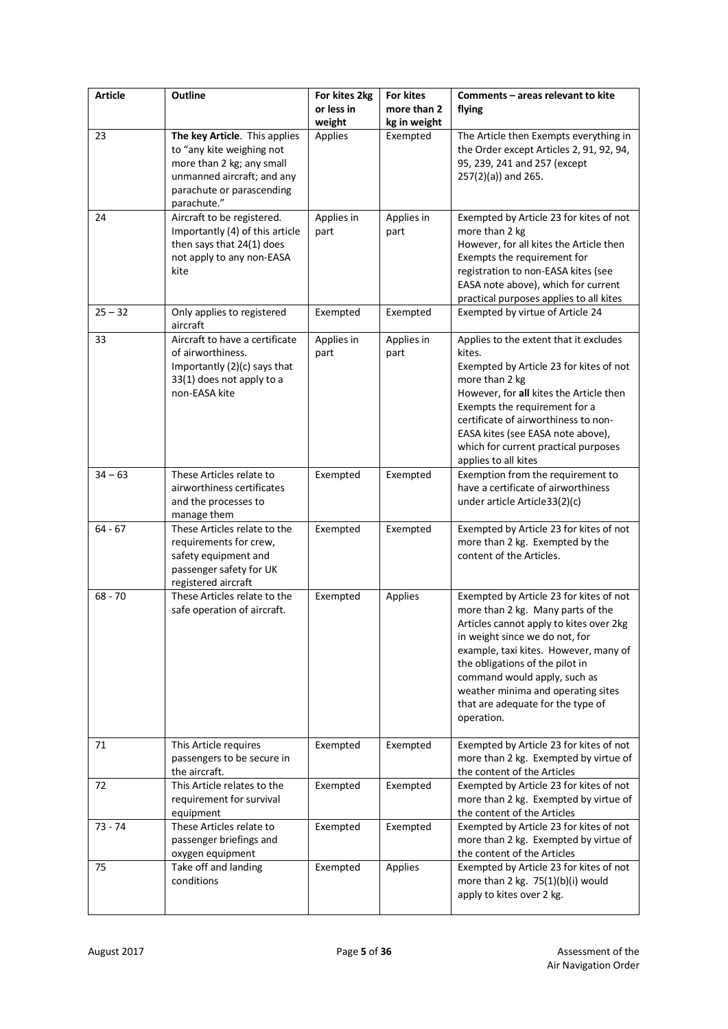| <b>Article</b> | Outline                                                                                                                                                           | For kites 2kg<br>or less in<br>weight | For kites<br>more than 2<br>kg in weight | Comments - areas relevant to kite<br>flying                                                                                                                                                                                                                                                                                                                    |
|----------------|-------------------------------------------------------------------------------------------------------------------------------------------------------------------|---------------------------------------|------------------------------------------|----------------------------------------------------------------------------------------------------------------------------------------------------------------------------------------------------------------------------------------------------------------------------------------------------------------------------------------------------------------|
| 23             | The key Article. This applies<br>to "any kite weighing not<br>more than 2 kg; any small<br>unmanned aircraft; and any<br>parachute or parascending<br>parachute." | Applies                               | Exempted                                 | The Article then Exempts everything in<br>the Order except Articles 2, 91, 92, 94,<br>95, 239, 241 and 257 (except<br>257(2)(a)) and 265.                                                                                                                                                                                                                      |
| 24             | Aircraft to be registered.<br>Importantly (4) of this article<br>then says that 24(1) does<br>not apply to any non-EASA<br>kite                                   | Applies in<br>part                    | Applies in<br>part                       | Exempted by Article 23 for kites of not<br>more than 2 kg<br>However, for all kites the Article then<br>Exempts the requirement for<br>registration to non-EASA kites (see<br>EASA note above), which for current<br>practical purposes applies to all kites                                                                                                   |
| $25 - 32$      | Only applies to registered<br>aircraft                                                                                                                            | Exempted                              | Exempted                                 | Exempted by virtue of Article 24                                                                                                                                                                                                                                                                                                                               |
| 33             | Aircraft to have a certificate<br>of airworthiness.<br>Importantly (2)(c) says that<br>33(1) does not apply to a<br>non-EASA kite                                 | Applies in<br>part                    | Applies in<br>part                       | Applies to the extent that it excludes<br>kites.<br>Exempted by Article 23 for kites of not<br>more than 2 kg<br>However, for all kites the Article then<br>Exempts the requirement for a<br>certificate of airworthiness to non-<br>EASA kites (see EASA note above),<br>which for current practical purposes<br>applies to all kites                         |
| $34 - 63$      | These Articles relate to<br>airworthiness certificates<br>and the processes to<br>manage them                                                                     | Exempted                              | Exempted                                 | Exemption from the requirement to<br>have a certificate of airworthiness<br>under article Article33(2)(c)                                                                                                                                                                                                                                                      |
| $64 - 67$      | These Articles relate to the<br>requirements for crew,<br>safety equipment and<br>passenger safety for UK<br>registered aircraft                                  | Exempted                              | Exempted                                 | Exempted by Article 23 for kites of not<br>more than 2 kg. Exempted by the<br>content of the Articles.                                                                                                                                                                                                                                                         |
| $68 - 70$      | These Articles relate to the<br>safe operation of aircraft.                                                                                                       | Exempted                              | Applies                                  | Exempted by Article 23 for kites of not<br>more than 2 kg. Many parts of the<br>Articles cannot apply to kites over 2kg<br>in weight since we do not, for<br>example, taxi kites. However, many of<br>the obligations of the pilot in<br>command would apply, such as<br>weather minima and operating sites<br>that are adequate for the type of<br>operation. |
| 71             | This Article requires<br>passengers to be secure in<br>the aircraft.                                                                                              | Exempted                              | Exempted                                 | Exempted by Article 23 for kites of not<br>more than 2 kg. Exempted by virtue of<br>the content of the Articles                                                                                                                                                                                                                                                |
| 72             | This Article relates to the<br>requirement for survival<br>equipment                                                                                              | Exempted                              | Exempted                                 | Exempted by Article 23 for kites of not<br>more than 2 kg. Exempted by virtue of<br>the content of the Articles                                                                                                                                                                                                                                                |
| $73 - 74$      | These Articles relate to<br>passenger briefings and<br>oxygen equipment                                                                                           | Exempted                              | Exempted                                 | Exempted by Article 23 for kites of not<br>more than 2 kg. Exempted by virtue of<br>the content of the Articles                                                                                                                                                                                                                                                |
| 75             | Take off and landing<br>conditions                                                                                                                                | Exempted                              | Applies                                  | Exempted by Article 23 for kites of not<br>more than 2 kg. $75(1)(b)(i)$ would<br>apply to kites over 2 kg.                                                                                                                                                                                                                                                    |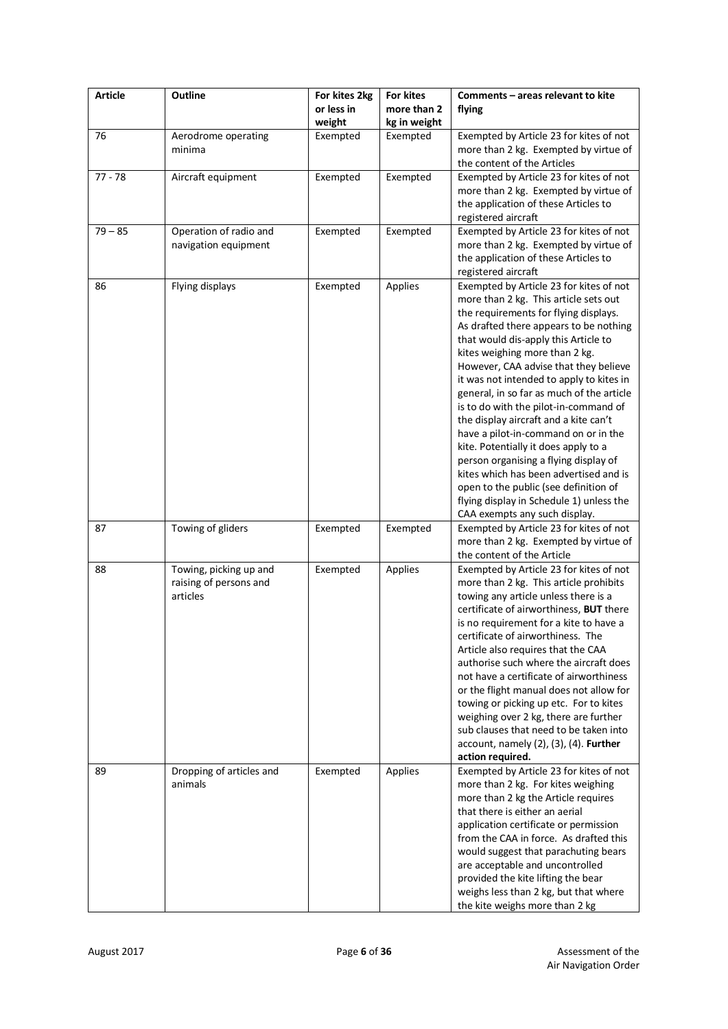| <b>Article</b> | Outline                  | For kites 2kg<br>or less in | For kites<br>more than 2 | Comments - areas relevant to kite<br>flying                                      |
|----------------|--------------------------|-----------------------------|--------------------------|----------------------------------------------------------------------------------|
|                |                          | weight                      | kg in weight             |                                                                                  |
| 76             | Aerodrome operating      | Exempted                    | Exempted                 | Exempted by Article 23 for kites of not                                          |
|                | minima                   |                             |                          | more than 2 kg. Exempted by virtue of                                            |
|                |                          |                             |                          | the content of the Articles                                                      |
| $77 - 78$      | Aircraft equipment       | Exempted                    | Exempted                 | Exempted by Article 23 for kites of not                                          |
|                |                          |                             |                          | more than 2 kg. Exempted by virtue of                                            |
|                |                          |                             |                          | the application of these Articles to                                             |
|                |                          |                             |                          | registered aircraft                                                              |
| $79 - 85$      | Operation of radio and   | Exempted                    | Exempted                 | Exempted by Article 23 for kites of not<br>more than 2 kg. Exempted by virtue of |
|                | navigation equipment     |                             |                          | the application of these Articles to                                             |
|                |                          |                             |                          | registered aircraft                                                              |
| 86             | Flying displays          | Exempted                    | Applies                  | Exempted by Article 23 for kites of not                                          |
|                |                          |                             |                          | more than 2 kg. This article sets out                                            |
|                |                          |                             |                          | the requirements for flying displays.                                            |
|                |                          |                             |                          | As drafted there appears to be nothing                                           |
|                |                          |                             |                          | that would dis-apply this Article to                                             |
|                |                          |                             |                          | kites weighing more than 2 kg.                                                   |
|                |                          |                             |                          | However, CAA advise that they believe                                            |
|                |                          |                             |                          | it was not intended to apply to kites in                                         |
|                |                          |                             |                          | general, in so far as much of the article                                        |
|                |                          |                             |                          | is to do with the pilot-in-command of                                            |
|                |                          |                             |                          | the display aircraft and a kite can't                                            |
|                |                          |                             |                          | have a pilot-in-command on or in the                                             |
|                |                          |                             |                          | kite. Potentially it does apply to a                                             |
|                |                          |                             |                          | person organising a flying display of<br>kites which has been advertised and is  |
|                |                          |                             |                          | open to the public (see definition of                                            |
|                |                          |                             |                          | flying display in Schedule 1) unless the                                         |
|                |                          |                             |                          | CAA exempts any such display.                                                    |
| 87             | Towing of gliders        | Exempted                    | Exempted                 | Exempted by Article 23 for kites of not                                          |
|                |                          |                             |                          | more than 2 kg. Exempted by virtue of                                            |
|                |                          |                             |                          | the content of the Article                                                       |
| 88             | Towing, picking up and   | Exempted                    | Applies                  | Exempted by Article 23 for kites of not                                          |
|                | raising of persons and   |                             |                          | more than 2 kg. This article prohibits                                           |
|                | articles                 |                             |                          | towing any article unless there is a                                             |
|                |                          |                             |                          | certificate of airworthiness, BUT there                                          |
|                |                          |                             |                          | is no requirement for a kite to have a                                           |
|                |                          |                             |                          | certificate of airworthiness. The                                                |
|                |                          |                             |                          | Article also requires that the CAA<br>authorise such where the aircraft does     |
|                |                          |                             |                          | not have a certificate of airworthiness                                          |
|                |                          |                             |                          | or the flight manual does not allow for                                          |
|                |                          |                             |                          | towing or picking up etc. For to kites                                           |
|                |                          |                             |                          | weighing over 2 kg, there are further                                            |
|                |                          |                             |                          | sub clauses that need to be taken into                                           |
|                |                          |                             |                          | $account, namely (2), (3), (4).$ Further                                         |
|                |                          |                             |                          | action required.                                                                 |
| 89             | Dropping of articles and | Exempted                    | Applies                  | Exempted by Article 23 for kites of not                                          |
|                | animals                  |                             |                          | more than 2 kg. For kites weighing                                               |
|                |                          |                             |                          | more than 2 kg the Article requires                                              |
|                |                          |                             |                          | that there is either an aerial                                                   |
|                |                          |                             |                          | application certificate or permission                                            |
|                |                          |                             |                          | from the CAA in force. As drafted this                                           |
|                |                          |                             |                          | would suggest that parachuting bears                                             |
|                |                          |                             |                          | are acceptable and uncontrolled<br>provided the kite lifting the bear            |
|                |                          |                             |                          | weighs less than 2 kg, but that where                                            |
|                |                          |                             |                          | the kite weighs more than 2 kg                                                   |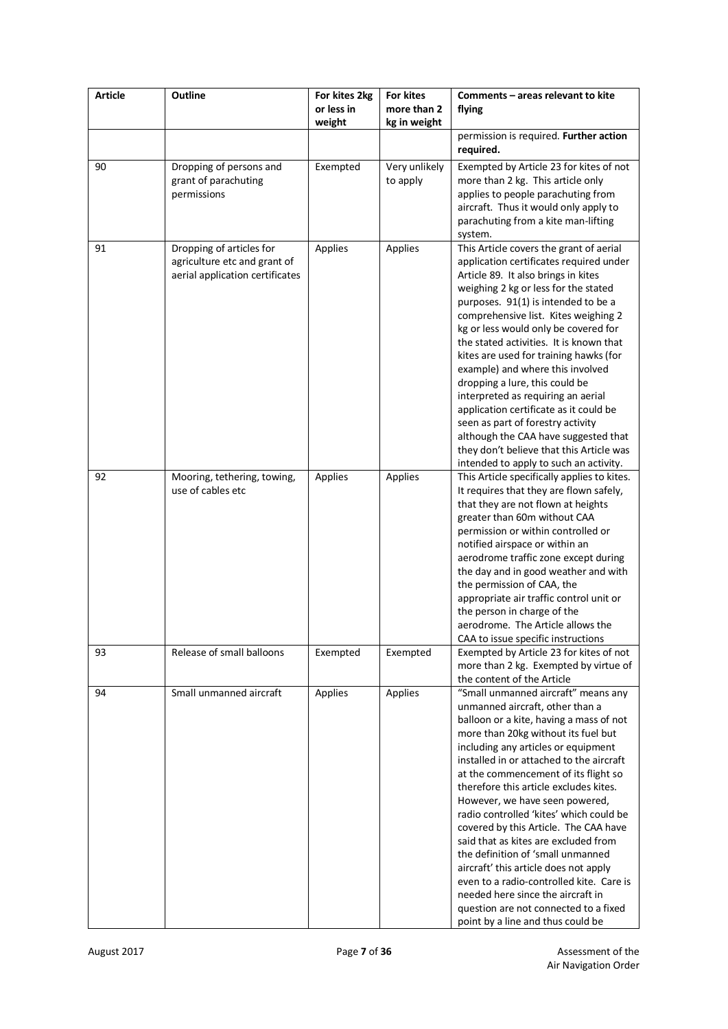| <b>Article</b> | Outline                                                                                     | For kites 2kg<br>or less in<br>weight | For kites<br>more than 2<br>kg in weight | Comments - areas relevant to kite<br>flying                                                                                                                                                                                                                                                                                                                                                                                                                                                                                                                                                                                                                                                                                              |
|----------------|---------------------------------------------------------------------------------------------|---------------------------------------|------------------------------------------|------------------------------------------------------------------------------------------------------------------------------------------------------------------------------------------------------------------------------------------------------------------------------------------------------------------------------------------------------------------------------------------------------------------------------------------------------------------------------------------------------------------------------------------------------------------------------------------------------------------------------------------------------------------------------------------------------------------------------------------|
|                |                                                                                             |                                       |                                          | permission is required. Further action<br>required.                                                                                                                                                                                                                                                                                                                                                                                                                                                                                                                                                                                                                                                                                      |
| 90             | Dropping of persons and<br>grant of parachuting<br>permissions                              | Exempted                              | Very unlikely<br>to apply                | Exempted by Article 23 for kites of not<br>more than 2 kg. This article only<br>applies to people parachuting from<br>aircraft. Thus it would only apply to<br>parachuting from a kite man-lifting<br>system.                                                                                                                                                                                                                                                                                                                                                                                                                                                                                                                            |
| 91             | Dropping of articles for<br>agriculture etc and grant of<br>aerial application certificates | Applies                               | Applies                                  | This Article covers the grant of aerial<br>application certificates required under<br>Article 89. It also brings in kites<br>weighing 2 kg or less for the stated<br>purposes. 91(1) is intended to be a<br>comprehensive list. Kites weighing 2<br>kg or less would only be covered for<br>the stated activities. It is known that<br>kites are used for training hawks (for<br>example) and where this involved<br>dropping a lure, this could be<br>interpreted as requiring an aerial<br>application certificate as it could be<br>seen as part of forestry activity<br>although the CAA have suggested that<br>they don't believe that this Article was<br>intended to apply to such an activity.                                   |
| 92             | Mooring, tethering, towing,<br>use of cables etc                                            | Applies                               | Applies                                  | This Article specifically applies to kites.<br>It requires that they are flown safely,<br>that they are not flown at heights<br>greater than 60m without CAA<br>permission or within controlled or<br>notified airspace or within an<br>aerodrome traffic zone except during<br>the day and in good weather and with<br>the permission of CAA, the<br>appropriate air traffic control unit or<br>the person in charge of the<br>aerodrome. The Article allows the<br>CAA to issue specific instructions                                                                                                                                                                                                                                  |
| 93             | Release of small balloons                                                                   | Exempted                              | Exempted                                 | Exempted by Article 23 for kites of not<br>more than 2 kg. Exempted by virtue of<br>the content of the Article                                                                                                                                                                                                                                                                                                                                                                                                                                                                                                                                                                                                                           |
| 94             | Small unmanned aircraft                                                                     | Applies                               | Applies                                  | "Small unmanned aircraft" means any<br>unmanned aircraft, other than a<br>balloon or a kite, having a mass of not<br>more than 20kg without its fuel but<br>including any articles or equipment<br>installed in or attached to the aircraft<br>at the commencement of its flight so<br>therefore this article excludes kites.<br>However, we have seen powered,<br>radio controlled 'kites' which could be<br>covered by this Article. The CAA have<br>said that as kites are excluded from<br>the definition of 'small unmanned<br>aircraft' this article does not apply<br>even to a radio-controlled kite. Care is<br>needed here since the aircraft in<br>question are not connected to a fixed<br>point by a line and thus could be |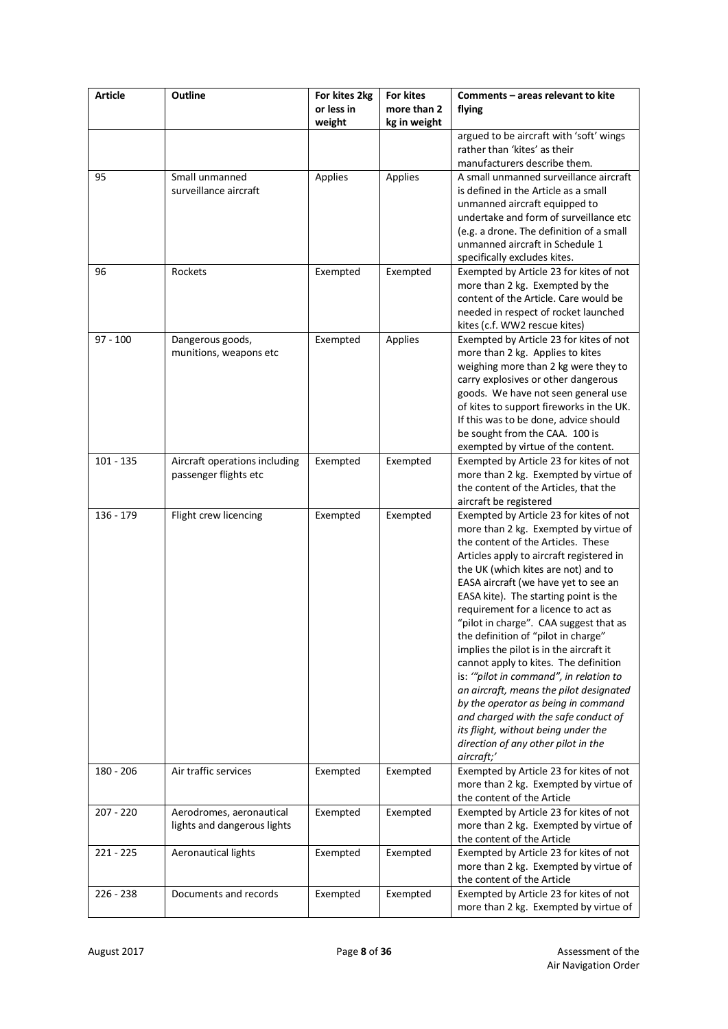| <b>Article</b> | <b>Outline</b>                                          | For kites 2kg<br>For kites<br>or less in<br>more than 2 |              | Comments - areas relevant to kite<br>flying                                                                                                                                                                                                                                                                                                                                                                                                                                                                                                                                                                                                                                                                                                                            |  |  |  |
|----------------|---------------------------------------------------------|---------------------------------------------------------|--------------|------------------------------------------------------------------------------------------------------------------------------------------------------------------------------------------------------------------------------------------------------------------------------------------------------------------------------------------------------------------------------------------------------------------------------------------------------------------------------------------------------------------------------------------------------------------------------------------------------------------------------------------------------------------------------------------------------------------------------------------------------------------------|--|--|--|
|                |                                                         | weight                                                  | kg in weight |                                                                                                                                                                                                                                                                                                                                                                                                                                                                                                                                                                                                                                                                                                                                                                        |  |  |  |
|                |                                                         |                                                         |              | argued to be aircraft with 'soft' wings<br>rather than 'kites' as their<br>manufacturers describe them.                                                                                                                                                                                                                                                                                                                                                                                                                                                                                                                                                                                                                                                                |  |  |  |
| 95             | Small unmanned<br>surveillance aircraft                 | Applies                                                 | Applies      | A small unmanned surveillance aircraft<br>is defined in the Article as a small<br>unmanned aircraft equipped to<br>undertake and form of surveillance etc<br>(e.g. a drone. The definition of a small<br>unmanned aircraft in Schedule 1<br>specifically excludes kites.                                                                                                                                                                                                                                                                                                                                                                                                                                                                                               |  |  |  |
| 96             | Rockets                                                 | Exempted                                                | Exempted     | Exempted by Article 23 for kites of not<br>more than 2 kg. Exempted by the<br>content of the Article. Care would be<br>needed in respect of rocket launched<br>kites (c.f. WW2 rescue kites)                                                                                                                                                                                                                                                                                                                                                                                                                                                                                                                                                                           |  |  |  |
| $97 - 100$     | Dangerous goods,<br>munitions, weapons etc              | Exempted                                                | Applies      | Exempted by Article 23 for kites of not<br>more than 2 kg. Applies to kites<br>weighing more than 2 kg were they to<br>carry explosives or other dangerous<br>goods. We have not seen general use<br>of kites to support fireworks in the UK.<br>If this was to be done, advice should<br>be sought from the CAA. 100 is<br>exempted by virtue of the content.                                                                                                                                                                                                                                                                                                                                                                                                         |  |  |  |
| $101 - 135$    | Aircraft operations including<br>passenger flights etc  | Exempted                                                | Exempted     | Exempted by Article 23 for kites of not<br>more than 2 kg. Exempted by virtue of<br>the content of the Articles, that the<br>aircraft be registered                                                                                                                                                                                                                                                                                                                                                                                                                                                                                                                                                                                                                    |  |  |  |
| 136 - 179      | Flight crew licencing                                   | Exempted                                                | Exempted     | Exempted by Article 23 for kites of not<br>more than 2 kg. Exempted by virtue of<br>the content of the Articles. These<br>Articles apply to aircraft registered in<br>the UK (which kites are not) and to<br>EASA aircraft (we have yet to see an<br>EASA kite). The starting point is the<br>requirement for a licence to act as<br>"pilot in charge". CAA suggest that as<br>the definition of "pilot in charge"<br>implies the pilot is in the aircraft it<br>cannot apply to kites. The definition<br>is: "pilot in command", in relation to<br>an aircraft, means the pilot designated<br>by the operator as being in command<br>and charged with the safe conduct of<br>its flight, without being under the<br>direction of any other pilot in the<br>aircraft;' |  |  |  |
| $180 - 206$    | Air traffic services                                    | Exempted                                                | Exempted     | Exempted by Article 23 for kites of not<br>more than 2 kg. Exempted by virtue of<br>the content of the Article                                                                                                                                                                                                                                                                                                                                                                                                                                                                                                                                                                                                                                                         |  |  |  |
| $207 - 220$    | Aerodromes, aeronautical<br>lights and dangerous lights | Exempted                                                | Exempted     | Exempted by Article 23 for kites of not<br>more than 2 kg. Exempted by virtue of<br>the content of the Article                                                                                                                                                                                                                                                                                                                                                                                                                                                                                                                                                                                                                                                         |  |  |  |
| $221 - 225$    | Aeronautical lights                                     | Exempted                                                | Exempted     | Exempted by Article 23 for kites of not<br>more than 2 kg. Exempted by virtue of<br>the content of the Article                                                                                                                                                                                                                                                                                                                                                                                                                                                                                                                                                                                                                                                         |  |  |  |
| 226 - 238      | Documents and records                                   | Exempted                                                | Exempted     | Exempted by Article 23 for kites of not<br>more than 2 kg. Exempted by virtue of                                                                                                                                                                                                                                                                                                                                                                                                                                                                                                                                                                                                                                                                                       |  |  |  |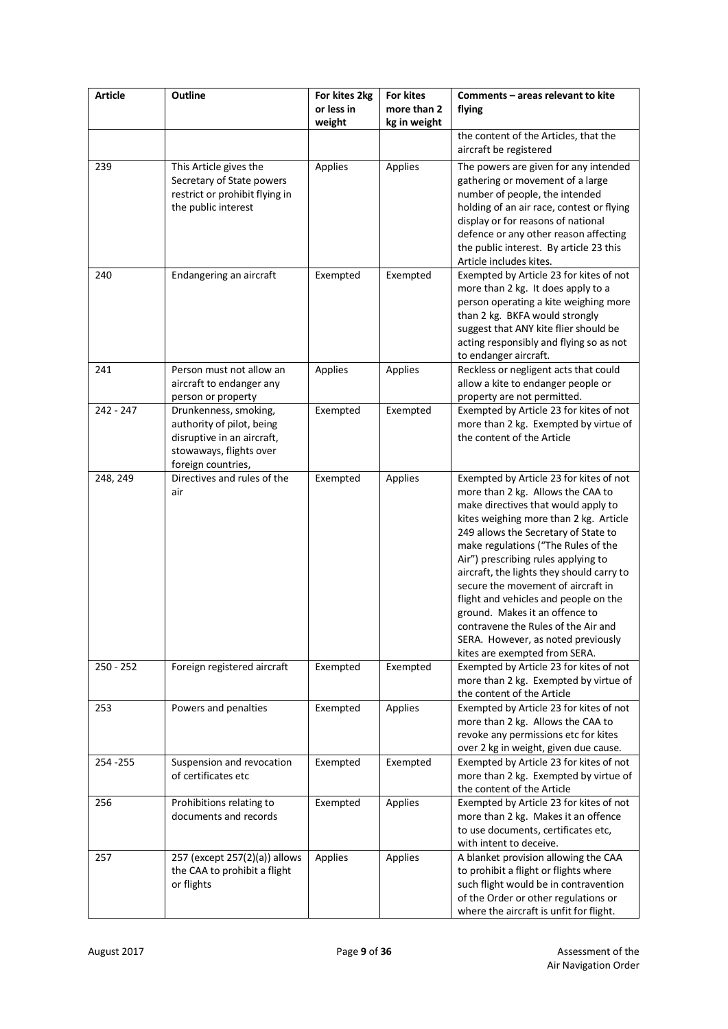| <b>Article</b> | Outline                                                                                                                           | For kites 2kg<br>or less in<br>weight | For kites<br>more than 2<br>kg in weight | Comments - areas relevant to kite<br>flying                                                                                                                                                                                                                                                                                                                                                                                                                                                                                                                     |  |
|----------------|-----------------------------------------------------------------------------------------------------------------------------------|---------------------------------------|------------------------------------------|-----------------------------------------------------------------------------------------------------------------------------------------------------------------------------------------------------------------------------------------------------------------------------------------------------------------------------------------------------------------------------------------------------------------------------------------------------------------------------------------------------------------------------------------------------------------|--|
|                |                                                                                                                                   |                                       |                                          | the content of the Articles, that the<br>aircraft be registered                                                                                                                                                                                                                                                                                                                                                                                                                                                                                                 |  |
| 239            | This Article gives the<br>Secretary of State powers<br>restrict or prohibit flying in<br>the public interest                      | Applies                               | Applies                                  | The powers are given for any intended<br>gathering or movement of a large<br>number of people, the intended<br>holding of an air race, contest or flying<br>display or for reasons of national<br>defence or any other reason affecting<br>the public interest. By article 23 this<br>Article includes kites.                                                                                                                                                                                                                                                   |  |
| 240            | Endangering an aircraft                                                                                                           | Exempted                              | Exempted                                 | Exempted by Article 23 for kites of not<br>more than 2 kg. It does apply to a<br>person operating a kite weighing more<br>than 2 kg. BKFA would strongly<br>suggest that ANY kite flier should be<br>acting responsibly and flying so as not<br>to endanger aircraft.                                                                                                                                                                                                                                                                                           |  |
| 241            | Person must not allow an<br>aircraft to endanger any<br>person or property                                                        | Applies                               | Applies                                  | Reckless or negligent acts that could<br>allow a kite to endanger people or<br>property are not permitted.                                                                                                                                                                                                                                                                                                                                                                                                                                                      |  |
| 242 - 247      | Drunkenness, smoking,<br>authority of pilot, being<br>disruptive in an aircraft,<br>stowaways, flights over<br>foreign countries, | Exempted                              | Exempted                                 | Exempted by Article 23 for kites of not<br>more than 2 kg. Exempted by virtue of<br>the content of the Article                                                                                                                                                                                                                                                                                                                                                                                                                                                  |  |
| 248, 249       | Directives and rules of the<br>air                                                                                                | Exempted                              | Applies                                  | Exempted by Article 23 for kites of not<br>more than 2 kg. Allows the CAA to<br>make directives that would apply to<br>kites weighing more than 2 kg. Article<br>249 allows the Secretary of State to<br>make regulations ("The Rules of the<br>Air") prescribing rules applying to<br>aircraft, the lights they should carry to<br>secure the movement of aircraft in<br>flight and vehicles and people on the<br>ground. Makes it an offence to<br>contravene the Rules of the Air and<br>SERA. However, as noted previously<br>kites are exempted from SERA. |  |
| $250 - 252$    | Foreign registered aircraft                                                                                                       | Exempted                              | Exempted                                 | Exempted by Article 23 for kites of not<br>more than 2 kg. Exempted by virtue of<br>the content of the Article                                                                                                                                                                                                                                                                                                                                                                                                                                                  |  |
| 253            | Powers and penalties                                                                                                              | Exempted                              | Applies                                  | Exempted by Article 23 for kites of not<br>more than 2 kg. Allows the CAA to<br>revoke any permissions etc for kites<br>over 2 kg in weight, given due cause.                                                                                                                                                                                                                                                                                                                                                                                                   |  |
| 254 - 255      | Suspension and revocation<br>of certificates etc                                                                                  | Exempted                              | Exempted                                 | Exempted by Article 23 for kites of not<br>more than 2 kg. Exempted by virtue of<br>the content of the Article                                                                                                                                                                                                                                                                                                                                                                                                                                                  |  |
| 256            | Prohibitions relating to<br>documents and records                                                                                 | Exempted                              | Applies                                  | Exempted by Article 23 for kites of not<br>more than 2 kg. Makes it an offence<br>to use documents, certificates etc,<br>with intent to deceive.                                                                                                                                                                                                                                                                                                                                                                                                                |  |
| 257            | 257 (except 257(2)(a)) allows<br>the CAA to prohibit a flight<br>or flights                                                       | Applies                               | Applies                                  | A blanket provision allowing the CAA<br>to prohibit a flight or flights where<br>such flight would be in contravention<br>of the Order or other regulations or<br>where the aircraft is unfit for flight.                                                                                                                                                                                                                                                                                                                                                       |  |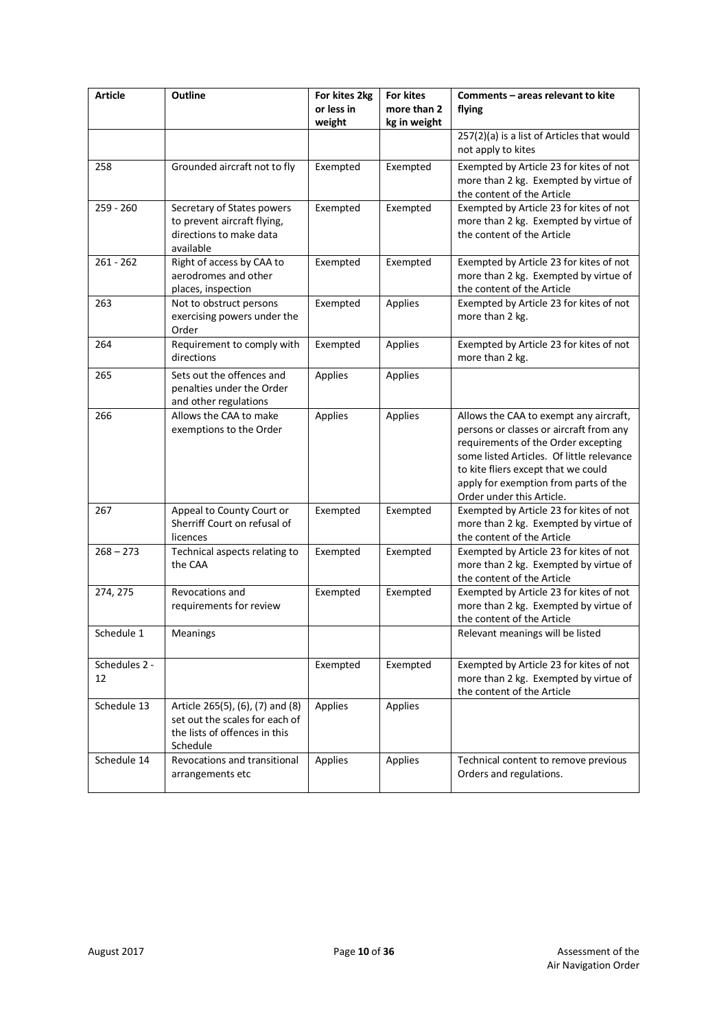| <b>Article</b>      | Outline                                                                                                         | For kites 2kg        | For kites                   | Comments - areas relevant to kite                                                                                                                                                                                                                                                  |  |
|---------------------|-----------------------------------------------------------------------------------------------------------------|----------------------|-----------------------------|------------------------------------------------------------------------------------------------------------------------------------------------------------------------------------------------------------------------------------------------------------------------------------|--|
|                     |                                                                                                                 | or less in<br>weight | more than 2<br>kg in weight | flying                                                                                                                                                                                                                                                                             |  |
|                     |                                                                                                                 |                      |                             | 257(2)(a) is a list of Articles that would<br>not apply to kites                                                                                                                                                                                                                   |  |
| 258                 | Grounded aircraft not to fly                                                                                    | Exempted             | Exempted                    | Exempted by Article 23 for kites of not<br>more than 2 kg. Exempted by virtue of<br>the content of the Article                                                                                                                                                                     |  |
| $259 - 260$         | Secretary of States powers<br>to prevent aircraft flying,<br>directions to make data<br>available               | Exempted             | Exempted                    | Exempted by Article 23 for kites of not<br>more than 2 kg. Exempted by virtue of<br>the content of the Article                                                                                                                                                                     |  |
| $261 - 262$         | Right of access by CAA to<br>aerodromes and other<br>places, inspection                                         | Exempted             | Exempted                    | Exempted by Article 23 for kites of not<br>more than 2 kg. Exempted by virtue of<br>the content of the Article                                                                                                                                                                     |  |
| 263                 | Not to obstruct persons<br>exercising powers under the<br>Order                                                 | Exempted             | Applies                     | Exempted by Article 23 for kites of not<br>more than 2 kg.                                                                                                                                                                                                                         |  |
| 264                 | Requirement to comply with<br>directions                                                                        | Exempted             | Applies                     | Exempted by Article 23 for kites of not<br>more than 2 kg.                                                                                                                                                                                                                         |  |
| 265                 | Sets out the offences and<br>penalties under the Order<br>and other regulations                                 | Applies              | Applies                     |                                                                                                                                                                                                                                                                                    |  |
| 266                 | Allows the CAA to make<br>exemptions to the Order                                                               | Applies              | Applies                     | Allows the CAA to exempt any aircraft,<br>persons or classes or aircraft from any<br>requirements of the Order excepting<br>some listed Articles. Of little relevance<br>to kite fliers except that we could<br>apply for exemption from parts of the<br>Order under this Article. |  |
| 267                 | Appeal to County Court or<br>Sherriff Court on refusal of<br>licences                                           | Exempted             | Exempted                    | Exempted by Article 23 for kites of not<br>more than 2 kg. Exempted by virtue of<br>the content of the Article                                                                                                                                                                     |  |
| $268 - 273$         | Technical aspects relating to<br>the CAA                                                                        | Exempted             | Exempted                    | Exempted by Article 23 for kites of not<br>more than 2 kg. Exempted by virtue of<br>the content of the Article                                                                                                                                                                     |  |
| 274, 275            | Revocations and<br>requirements for review                                                                      | Exempted             | Exempted                    | Exempted by Article 23 for kites of not<br>more than 2 kg. Exempted by virtue of<br>the content of the Article                                                                                                                                                                     |  |
| Schedule 1          | Meanings                                                                                                        |                      |                             | Relevant meanings will be listed                                                                                                                                                                                                                                                   |  |
| Schedules 2 -<br>12 |                                                                                                                 | Exempted             | Exempted                    | Exempted by Article 23 for kites of not<br>more than 2 kg. Exempted by virtue of<br>the content of the Article                                                                                                                                                                     |  |
| Schedule 13         | Article 265(5), (6), (7) and (8)<br>set out the scales for each of<br>the lists of offences in this<br>Schedule | Applies              | Applies                     |                                                                                                                                                                                                                                                                                    |  |
| Schedule 14         | Revocations and transitional<br>arrangements etc                                                                | Applies              | Applies                     | Technical content to remove previous<br>Orders and regulations.                                                                                                                                                                                                                    |  |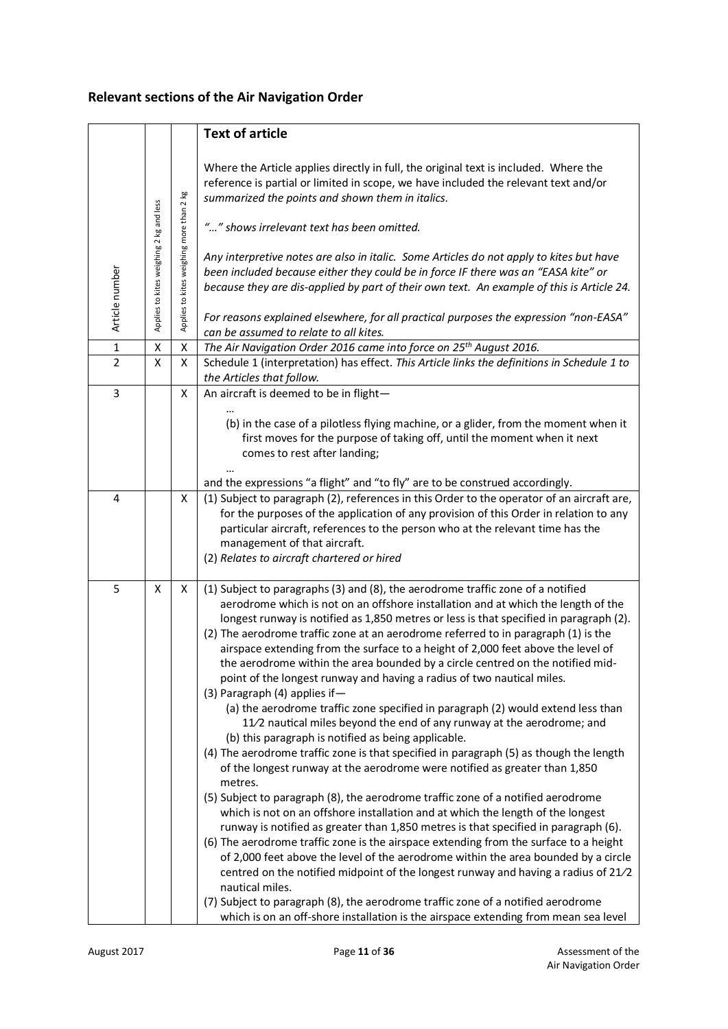# **Relevant sections of the Air Navigation Order**

|                |                                         |                                          | <b>Text of article</b>                                                                                                                                                                                                                                                                                                                                                                                                                                                                                                                                                                                                                                                                                                                                                                                                                                                                                                                                                                                                                                                                                                                                                                                                                                                                                                                                                                                                                                                                                                                                                                                                                                                                                                                                                         |
|----------------|-----------------------------------------|------------------------------------------|--------------------------------------------------------------------------------------------------------------------------------------------------------------------------------------------------------------------------------------------------------------------------------------------------------------------------------------------------------------------------------------------------------------------------------------------------------------------------------------------------------------------------------------------------------------------------------------------------------------------------------------------------------------------------------------------------------------------------------------------------------------------------------------------------------------------------------------------------------------------------------------------------------------------------------------------------------------------------------------------------------------------------------------------------------------------------------------------------------------------------------------------------------------------------------------------------------------------------------------------------------------------------------------------------------------------------------------------------------------------------------------------------------------------------------------------------------------------------------------------------------------------------------------------------------------------------------------------------------------------------------------------------------------------------------------------------------------------------------------------------------------------------------|
| Article number | Applies to kites weighing 2 kg and less | Applies to kites weighing more than 2 kg | Where the Article applies directly in full, the original text is included. Where the<br>reference is partial or limited in scope, we have included the relevant text and/or<br>summarized the points and shown them in italics.<br>"" shows irrelevant text has been omitted.<br>Any interpretive notes are also in italic. Some Articles do not apply to kites but have<br>been included because either they could be in force IF there was an "EASA kite" or<br>because they are dis-applied by part of their own text. An example of this is Article 24.<br>For reasons explained elsewhere, for all practical purposes the expression "non-EASA"<br>can be assumed to relate to all kites.                                                                                                                                                                                                                                                                                                                                                                                                                                                                                                                                                                                                                                                                                                                                                                                                                                                                                                                                                                                                                                                                                 |
| $\mathbf 1$    | Χ                                       | Χ                                        | The Air Navigation Order 2016 came into force on 25 <sup>th</sup> August 2016.                                                                                                                                                                                                                                                                                                                                                                                                                                                                                                                                                                                                                                                                                                                                                                                                                                                                                                                                                                                                                                                                                                                                                                                                                                                                                                                                                                                                                                                                                                                                                                                                                                                                                                 |
| $\overline{2}$ | X                                       | X                                        | Schedule 1 (interpretation) has effect. This Article links the definitions in Schedule 1 to                                                                                                                                                                                                                                                                                                                                                                                                                                                                                                                                                                                                                                                                                                                                                                                                                                                                                                                                                                                                                                                                                                                                                                                                                                                                                                                                                                                                                                                                                                                                                                                                                                                                                    |
|                |                                         |                                          | the Articles that follow.                                                                                                                                                                                                                                                                                                                                                                                                                                                                                                                                                                                                                                                                                                                                                                                                                                                                                                                                                                                                                                                                                                                                                                                                                                                                                                                                                                                                                                                                                                                                                                                                                                                                                                                                                      |
| 3              |                                         | x                                        | An aircraft is deemed to be in flight-                                                                                                                                                                                                                                                                                                                                                                                                                                                                                                                                                                                                                                                                                                                                                                                                                                                                                                                                                                                                                                                                                                                                                                                                                                                                                                                                                                                                                                                                                                                                                                                                                                                                                                                                         |
|                |                                         |                                          | (b) in the case of a pilotless flying machine, or a glider, from the moment when it<br>first moves for the purpose of taking off, until the moment when it next<br>comes to rest after landing;                                                                                                                                                                                                                                                                                                                                                                                                                                                                                                                                                                                                                                                                                                                                                                                                                                                                                                                                                                                                                                                                                                                                                                                                                                                                                                                                                                                                                                                                                                                                                                                |
|                |                                         |                                          | and the expressions "a flight" and "to fly" are to be construed accordingly.                                                                                                                                                                                                                                                                                                                                                                                                                                                                                                                                                                                                                                                                                                                                                                                                                                                                                                                                                                                                                                                                                                                                                                                                                                                                                                                                                                                                                                                                                                                                                                                                                                                                                                   |
| 4              |                                         | X                                        | (1) Subject to paragraph (2), references in this Order to the operator of an aircraft are,<br>for the purposes of the application of any provision of this Order in relation to any<br>particular aircraft, references to the person who at the relevant time has the<br>management of that aircraft.<br>(2) Relates to aircraft chartered or hired                                                                                                                                                                                                                                                                                                                                                                                                                                                                                                                                                                                                                                                                                                                                                                                                                                                                                                                                                                                                                                                                                                                                                                                                                                                                                                                                                                                                                            |
| 5              | X                                       | X                                        | (1) Subject to paragraphs (3) and (8), the aerodrome traffic zone of a notified<br>aerodrome which is not on an offshore installation and at which the length of the<br>longest runway is notified as 1,850 metres or less is that specified in paragraph (2).<br>(2) The aerodrome traffic zone at an aerodrome referred to in paragraph (1) is the<br>airspace extending from the surface to a height of 2,000 feet above the level of<br>the aerodrome within the area bounded by a circle centred on the notified mid-<br>point of the longest runway and having a radius of two nautical miles.<br>(3) Paragraph (4) applies if-<br>(a) the aerodrome traffic zone specified in paragraph (2) would extend less than<br>11/2 nautical miles beyond the end of any runway at the aerodrome; and<br>(b) this paragraph is notified as being applicable.<br>(4) The aerodrome traffic zone is that specified in paragraph (5) as though the length<br>of the longest runway at the aerodrome were notified as greater than 1,850<br>metres.<br>(5) Subject to paragraph (8), the aerodrome traffic zone of a notified aerodrome<br>which is not on an offshore installation and at which the length of the longest<br>runway is notified as greater than 1,850 metres is that specified in paragraph (6).<br>(6) The aerodrome traffic zone is the airspace extending from the surface to a height<br>of 2,000 feet above the level of the aerodrome within the area bounded by a circle<br>centred on the notified midpoint of the longest runway and having a radius of 21/2<br>nautical miles.<br>(7) Subject to paragraph (8), the aerodrome traffic zone of a notified aerodrome<br>which is on an off-shore installation is the airspace extending from mean sea level |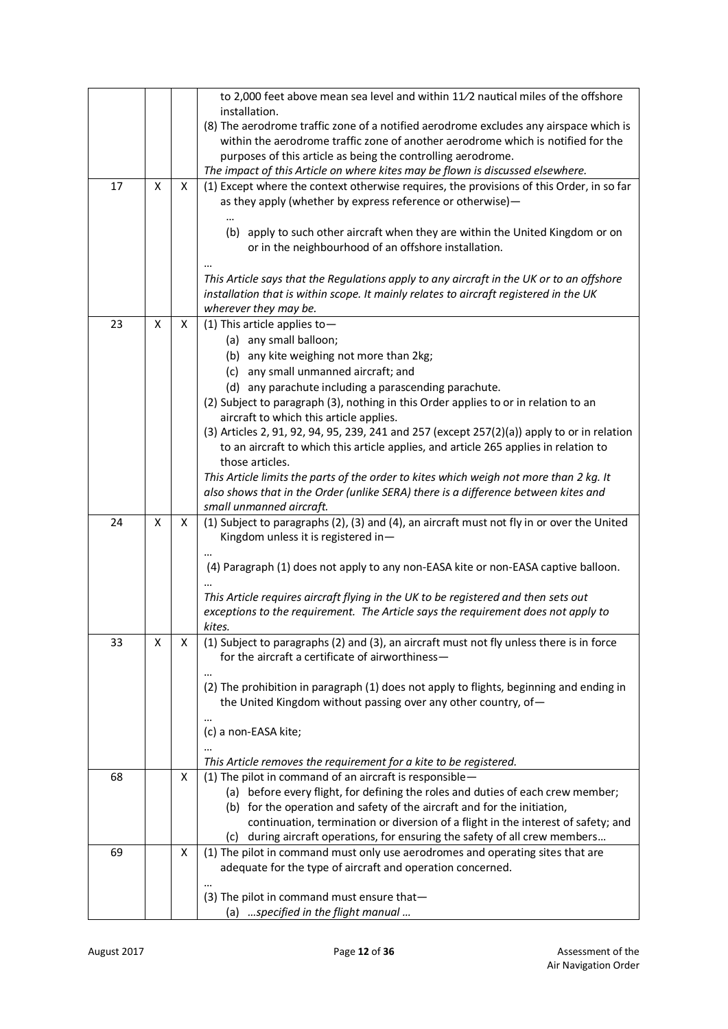|    |   |   | to 2,000 feet above mean sea level and within 11/2 nautical miles of the offshore                                                                                |
|----|---|---|------------------------------------------------------------------------------------------------------------------------------------------------------------------|
|    |   |   | installation.<br>(8) The aerodrome traffic zone of a notified aerodrome excludes any airspace which is                                                           |
|    |   |   | within the aerodrome traffic zone of another aerodrome which is notified for the                                                                                 |
|    |   |   | purposes of this article as being the controlling aerodrome.                                                                                                     |
|    |   |   | The impact of this Article on where kites may be flown is discussed elsewhere.                                                                                   |
| 17 | X | X | (1) Except where the context otherwise requires, the provisions of this Order, in so far                                                                         |
|    |   |   | as they apply (whether by express reference or otherwise)-                                                                                                       |
|    |   |   | (b) apply to such other aircraft when they are within the United Kingdom or on                                                                                   |
|    |   |   | or in the neighbourhood of an offshore installation.                                                                                                             |
|    |   |   |                                                                                                                                                                  |
|    |   |   | This Article says that the Regulations apply to any aircraft in the UK or to an offshore                                                                         |
|    |   |   | installation that is within scope. It mainly relates to aircraft registered in the UK                                                                            |
|    |   |   | wherever they may be.                                                                                                                                            |
| 23 | X | X | (1) This article applies to $-$                                                                                                                                  |
|    |   |   | (a) any small balloon;<br>(b) any kite weighing not more than 2kg;                                                                                               |
|    |   |   | (c) any small unmanned aircraft; and                                                                                                                             |
|    |   |   | (d) any parachute including a parascending parachute.                                                                                                            |
|    |   |   | (2) Subject to paragraph (3), nothing in this Order applies to or in relation to an                                                                              |
|    |   |   | aircraft to which this article applies.                                                                                                                          |
|    |   |   | (3) Articles 2, 91, 92, 94, 95, 239, 241 and 257 (except 257(2)(a)) apply to or in relation                                                                      |
|    |   |   | to an aircraft to which this article applies, and article 265 applies in relation to                                                                             |
|    |   |   | those articles.<br>This Article limits the parts of the order to kites which weigh not more than 2 kg. It                                                        |
|    |   |   | also shows that in the Order (unlike SERA) there is a difference between kites and                                                                               |
|    |   |   | small unmanned aircraft.                                                                                                                                         |
| 24 | X | X | (1) Subject to paragraphs (2), (3) and (4), an aircraft must not fly in or over the United                                                                       |
|    |   |   | Kingdom unless it is registered in-                                                                                                                              |
|    |   |   | (4) Paragraph (1) does not apply to any non-EASA kite or non-EASA captive balloon.                                                                               |
|    |   |   |                                                                                                                                                                  |
|    |   |   | This Article requires aircraft flying in the UK to be registered and then sets out                                                                               |
|    |   |   | exceptions to the requirement. The Article says the requirement does not apply to                                                                                |
| 33 | x | x | kites.<br>(1) Subject to paragraphs (2) and (3), an aircraft must not fly unless there is in force                                                               |
|    |   |   | for the aircraft a certificate of airworthiness-                                                                                                                 |
|    |   |   |                                                                                                                                                                  |
|    |   |   | (2) The prohibition in paragraph (1) does not apply to flights, beginning and ending in                                                                          |
|    |   |   | the United Kingdom without passing over any other country, of-                                                                                                   |
|    |   |   |                                                                                                                                                                  |
|    |   |   | (c) a non-EASA kite;                                                                                                                                             |
|    |   |   | This Article removes the requirement for a kite to be registered.                                                                                                |
| 68 |   | X | (1) The pilot in command of an aircraft is responsible-                                                                                                          |
|    |   |   | (a) before every flight, for defining the roles and duties of each crew member;                                                                                  |
|    |   |   | (b) for the operation and safety of the aircraft and for the initiation,                                                                                         |
|    |   |   | continuation, termination or diversion of a flight in the interest of safety; and<br>(c) during aircraft operations, for ensuring the safety of all crew members |
| 69 |   | X | (1) The pilot in command must only use aerodromes and operating sites that are                                                                                   |
|    |   |   | adequate for the type of aircraft and operation concerned.                                                                                                       |
|    |   |   |                                                                                                                                                                  |
|    |   |   | (3) The pilot in command must ensure that-                                                                                                                       |
|    |   |   | (a) specified in the flight manual                                                                                                                               |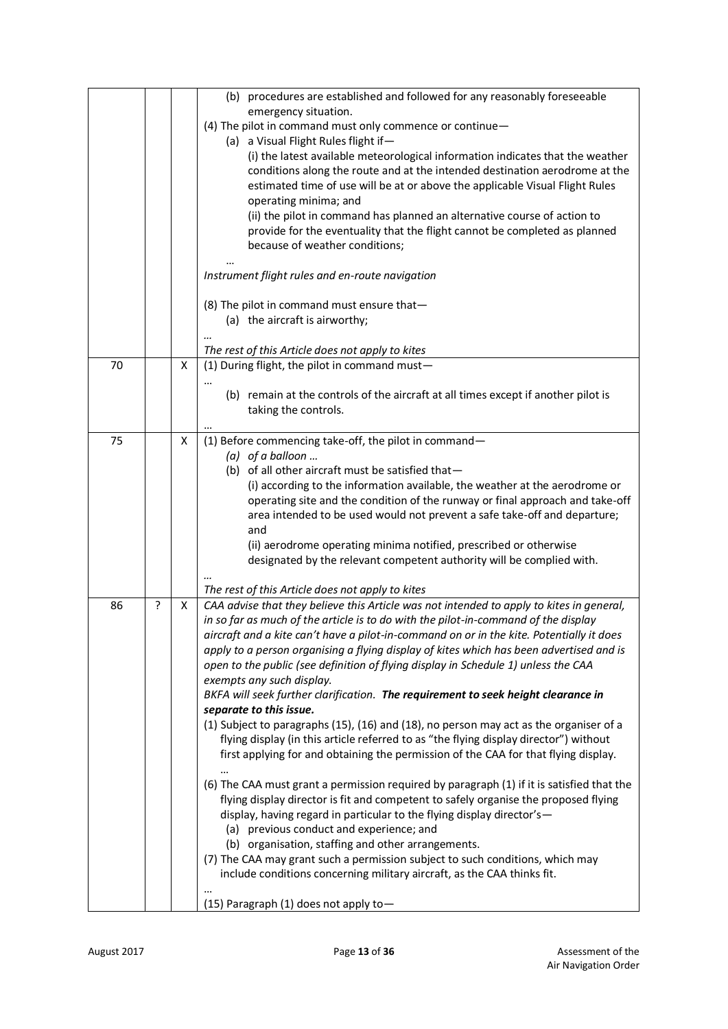|    |   |   | (b) procedures are established and followed for any reasonably foreseeable                                                                                                    |
|----|---|---|-------------------------------------------------------------------------------------------------------------------------------------------------------------------------------|
|    |   |   | emergency situation.                                                                                                                                                          |
|    |   |   | (4) The pilot in command must only commence or continue-<br>(a) a Visual Flight Rules flight if-                                                                              |
|    |   |   | (i) the latest available meteorological information indicates that the weather                                                                                                |
|    |   |   | conditions along the route and at the intended destination aerodrome at the                                                                                                   |
|    |   |   | estimated time of use will be at or above the applicable Visual Flight Rules                                                                                                  |
|    |   |   | operating minima; and                                                                                                                                                         |
|    |   |   | (ii) the pilot in command has planned an alternative course of action to                                                                                                      |
|    |   |   | provide for the eventuality that the flight cannot be completed as planned<br>because of weather conditions;                                                                  |
|    |   |   | Instrument flight rules and en-route navigation                                                                                                                               |
|    |   |   |                                                                                                                                                                               |
|    |   |   | (8) The pilot in command must ensure that-                                                                                                                                    |
|    |   |   | (a) the aircraft is airworthy;                                                                                                                                                |
|    |   |   | The rest of this Article does not apply to kites                                                                                                                              |
| 70 |   | X | (1) During flight, the pilot in command must-                                                                                                                                 |
|    |   |   | $\ddotsc$                                                                                                                                                                     |
|    |   |   | (b) remain at the controls of the aircraft at all times except if another pilot is                                                                                            |
|    |   |   | taking the controls.                                                                                                                                                          |
|    |   |   |                                                                                                                                                                               |
| 75 |   | x | (1) Before commencing take-off, the pilot in command-                                                                                                                         |
|    |   |   | $(a)$ of a balloon                                                                                                                                                            |
|    |   |   | (b) of all other aircraft must be satisfied that-<br>(i) according to the information available, the weather at the aerodrome or                                              |
|    |   |   | operating site and the condition of the runway or final approach and take-off                                                                                                 |
|    |   |   | area intended to be used would not prevent a safe take-off and departure;                                                                                                     |
|    |   |   | and                                                                                                                                                                           |
|    |   |   | (ii) aerodrome operating minima notified, prescribed or otherwise                                                                                                             |
|    |   |   | designated by the relevant competent authority will be complied with.                                                                                                         |
|    |   |   |                                                                                                                                                                               |
|    |   |   | The rest of this Article does not apply to kites                                                                                                                              |
| 86 | ? | X | CAA advise that they believe this Article was not intended to apply to kites in general,                                                                                      |
|    |   |   | in so far as much of the article is to do with the pilot-in-command of the display                                                                                            |
|    |   |   | aircraft and a kite can't have a pilot-in-command on or in the kite. Potentially it does                                                                                      |
|    |   |   | apply to a person organising a flying display of kites which has been advertised and is<br>open to the public (see definition of flying display in Schedule 1) unless the CAA |
|    |   |   | exempts any such display.                                                                                                                                                     |
|    |   |   | BKFA will seek further clarification. The requirement to seek height clearance in                                                                                             |
|    |   |   | separate to this issue.                                                                                                                                                       |
|    |   |   | (1) Subject to paragraphs (15), (16) and (18), no person may act as the organiser of a                                                                                        |
|    |   |   | flying display (in this article referred to as "the flying display director") without                                                                                         |
|    |   |   | first applying for and obtaining the permission of the CAA for that flying display.<br>$\ddotsc$                                                                              |
|    |   |   | (6) The CAA must grant a permission required by paragraph (1) if it is satisfied that the                                                                                     |
|    |   |   | flying display director is fit and competent to safely organise the proposed flying                                                                                           |
|    |   |   | display, having regard in particular to the flying display director's-                                                                                                        |
|    |   |   | (a) previous conduct and experience; and                                                                                                                                      |
|    |   |   | (b) organisation, staffing and other arrangements.                                                                                                                            |
|    |   |   | (7) The CAA may grant such a permission subject to such conditions, which may                                                                                                 |
|    |   |   | include conditions concerning military aircraft, as the CAA thinks fit.                                                                                                       |
|    |   |   | (15) Paragraph (1) does not apply to-                                                                                                                                         |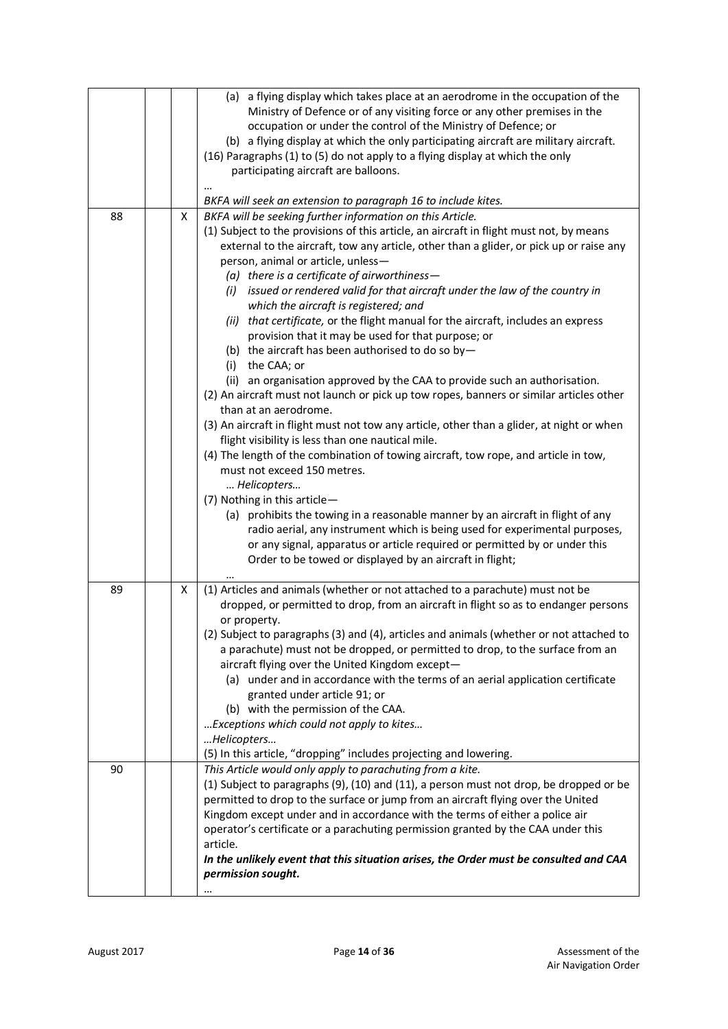|    |   | (a) a flying display which takes place at an aerodrome in the occupation of the<br>Ministry of Defence or of any visiting force or any other premises in the<br>occupation or under the control of the Ministry of Defence; or<br>(b) a flying display at which the only participating aircraft are military aircraft.<br>(16) Paragraphs (1) to (5) do not apply to a flying display at which the only<br>participating aircraft are balloons.<br>BKFA will seek an extension to paragraph 16 to include kites.                                                                                                                                                                                                                                                                                                                                                                                                                                                                                                                                                                                                                                                                                                                                                                                                                                                                                      |
|----|---|-------------------------------------------------------------------------------------------------------------------------------------------------------------------------------------------------------------------------------------------------------------------------------------------------------------------------------------------------------------------------------------------------------------------------------------------------------------------------------------------------------------------------------------------------------------------------------------------------------------------------------------------------------------------------------------------------------------------------------------------------------------------------------------------------------------------------------------------------------------------------------------------------------------------------------------------------------------------------------------------------------------------------------------------------------------------------------------------------------------------------------------------------------------------------------------------------------------------------------------------------------------------------------------------------------------------------------------------------------------------------------------------------------|
| 88 | X | BKFA will be seeking further information on this Article.                                                                                                                                                                                                                                                                                                                                                                                                                                                                                                                                                                                                                                                                                                                                                                                                                                                                                                                                                                                                                                                                                                                                                                                                                                                                                                                                             |
|    |   | (1) Subject to the provisions of this article, an aircraft in flight must not, by means<br>external to the aircraft, tow any article, other than a glider, or pick up or raise any<br>person, animal or article, unless-<br>(a) there is a certificate of airworthiness $-$<br>(i) issued or rendered valid for that aircraft under the law of the country in<br>which the aircraft is registered; and<br>(ii) that certificate, or the flight manual for the aircraft, includes an express<br>provision that it may be used for that purpose; or<br>(b) the aircraft has been authorised to do so by-<br>(i)<br>the CAA; or<br>(ii) an organisation approved by the CAA to provide such an authorisation.<br>(2) An aircraft must not launch or pick up tow ropes, banners or similar articles other<br>than at an aerodrome.<br>(3) An aircraft in flight must not tow any article, other than a glider, at night or when<br>flight visibility is less than one nautical mile.<br>(4) The length of the combination of towing aircraft, tow rope, and article in tow,<br>must not exceed 150 metres.<br>Helicopters<br>(7) Nothing in this article-<br>(a) prohibits the towing in a reasonable manner by an aircraft in flight of any<br>radio aerial, any instrument which is being used for experimental purposes,<br>or any signal, apparatus or article required or permitted by or under this |
|    |   | Order to be towed or displayed by an aircraft in flight;                                                                                                                                                                                                                                                                                                                                                                                                                                                                                                                                                                                                                                                                                                                                                                                                                                                                                                                                                                                                                                                                                                                                                                                                                                                                                                                                              |
| 89 | X | (1) Articles and animals (whether or not attached to a parachute) must not be<br>dropped, or permitted to drop, from an aircraft in flight so as to endanger persons<br>or property.<br>(2) Subject to paragraphs (3) and (4), articles and animals (whether or not attached to<br>a parachute) must not be dropped, or permitted to drop, to the surface from an<br>aircraft flying over the United Kingdom except-<br>(a) under and in accordance with the terms of an aerial application certificate<br>granted under article 91; or<br>(b) with the permission of the CAA.<br>Exceptions which could not apply to kites<br>Helicopters<br>(5) In this article, "dropping" includes projecting and lowering.                                                                                                                                                                                                                                                                                                                                                                                                                                                                                                                                                                                                                                                                                       |
| 90 |   | This Article would only apply to parachuting from a kite.<br>(1) Subject to paragraphs (9), (10) and (11), a person must not drop, be dropped or be<br>permitted to drop to the surface or jump from an aircraft flying over the United<br>Kingdom except under and in accordance with the terms of either a police air<br>operator's certificate or a parachuting permission granted by the CAA under this<br>article.<br>In the unlikely event that this situation arises, the Order must be consulted and CAA<br>permission sought.                                                                                                                                                                                                                                                                                                                                                                                                                                                                                                                                                                                                                                                                                                                                                                                                                                                                |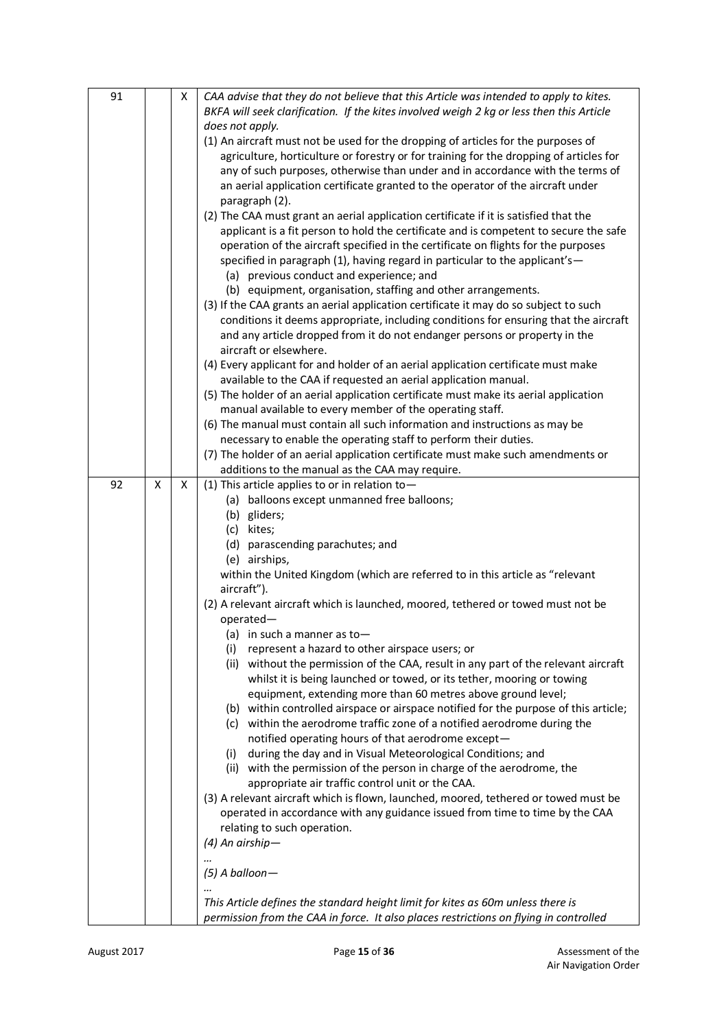| BKFA will seek clarification. If the kites involved weigh 2 kg or less then this Article<br>does not apply.<br>(1) An aircraft must not be used for the dropping of articles for the purposes of<br>agriculture, horticulture or forestry or for training for the dropping of articles for<br>any of such purposes, otherwise than under and in accordance with the terms of<br>an aerial application certificate granted to the operator of the aircraft under<br>paragraph (2).<br>(2) The CAA must grant an aerial application certificate if it is satisfied that the<br>applicant is a fit person to hold the certificate and is competent to secure the safe<br>operation of the aircraft specified in the certificate on flights for the purposes<br>specified in paragraph (1), having regard in particular to the applicant's-<br>(a) previous conduct and experience; and<br>(b) equipment, organisation, staffing and other arrangements.<br>(3) If the CAA grants an aerial application certificate it may do so subject to such<br>conditions it deems appropriate, including conditions for ensuring that the aircraft<br>and any article dropped from it do not endanger persons or property in the | 91 | Χ | CAA advise that they do not believe that this Article was intended to apply to kites. |
|--------------------------------------------------------------------------------------------------------------------------------------------------------------------------------------------------------------------------------------------------------------------------------------------------------------------------------------------------------------------------------------------------------------------------------------------------------------------------------------------------------------------------------------------------------------------------------------------------------------------------------------------------------------------------------------------------------------------------------------------------------------------------------------------------------------------------------------------------------------------------------------------------------------------------------------------------------------------------------------------------------------------------------------------------------------------------------------------------------------------------------------------------------------------------------------------------------------------|----|---|---------------------------------------------------------------------------------------|
|                                                                                                                                                                                                                                                                                                                                                                                                                                                                                                                                                                                                                                                                                                                                                                                                                                                                                                                                                                                                                                                                                                                                                                                                                    |    |   |                                                                                       |
|                                                                                                                                                                                                                                                                                                                                                                                                                                                                                                                                                                                                                                                                                                                                                                                                                                                                                                                                                                                                                                                                                                                                                                                                                    |    |   |                                                                                       |
|                                                                                                                                                                                                                                                                                                                                                                                                                                                                                                                                                                                                                                                                                                                                                                                                                                                                                                                                                                                                                                                                                                                                                                                                                    |    |   |                                                                                       |
|                                                                                                                                                                                                                                                                                                                                                                                                                                                                                                                                                                                                                                                                                                                                                                                                                                                                                                                                                                                                                                                                                                                                                                                                                    |    |   |                                                                                       |
|                                                                                                                                                                                                                                                                                                                                                                                                                                                                                                                                                                                                                                                                                                                                                                                                                                                                                                                                                                                                                                                                                                                                                                                                                    |    |   |                                                                                       |
|                                                                                                                                                                                                                                                                                                                                                                                                                                                                                                                                                                                                                                                                                                                                                                                                                                                                                                                                                                                                                                                                                                                                                                                                                    |    |   |                                                                                       |
|                                                                                                                                                                                                                                                                                                                                                                                                                                                                                                                                                                                                                                                                                                                                                                                                                                                                                                                                                                                                                                                                                                                                                                                                                    |    |   |                                                                                       |
|                                                                                                                                                                                                                                                                                                                                                                                                                                                                                                                                                                                                                                                                                                                                                                                                                                                                                                                                                                                                                                                                                                                                                                                                                    |    |   |                                                                                       |
|                                                                                                                                                                                                                                                                                                                                                                                                                                                                                                                                                                                                                                                                                                                                                                                                                                                                                                                                                                                                                                                                                                                                                                                                                    |    |   |                                                                                       |
|                                                                                                                                                                                                                                                                                                                                                                                                                                                                                                                                                                                                                                                                                                                                                                                                                                                                                                                                                                                                                                                                                                                                                                                                                    |    |   |                                                                                       |
|                                                                                                                                                                                                                                                                                                                                                                                                                                                                                                                                                                                                                                                                                                                                                                                                                                                                                                                                                                                                                                                                                                                                                                                                                    |    |   |                                                                                       |
|                                                                                                                                                                                                                                                                                                                                                                                                                                                                                                                                                                                                                                                                                                                                                                                                                                                                                                                                                                                                                                                                                                                                                                                                                    |    |   |                                                                                       |
|                                                                                                                                                                                                                                                                                                                                                                                                                                                                                                                                                                                                                                                                                                                                                                                                                                                                                                                                                                                                                                                                                                                                                                                                                    |    |   |                                                                                       |
|                                                                                                                                                                                                                                                                                                                                                                                                                                                                                                                                                                                                                                                                                                                                                                                                                                                                                                                                                                                                                                                                                                                                                                                                                    |    |   |                                                                                       |
|                                                                                                                                                                                                                                                                                                                                                                                                                                                                                                                                                                                                                                                                                                                                                                                                                                                                                                                                                                                                                                                                                                                                                                                                                    |    |   |                                                                                       |
|                                                                                                                                                                                                                                                                                                                                                                                                                                                                                                                                                                                                                                                                                                                                                                                                                                                                                                                                                                                                                                                                                                                                                                                                                    |    |   |                                                                                       |
|                                                                                                                                                                                                                                                                                                                                                                                                                                                                                                                                                                                                                                                                                                                                                                                                                                                                                                                                                                                                                                                                                                                                                                                                                    |    |   | aircraft or elsewhere.                                                                |
| (4) Every applicant for and holder of an aerial application certificate must make                                                                                                                                                                                                                                                                                                                                                                                                                                                                                                                                                                                                                                                                                                                                                                                                                                                                                                                                                                                                                                                                                                                                  |    |   |                                                                                       |
| available to the CAA if requested an aerial application manual.                                                                                                                                                                                                                                                                                                                                                                                                                                                                                                                                                                                                                                                                                                                                                                                                                                                                                                                                                                                                                                                                                                                                                    |    |   |                                                                                       |
| (5) The holder of an aerial application certificate must make its aerial application                                                                                                                                                                                                                                                                                                                                                                                                                                                                                                                                                                                                                                                                                                                                                                                                                                                                                                                                                                                                                                                                                                                               |    |   |                                                                                       |
| manual available to every member of the operating staff.                                                                                                                                                                                                                                                                                                                                                                                                                                                                                                                                                                                                                                                                                                                                                                                                                                                                                                                                                                                                                                                                                                                                                           |    |   |                                                                                       |
| (6) The manual must contain all such information and instructions as may be                                                                                                                                                                                                                                                                                                                                                                                                                                                                                                                                                                                                                                                                                                                                                                                                                                                                                                                                                                                                                                                                                                                                        |    |   |                                                                                       |
| necessary to enable the operating staff to perform their duties.                                                                                                                                                                                                                                                                                                                                                                                                                                                                                                                                                                                                                                                                                                                                                                                                                                                                                                                                                                                                                                                                                                                                                   |    |   |                                                                                       |
| (7) The holder of an aerial application certificate must make such amendments or                                                                                                                                                                                                                                                                                                                                                                                                                                                                                                                                                                                                                                                                                                                                                                                                                                                                                                                                                                                                                                                                                                                                   |    |   |                                                                                       |
| additions to the manual as the CAA may require.                                                                                                                                                                                                                                                                                                                                                                                                                                                                                                                                                                                                                                                                                                                                                                                                                                                                                                                                                                                                                                                                                                                                                                    |    |   |                                                                                       |
| 92<br>(1) This article applies to or in relation to $-$<br>X<br>X                                                                                                                                                                                                                                                                                                                                                                                                                                                                                                                                                                                                                                                                                                                                                                                                                                                                                                                                                                                                                                                                                                                                                  |    |   |                                                                                       |
| (a) balloons except unmanned free balloons;                                                                                                                                                                                                                                                                                                                                                                                                                                                                                                                                                                                                                                                                                                                                                                                                                                                                                                                                                                                                                                                                                                                                                                        |    |   |                                                                                       |
| (b) gliders;                                                                                                                                                                                                                                                                                                                                                                                                                                                                                                                                                                                                                                                                                                                                                                                                                                                                                                                                                                                                                                                                                                                                                                                                       |    |   |                                                                                       |
| (c) kites;                                                                                                                                                                                                                                                                                                                                                                                                                                                                                                                                                                                                                                                                                                                                                                                                                                                                                                                                                                                                                                                                                                                                                                                                         |    |   |                                                                                       |
| (d) parascending parachutes; and                                                                                                                                                                                                                                                                                                                                                                                                                                                                                                                                                                                                                                                                                                                                                                                                                                                                                                                                                                                                                                                                                                                                                                                   |    |   |                                                                                       |
| (e) airships,                                                                                                                                                                                                                                                                                                                                                                                                                                                                                                                                                                                                                                                                                                                                                                                                                                                                                                                                                                                                                                                                                                                                                                                                      |    |   |                                                                                       |
| within the United Kingdom (which are referred to in this article as "relevant                                                                                                                                                                                                                                                                                                                                                                                                                                                                                                                                                                                                                                                                                                                                                                                                                                                                                                                                                                                                                                                                                                                                      |    |   |                                                                                       |
| aircraft").                                                                                                                                                                                                                                                                                                                                                                                                                                                                                                                                                                                                                                                                                                                                                                                                                                                                                                                                                                                                                                                                                                                                                                                                        |    |   |                                                                                       |
| (2) A relevant aircraft which is launched, moored, tethered or towed must not be                                                                                                                                                                                                                                                                                                                                                                                                                                                                                                                                                                                                                                                                                                                                                                                                                                                                                                                                                                                                                                                                                                                                   |    |   |                                                                                       |
| operated-                                                                                                                                                                                                                                                                                                                                                                                                                                                                                                                                                                                                                                                                                                                                                                                                                                                                                                                                                                                                                                                                                                                                                                                                          |    |   |                                                                                       |
| $(a)$ in such a manner as to-                                                                                                                                                                                                                                                                                                                                                                                                                                                                                                                                                                                                                                                                                                                                                                                                                                                                                                                                                                                                                                                                                                                                                                                      |    |   |                                                                                       |
| (i) represent a hazard to other airspace users; or                                                                                                                                                                                                                                                                                                                                                                                                                                                                                                                                                                                                                                                                                                                                                                                                                                                                                                                                                                                                                                                                                                                                                                 |    |   |                                                                                       |
|                                                                                                                                                                                                                                                                                                                                                                                                                                                                                                                                                                                                                                                                                                                                                                                                                                                                                                                                                                                                                                                                                                                                                                                                                    |    |   | (ii) without the permission of the CAA, result in any part of the relevant aircraft   |
| whilst it is being launched or towed, or its tether, mooring or towing                                                                                                                                                                                                                                                                                                                                                                                                                                                                                                                                                                                                                                                                                                                                                                                                                                                                                                                                                                                                                                                                                                                                             |    |   |                                                                                       |
| equipment, extending more than 60 metres above ground level;                                                                                                                                                                                                                                                                                                                                                                                                                                                                                                                                                                                                                                                                                                                                                                                                                                                                                                                                                                                                                                                                                                                                                       |    |   |                                                                                       |
|                                                                                                                                                                                                                                                                                                                                                                                                                                                                                                                                                                                                                                                                                                                                                                                                                                                                                                                                                                                                                                                                                                                                                                                                                    |    |   | (b) within controlled airspace or airspace notified for the purpose of this article;  |
| (c) within the aerodrome traffic zone of a notified aerodrome during the                                                                                                                                                                                                                                                                                                                                                                                                                                                                                                                                                                                                                                                                                                                                                                                                                                                                                                                                                                                                                                                                                                                                           |    |   |                                                                                       |
| notified operating hours of that aerodrome except-                                                                                                                                                                                                                                                                                                                                                                                                                                                                                                                                                                                                                                                                                                                                                                                                                                                                                                                                                                                                                                                                                                                                                                 |    |   |                                                                                       |
| during the day and in Visual Meteorological Conditions; and<br>(i)                                                                                                                                                                                                                                                                                                                                                                                                                                                                                                                                                                                                                                                                                                                                                                                                                                                                                                                                                                                                                                                                                                                                                 |    |   |                                                                                       |
| (ii) with the permission of the person in charge of the aerodrome, the                                                                                                                                                                                                                                                                                                                                                                                                                                                                                                                                                                                                                                                                                                                                                                                                                                                                                                                                                                                                                                                                                                                                             |    |   |                                                                                       |
| appropriate air traffic control unit or the CAA.                                                                                                                                                                                                                                                                                                                                                                                                                                                                                                                                                                                                                                                                                                                                                                                                                                                                                                                                                                                                                                                                                                                                                                   |    |   |                                                                                       |
| (3) A relevant aircraft which is flown, launched, moored, tethered or towed must be                                                                                                                                                                                                                                                                                                                                                                                                                                                                                                                                                                                                                                                                                                                                                                                                                                                                                                                                                                                                                                                                                                                                |    |   |                                                                                       |
| operated in accordance with any guidance issued from time to time by the CAA                                                                                                                                                                                                                                                                                                                                                                                                                                                                                                                                                                                                                                                                                                                                                                                                                                                                                                                                                                                                                                                                                                                                       |    |   |                                                                                       |
| relating to such operation.                                                                                                                                                                                                                                                                                                                                                                                                                                                                                                                                                                                                                                                                                                                                                                                                                                                                                                                                                                                                                                                                                                                                                                                        |    |   |                                                                                       |
|                                                                                                                                                                                                                                                                                                                                                                                                                                                                                                                                                                                                                                                                                                                                                                                                                                                                                                                                                                                                                                                                                                                                                                                                                    |    |   |                                                                                       |
|                                                                                                                                                                                                                                                                                                                                                                                                                                                                                                                                                                                                                                                                                                                                                                                                                                                                                                                                                                                                                                                                                                                                                                                                                    |    |   |                                                                                       |
|                                                                                                                                                                                                                                                                                                                                                                                                                                                                                                                                                                                                                                                                                                                                                                                                                                                                                                                                                                                                                                                                                                                                                                                                                    |    |   | $(4)$ An airship-                                                                     |
|                                                                                                                                                                                                                                                                                                                                                                                                                                                                                                                                                                                                                                                                                                                                                                                                                                                                                                                                                                                                                                                                                                                                                                                                                    |    |   |                                                                                       |
|                                                                                                                                                                                                                                                                                                                                                                                                                                                                                                                                                                                                                                                                                                                                                                                                                                                                                                                                                                                                                                                                                                                                                                                                                    |    |   | $(5)$ A balloon-                                                                      |
| permission from the CAA in force. It also places restrictions on flying in controlled                                                                                                                                                                                                                                                                                                                                                                                                                                                                                                                                                                                                                                                                                                                                                                                                                                                                                                                                                                                                                                                                                                                              |    |   | This Article defines the standard height limit for kites as 60m unless there is       |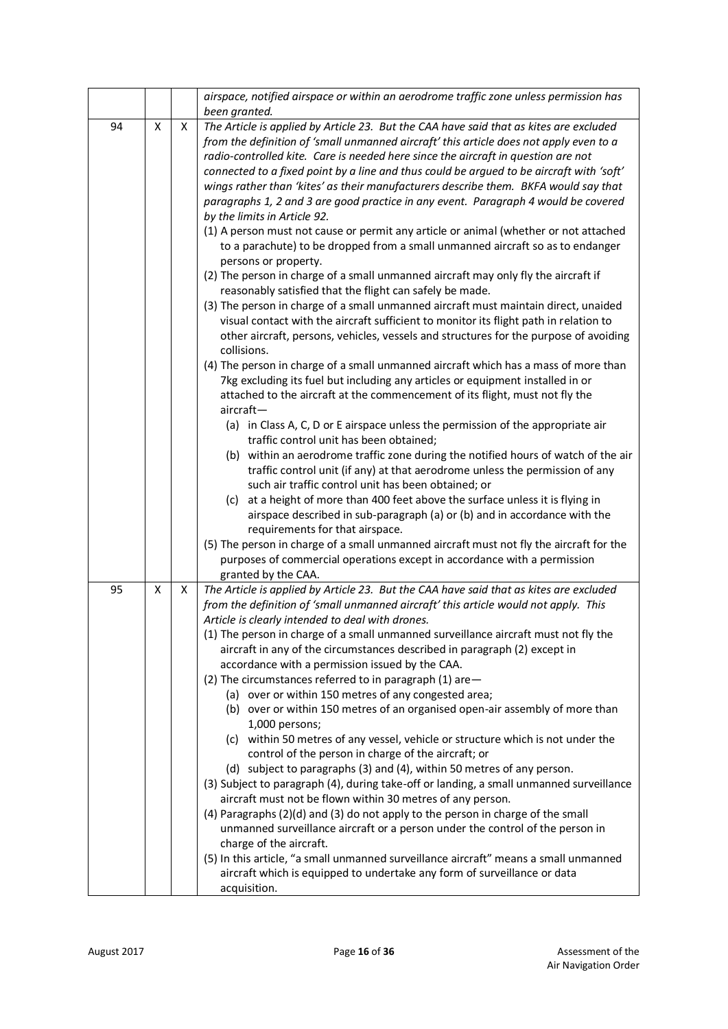|    |   |   | airspace, notified airspace or within an aerodrome traffic zone unless permission has                                                                                                                                                                                                                                                                                                                                                                                                                                                                                                                                                                                                                                                                                                                                                                                                                                                                                                                                                                                                                                                                                                                                                                                                                                                                                                                                                         |
|----|---|---|-----------------------------------------------------------------------------------------------------------------------------------------------------------------------------------------------------------------------------------------------------------------------------------------------------------------------------------------------------------------------------------------------------------------------------------------------------------------------------------------------------------------------------------------------------------------------------------------------------------------------------------------------------------------------------------------------------------------------------------------------------------------------------------------------------------------------------------------------------------------------------------------------------------------------------------------------------------------------------------------------------------------------------------------------------------------------------------------------------------------------------------------------------------------------------------------------------------------------------------------------------------------------------------------------------------------------------------------------------------------------------------------------------------------------------------------------|
| 94 | X | X | been granted.<br>The Article is applied by Article 23. But the CAA have said that as kites are excluded<br>from the definition of 'small unmanned aircraft' this article does not apply even to a<br>radio-controlled kite. Care is needed here since the aircraft in question are not<br>connected to a fixed point by a line and thus could be argued to be aircraft with 'soft'<br>wings rather than 'kites' as their manufacturers describe them. BKFA would say that<br>paragraphs 1, 2 and 3 are good practice in any event. Paragraph 4 would be covered<br>by the limits in Article 92.<br>(1) A person must not cause or permit any article or animal (whether or not attached<br>to a parachute) to be dropped from a small unmanned aircraft so as to endanger<br>persons or property.<br>(2) The person in charge of a small unmanned aircraft may only fly the aircraft if<br>reasonably satisfied that the flight can safely be made.<br>(3) The person in charge of a small unmanned aircraft must maintain direct, unaided<br>visual contact with the aircraft sufficient to monitor its flight path in relation to<br>other aircraft, persons, vehicles, vessels and structures for the purpose of avoiding<br>collisions.<br>(4) The person in charge of a small unmanned aircraft which has a mass of more than                                                                                                            |
|    |   |   | 7kg excluding its fuel but including any articles or equipment installed in or<br>attached to the aircraft at the commencement of its flight, must not fly the<br>$aircraft -$<br>(a) in Class A, C, D or E airspace unless the permission of the appropriate air<br>traffic control unit has been obtained;<br>(b) within an aerodrome traffic zone during the notified hours of watch of the air<br>traffic control unit (if any) at that aerodrome unless the permission of any<br>such air traffic control unit has been obtained; or<br>(c) at a height of more than 400 feet above the surface unless it is flying in<br>airspace described in sub-paragraph (a) or (b) and in accordance with the<br>requirements for that airspace.<br>(5) The person in charge of a small unmanned aircraft must not fly the aircraft for the<br>purposes of commercial operations except in accordance with a permission<br>granted by the CAA.                                                                                                                                                                                                                                                                                                                                                                                                                                                                                                     |
| 95 | X | X | The Article is applied by Article 23. But the CAA have said that as kites are excluded<br>from the definition of 'small unmanned aircraft' this article would not apply. This<br>Article is clearly intended to deal with drones.<br>(1) The person in charge of a small unmanned surveillance aircraft must not fly the<br>aircraft in any of the circumstances described in paragraph (2) except in<br>accordance with a permission issued by the CAA.<br>(2) The circumstances referred to in paragraph (1) are-<br>(a) over or within 150 metres of any congested area;<br>(b) over or within 150 metres of an organised open-air assembly of more than<br>1,000 persons;<br>(c) within 50 metres of any vessel, vehicle or structure which is not under the<br>control of the person in charge of the aircraft; or<br>(d) subject to paragraphs (3) and (4), within 50 metres of any person.<br>(3) Subject to paragraph (4), during take-off or landing, a small unmanned surveillance<br>aircraft must not be flown within 30 metres of any person.<br>(4) Paragraphs (2)(d) and (3) do not apply to the person in charge of the small<br>unmanned surveillance aircraft or a person under the control of the person in<br>charge of the aircraft.<br>(5) In this article, "a small unmanned surveillance aircraft" means a small unmanned<br>aircraft which is equipped to undertake any form of surveillance or data<br>acquisition. |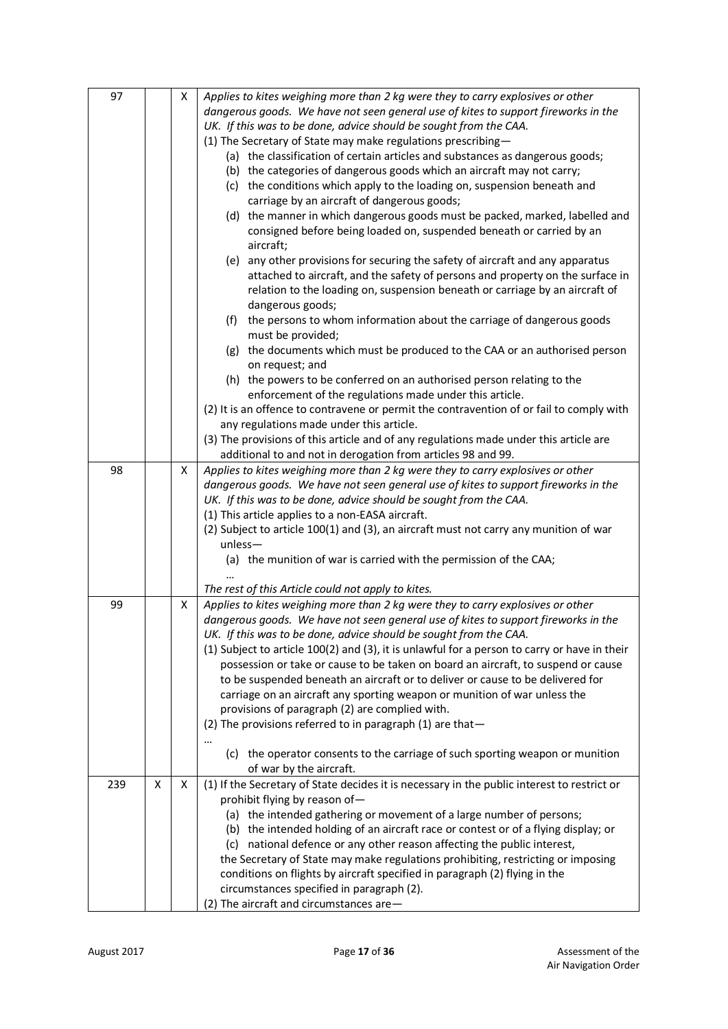| 97  |   | x | Applies to kites weighing more than 2 kg were they to carry explosives or other              |  |  |  |
|-----|---|---|----------------------------------------------------------------------------------------------|--|--|--|
|     |   |   | dangerous goods. We have not seen general use of kites to support fireworks in the           |  |  |  |
|     |   |   | UK. If this was to be done, advice should be sought from the CAA.                            |  |  |  |
|     |   |   | (1) The Secretary of State may make regulations prescribing-                                 |  |  |  |
|     |   |   |                                                                                              |  |  |  |
|     |   |   | (a) the classification of certain articles and substances as dangerous goods;                |  |  |  |
|     |   |   | (b) the categories of dangerous goods which an aircraft may not carry;                       |  |  |  |
|     |   |   | (c) the conditions which apply to the loading on, suspension beneath and                     |  |  |  |
|     |   |   | carriage by an aircraft of dangerous goods;                                                  |  |  |  |
|     |   |   | (d) the manner in which dangerous goods must be packed, marked, labelled and                 |  |  |  |
|     |   |   | consigned before being loaded on, suspended beneath or carried by an                         |  |  |  |
|     |   |   | aircraft;                                                                                    |  |  |  |
|     |   |   | (e) any other provisions for securing the safety of aircraft and any apparatus               |  |  |  |
|     |   |   | attached to aircraft, and the safety of persons and property on the surface in               |  |  |  |
|     |   |   | relation to the loading on, suspension beneath or carriage by an aircraft of                 |  |  |  |
|     |   |   | dangerous goods;                                                                             |  |  |  |
|     |   |   | the persons to whom information about the carriage of dangerous goods<br>(f)                 |  |  |  |
|     |   |   | must be provided;                                                                            |  |  |  |
|     |   |   | (g) the documents which must be produced to the CAA or an authorised person                  |  |  |  |
|     |   |   | on request; and                                                                              |  |  |  |
|     |   |   | (h) the powers to be conferred on an authorised person relating to the                       |  |  |  |
|     |   |   | enforcement of the regulations made under this article.                                      |  |  |  |
|     |   |   | (2) It is an offence to contravene or permit the contravention of or fail to comply with     |  |  |  |
|     |   |   | any regulations made under this article.                                                     |  |  |  |
|     |   |   | (3) The provisions of this article and of any regulations made under this article are        |  |  |  |
|     |   |   | additional to and not in derogation from articles 98 and 99.                                 |  |  |  |
|     |   |   | Applies to kites weighing more than 2 kg were they to carry explosives or other              |  |  |  |
| 98  |   | Χ |                                                                                              |  |  |  |
|     |   |   | dangerous goods. We have not seen general use of kites to support fireworks in the           |  |  |  |
|     |   |   | UK. If this was to be done, advice should be sought from the CAA.                            |  |  |  |
|     |   |   | (1) This article applies to a non-EASA aircraft.                                             |  |  |  |
|     |   |   | (2) Subject to article 100(1) and (3), an aircraft must not carry any munition of war        |  |  |  |
|     |   |   | $unless -$                                                                                   |  |  |  |
|     |   |   | (a) the munition of war is carried with the permission of the CAA;                           |  |  |  |
|     |   |   |                                                                                              |  |  |  |
|     |   |   | The rest of this Article could not apply to kites.                                           |  |  |  |
| 99  |   | X | Applies to kites weighing more than 2 kg were they to carry explosives or other              |  |  |  |
|     |   |   | dangerous goods. We have not seen general use of kites to support fireworks in the           |  |  |  |
|     |   |   | UK. If this was to be done, advice should be sought from the CAA.                            |  |  |  |
|     |   |   | (1) Subject to article 100(2) and (3), it is unlawful for a person to carry or have in their |  |  |  |
|     |   |   | possession or take or cause to be taken on board an aircraft, to suspend or cause            |  |  |  |
|     |   |   | to be suspended beneath an aircraft or to deliver or cause to be delivered for               |  |  |  |
|     |   |   | carriage on an aircraft any sporting weapon or munition of war unless the                    |  |  |  |
|     |   |   | provisions of paragraph (2) are complied with.                                               |  |  |  |
|     |   |   | (2) The provisions referred to in paragraph (1) are that-                                    |  |  |  |
|     |   |   |                                                                                              |  |  |  |
|     |   |   | (c) the operator consents to the carriage of such sporting weapon or munition                |  |  |  |
|     |   |   | of war by the aircraft.                                                                      |  |  |  |
| 239 | X | X | (1) If the Secretary of State decides it is necessary in the public interest to restrict or  |  |  |  |
|     |   |   | prohibit flying by reason of-                                                                |  |  |  |
|     |   |   | (a) the intended gathering or movement of a large number of persons;                         |  |  |  |
|     |   |   |                                                                                              |  |  |  |
|     |   |   | (b) the intended holding of an aircraft race or contest or of a flying display; or           |  |  |  |
|     |   |   | (c) national defence or any other reason affecting the public interest,                      |  |  |  |
|     |   |   | the Secretary of State may make regulations prohibiting, restricting or imposing             |  |  |  |
|     |   |   | conditions on flights by aircraft specified in paragraph (2) flying in the                   |  |  |  |
|     |   |   | circumstances specified in paragraph (2).                                                    |  |  |  |
|     |   |   | (2) The aircraft and circumstances are-                                                      |  |  |  |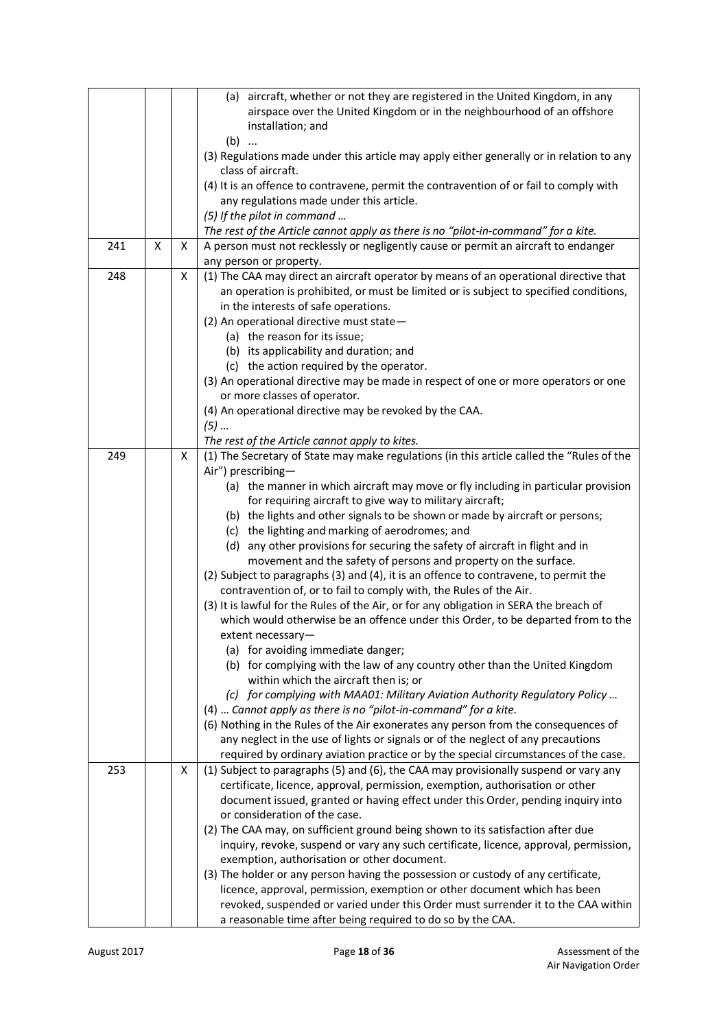|     |   |   | (a) aircraft, whether or not they are registered in the United Kingdom, in any<br>airspace over the United Kingdom or in the neighbourhood of an offshore<br>installation; and |
|-----|---|---|--------------------------------------------------------------------------------------------------------------------------------------------------------------------------------|
|     |   |   | $(b)$<br>(3) Regulations made under this article may apply either generally or in relation to any<br>class of aircraft.                                                        |
|     |   |   | (4) It is an offence to contravene, permit the contravention of or fail to comply with<br>any regulations made under this article.                                             |
|     |   |   | (5) If the pilot in command                                                                                                                                                    |
|     |   |   | The rest of the Article cannot apply as there is no "pilot-in-command" for a kite.                                                                                             |
| 241 | X | X | A person must not recklessly or negligently cause or permit an aircraft to endanger<br>any person or property.                                                                 |
| 248 |   | X | (1) The CAA may direct an aircraft operator by means of an operational directive that                                                                                          |
|     |   |   | an operation is prohibited, or must be limited or is subject to specified conditions,                                                                                          |
|     |   |   | in the interests of safe operations.                                                                                                                                           |
|     |   |   | (2) An operational directive must state-                                                                                                                                       |
|     |   |   | (a) the reason for its issue;                                                                                                                                                  |
|     |   |   | (b) its applicability and duration; and                                                                                                                                        |
|     |   |   | (c) the action required by the operator.                                                                                                                                       |
|     |   |   | (3) An operational directive may be made in respect of one or more operators or one                                                                                            |
|     |   |   | or more classes of operator.                                                                                                                                                   |
|     |   |   | (4) An operational directive may be revoked by the CAA.                                                                                                                        |
|     |   |   | $(5)$<br>The rest of the Article cannot apply to kites.                                                                                                                        |
| 249 |   | Χ | (1) The Secretary of State may make regulations (in this article called the "Rules of the                                                                                      |
|     |   |   | Air") prescribing-                                                                                                                                                             |
|     |   |   | (a) the manner in which aircraft may move or fly including in particular provision                                                                                             |
|     |   |   | for requiring aircraft to give way to military aircraft;                                                                                                                       |
|     |   |   | (b) the lights and other signals to be shown or made by aircraft or persons;                                                                                                   |
|     |   |   | (c) the lighting and marking of aerodromes; and                                                                                                                                |
|     |   |   | (d) any other provisions for securing the safety of aircraft in flight and in                                                                                                  |
|     |   |   | movement and the safety of persons and property on the surface.                                                                                                                |
|     |   |   | (2) Subject to paragraphs (3) and (4), it is an offence to contravene, to permit the                                                                                           |
|     |   |   | contravention of, or to fail to comply with, the Rules of the Air.                                                                                                             |
|     |   |   | (3) It is lawful for the Rules of the Air, or for any obligation in SERA the breach of                                                                                         |
|     |   |   | which would otherwise be an offence under this Order, to be departed from to the                                                                                               |
|     |   |   | extent necessary-                                                                                                                                                              |
|     |   |   | (a) for avoiding immediate danger;<br>(b) for complying with the law of any country other than the United Kingdom                                                              |
|     |   |   | within which the aircraft then is; or                                                                                                                                          |
|     |   |   | (c) for complying with MAA01: Military Aviation Authority Regulatory Policy                                                                                                    |
|     |   |   | (4)  Cannot apply as there is no "pilot-in-command" for a kite.                                                                                                                |
|     |   |   | (6) Nothing in the Rules of the Air exonerates any person from the consequences of                                                                                             |
|     |   |   | any neglect in the use of lights or signals or of the neglect of any precautions                                                                                               |
|     |   |   | required by ordinary aviation practice or by the special circumstances of the case.                                                                                            |
| 253 |   | X | (1) Subject to paragraphs (5) and (6), the CAA may provisionally suspend or vary any                                                                                           |
|     |   |   | certificate, licence, approval, permission, exemption, authorisation or other                                                                                                  |
|     |   |   | document issued, granted or having effect under this Order, pending inquiry into                                                                                               |
|     |   |   | or consideration of the case.                                                                                                                                                  |
|     |   |   | (2) The CAA may, on sufficient ground being shown to its satisfaction after due                                                                                                |
|     |   |   | inquiry, revoke, suspend or vary any such certificate, licence, approval, permission,                                                                                          |
|     |   |   | exemption, authorisation or other document.<br>(3) The holder or any person having the possession or custody of any certificate,                                               |
|     |   |   | licence, approval, permission, exemption or other document which has been                                                                                                      |
|     |   |   | revoked, suspended or varied under this Order must surrender it to the CAA within                                                                                              |
|     |   |   | a reasonable time after being required to do so by the CAA.                                                                                                                    |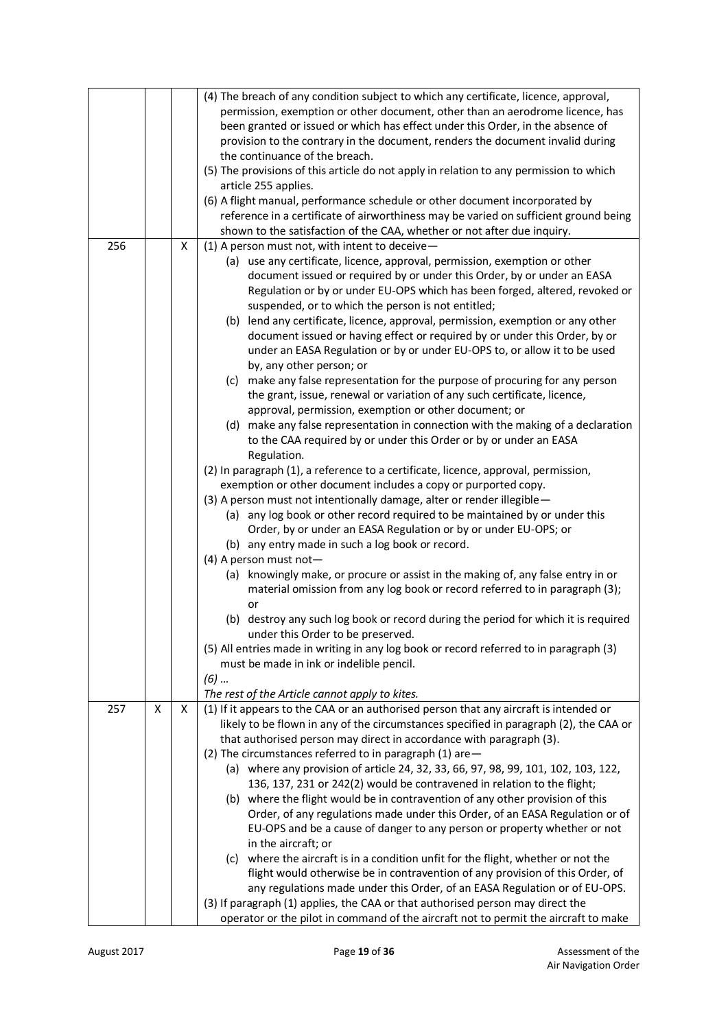|     |   |   | (4) The breach of any condition subject to which any certificate, licence, approval,<br>permission, exemption or other document, other than an aerodrome licence, has<br>been granted or issued or which has effect under this Order, in the absence of<br>provision to the contrary in the document, renders the document invalid during<br>the continuance of the breach.<br>(5) The provisions of this article do not apply in relation to any permission to which<br>article 255 applies.<br>(6) A flight manual, performance schedule or other document incorporated by<br>reference in a certificate of airworthiness may be varied on sufficient ground being<br>shown to the satisfaction of the CAA, whether or not after due inquiry.                                                                                                                                                                                                                                                                                                                                                                                                                                                                                                                                                                                                                                                                                                                                                                                                                                                                                                                                                                                                                                                                                                                                                                                                                                                 |
|-----|---|---|-------------------------------------------------------------------------------------------------------------------------------------------------------------------------------------------------------------------------------------------------------------------------------------------------------------------------------------------------------------------------------------------------------------------------------------------------------------------------------------------------------------------------------------------------------------------------------------------------------------------------------------------------------------------------------------------------------------------------------------------------------------------------------------------------------------------------------------------------------------------------------------------------------------------------------------------------------------------------------------------------------------------------------------------------------------------------------------------------------------------------------------------------------------------------------------------------------------------------------------------------------------------------------------------------------------------------------------------------------------------------------------------------------------------------------------------------------------------------------------------------------------------------------------------------------------------------------------------------------------------------------------------------------------------------------------------------------------------------------------------------------------------------------------------------------------------------------------------------------------------------------------------------------------------------------------------------------------------------------------------------|
| 256 |   | X | (1) A person must not, with intent to deceive $-$<br>(a) use any certificate, licence, approval, permission, exemption or other<br>document issued or required by or under this Order, by or under an EASA<br>Regulation or by or under EU-OPS which has been forged, altered, revoked or<br>suspended, or to which the person is not entitled;<br>(b) lend any certificate, licence, approval, permission, exemption or any other<br>document issued or having effect or required by or under this Order, by or<br>under an EASA Regulation or by or under EU-OPS to, or allow it to be used<br>by, any other person; or<br>(c) make any false representation for the purpose of procuring for any person<br>the grant, issue, renewal or variation of any such certificate, licence,<br>approval, permission, exemption or other document; or<br>(d) make any false representation in connection with the making of a declaration<br>to the CAA required by or under this Order or by or under an EASA<br>Regulation.<br>(2) In paragraph (1), a reference to a certificate, licence, approval, permission,<br>exemption or other document includes a copy or purported copy.<br>(3) A person must not intentionally damage, alter or render illegible -<br>(a) any log book or other record required to be maintained by or under this<br>Order, by or under an EASA Regulation or by or under EU-OPS; or<br>(b) any entry made in such a log book or record.<br>(4) A person must not-<br>(a) knowingly make, or procure or assist in the making of, any false entry in or<br>material omission from any log book or record referred to in paragraph (3);<br>or<br>(b) destroy any such log book or record during the period for which it is required<br>under this Order to be preserved.<br>(5) All entries made in writing in any log book or record referred to in paragraph (3)<br>must be made in ink or indelible pencil.<br>$(6)$<br>The rest of the Article cannot apply to kites. |
| 257 | X | X | (1) If it appears to the CAA or an authorised person that any aircraft is intended or<br>likely to be flown in any of the circumstances specified in paragraph (2), the CAA or<br>that authorised person may direct in accordance with paragraph (3).<br>(2) The circumstances referred to in paragraph (1) are-<br>(a) where any provision of article 24, 32, 33, 66, 97, 98, 99, 101, 102, 103, 122,<br>136, 137, 231 or 242(2) would be contravened in relation to the flight;<br>(b) where the flight would be in contravention of any other provision of this<br>Order, of any regulations made under this Order, of an EASA Regulation or of<br>EU-OPS and be a cause of danger to any person or property whether or not<br>in the aircraft; or<br>(c) where the aircraft is in a condition unfit for the flight, whether or not the<br>flight would otherwise be in contravention of any provision of this Order, of<br>any regulations made under this Order, of an EASA Regulation or of EU-OPS.<br>(3) If paragraph (1) applies, the CAA or that authorised person may direct the<br>operator or the pilot in command of the aircraft not to permit the aircraft to make                                                                                                                                                                                                                                                                                                                                                                                                                                                                                                                                                                                                                                                                                                                                                                                                              |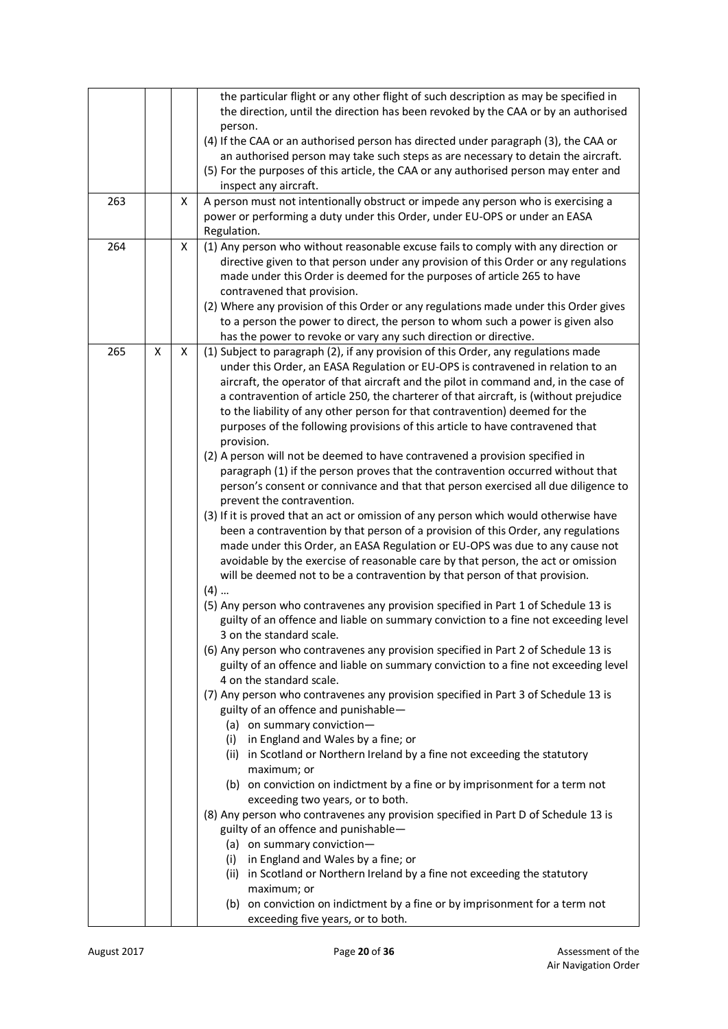| 263<br>264 |   | Χ<br>X | the particular flight or any other flight of such description as may be specified in<br>the direction, until the direction has been revoked by the CAA or by an authorised<br>person.<br>(4) If the CAA or an authorised person has directed under paragraph (3), the CAA or<br>an authorised person may take such steps as are necessary to detain the aircraft.<br>(5) For the purposes of this article, the CAA or any authorised person may enter and<br>inspect any aircraft.<br>A person must not intentionally obstruct or impede any person who is exercising a<br>power or performing a duty under this Order, under EU-OPS or under an EASA<br>Regulation.<br>(1) Any person who without reasonable excuse fails to comply with any direction or<br>directive given to that person under any provision of this Order or any regulations<br>made under this Order is deemed for the purposes of article 265 to have<br>contravened that provision.                                                                                                                                                                                                                                                                                                                                                                                                                                                                                                                                                                                                                                                                                                                                                                                                                                                                                                                                                                                                                                                                                                                                                                                                                                                                                                                                                                                                                                                                                                                                                                        |  |  |  |
|------------|---|--------|------------------------------------------------------------------------------------------------------------------------------------------------------------------------------------------------------------------------------------------------------------------------------------------------------------------------------------------------------------------------------------------------------------------------------------------------------------------------------------------------------------------------------------------------------------------------------------------------------------------------------------------------------------------------------------------------------------------------------------------------------------------------------------------------------------------------------------------------------------------------------------------------------------------------------------------------------------------------------------------------------------------------------------------------------------------------------------------------------------------------------------------------------------------------------------------------------------------------------------------------------------------------------------------------------------------------------------------------------------------------------------------------------------------------------------------------------------------------------------------------------------------------------------------------------------------------------------------------------------------------------------------------------------------------------------------------------------------------------------------------------------------------------------------------------------------------------------------------------------------------------------------------------------------------------------------------------------------------------------------------------------------------------------------------------------------------------------------------------------------------------------------------------------------------------------------------------------------------------------------------------------------------------------------------------------------------------------------------------------------------------------------------------------------------------------------------------------------------------------------------------------------------------------|--|--|--|
|            |   |        | (2) Where any provision of this Order or any regulations made under this Order gives<br>to a person the power to direct, the person to whom such a power is given also<br>has the power to revoke or vary any such direction or directive.                                                                                                                                                                                                                                                                                                                                                                                                                                                                                                                                                                                                                                                                                                                                                                                                                                                                                                                                                                                                                                                                                                                                                                                                                                                                                                                                                                                                                                                                                                                                                                                                                                                                                                                                                                                                                                                                                                                                                                                                                                                                                                                                                                                                                                                                                         |  |  |  |
| 265        | X | X      | (1) Subject to paragraph (2), if any provision of this Order, any regulations made<br>under this Order, an EASA Regulation or EU-OPS is contravened in relation to an<br>aircraft, the operator of that aircraft and the pilot in command and, in the case of<br>a contravention of article 250, the charterer of that aircraft, is (without prejudice<br>to the liability of any other person for that contravention) deemed for the<br>purposes of the following provisions of this article to have contravened that<br>provision.<br>(2) A person will not be deemed to have contravened a provision specified in<br>paragraph (1) if the person proves that the contravention occurred without that<br>person's consent or connivance and that that person exercised all due diligence to<br>prevent the contravention.<br>(3) If it is proved that an act or omission of any person which would otherwise have<br>been a contravention by that person of a provision of this Order, any regulations<br>made under this Order, an EASA Regulation or EU-OPS was due to any cause not<br>avoidable by the exercise of reasonable care by that person, the act or omission<br>will be deemed not to be a contravention by that person of that provision.<br>$(4)$<br>(5) Any person who contravenes any provision specified in Part 1 of Schedule 13 is<br>guilty of an offence and liable on summary conviction to a fine not exceeding level<br>3 on the standard scale.<br>(6) Any person who contravenes any provision specified in Part 2 of Schedule 13 is<br>guilty of an offence and liable on summary conviction to a fine not exceeding level<br>4 on the standard scale.<br>(7) Any person who contravenes any provision specified in Part 3 of Schedule 13 is<br>guilty of an offence and punishable-<br>(a) on summary conviction-<br>(i) in England and Wales by a fine; or<br>(ii) in Scotland or Northern Ireland by a fine not exceeding the statutory<br>maximum; or<br>(b) on conviction on indictment by a fine or by imprisonment for a term not<br>exceeding two years, or to both.<br>(8) Any person who contravenes any provision specified in Part D of Schedule 13 is<br>guilty of an offence and punishable-<br>(a) on summary conviction-<br>(i) in England and Wales by a fine; or<br>(ii) in Scotland or Northern Ireland by a fine not exceeding the statutory<br>maximum; or<br>(b) on conviction on indictment by a fine or by imprisonment for a term not<br>exceeding five years, or to both. |  |  |  |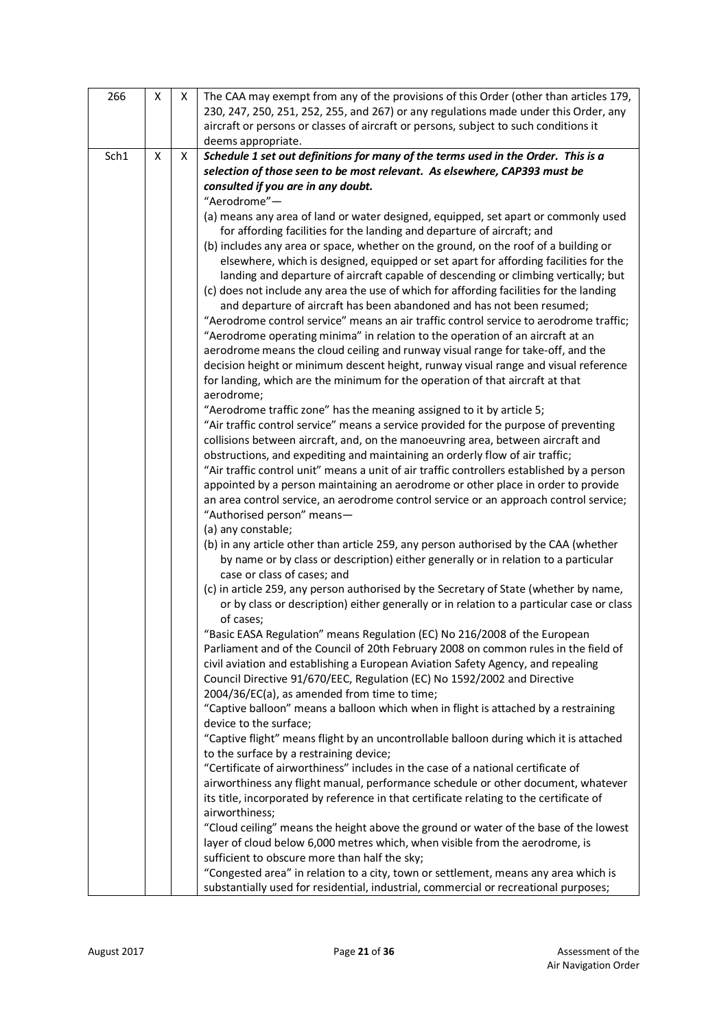| 266  | Χ | X. | The CAA may exempt from any of the provisions of this Order (other than articles 179,<br>230, 247, 250, 251, 252, 255, and 267) or any regulations made under this Order, any<br>aircraft or persons or classes of aircraft or persons, subject to such conditions it<br>deems appropriate. |
|------|---|----|---------------------------------------------------------------------------------------------------------------------------------------------------------------------------------------------------------------------------------------------------------------------------------------------|
| Sch1 | X | X  | Schedule 1 set out definitions for many of the terms used in the Order. This is a                                                                                                                                                                                                           |
|      |   |    |                                                                                                                                                                                                                                                                                             |
|      |   |    | selection of those seen to be most relevant. As elsewhere, CAP393 must be                                                                                                                                                                                                                   |
|      |   |    | consulted if you are in any doubt.                                                                                                                                                                                                                                                          |
|      |   |    | "Aerodrome"-                                                                                                                                                                                                                                                                                |
|      |   |    | (a) means any area of land or water designed, equipped, set apart or commonly used                                                                                                                                                                                                          |
|      |   |    | for affording facilities for the landing and departure of aircraft; and                                                                                                                                                                                                                     |
|      |   |    | (b) includes any area or space, whether on the ground, on the roof of a building or                                                                                                                                                                                                         |
|      |   |    | elsewhere, which is designed, equipped or set apart for affording facilities for the                                                                                                                                                                                                        |
|      |   |    | landing and departure of aircraft capable of descending or climbing vertically; but                                                                                                                                                                                                         |
|      |   |    | (c) does not include any area the use of which for affording facilities for the landing                                                                                                                                                                                                     |
|      |   |    | and departure of aircraft has been abandoned and has not been resumed;                                                                                                                                                                                                                      |
|      |   |    | "Aerodrome control service" means an air traffic control service to aerodrome traffic;                                                                                                                                                                                                      |
|      |   |    | "Aerodrome operating minima" in relation to the operation of an aircraft at an                                                                                                                                                                                                              |
|      |   |    | aerodrome means the cloud ceiling and runway visual range for take-off, and the                                                                                                                                                                                                             |
|      |   |    | decision height or minimum descent height, runway visual range and visual reference                                                                                                                                                                                                         |
|      |   |    | for landing, which are the minimum for the operation of that aircraft at that                                                                                                                                                                                                               |
|      |   |    | aerodrome;                                                                                                                                                                                                                                                                                  |
|      |   |    | "Aerodrome traffic zone" has the meaning assigned to it by article 5;                                                                                                                                                                                                                       |
|      |   |    | "Air traffic control service" means a service provided for the purpose of preventing                                                                                                                                                                                                        |
|      |   |    | collisions between aircraft, and, on the manoeuvring area, between aircraft and                                                                                                                                                                                                             |
|      |   |    | obstructions, and expediting and maintaining an orderly flow of air traffic;                                                                                                                                                                                                                |
|      |   |    | "Air traffic control unit" means a unit of air traffic controllers established by a person<br>appointed by a person maintaining an aerodrome or other place in order to provide                                                                                                             |
|      |   |    | an area control service, an aerodrome control service or an approach control service;                                                                                                                                                                                                       |
|      |   |    | "Authorised person" means-                                                                                                                                                                                                                                                                  |
|      |   |    | (a) any constable;                                                                                                                                                                                                                                                                          |
|      |   |    | (b) in any article other than article 259, any person authorised by the CAA (whether                                                                                                                                                                                                        |
|      |   |    | by name or by class or description) either generally or in relation to a particular                                                                                                                                                                                                         |
|      |   |    | case or class of cases; and                                                                                                                                                                                                                                                                 |
|      |   |    | (c) in article 259, any person authorised by the Secretary of State (whether by name,                                                                                                                                                                                                       |
|      |   |    | or by class or description) either generally or in relation to a particular case or class                                                                                                                                                                                                   |
|      |   |    | of cases;                                                                                                                                                                                                                                                                                   |
|      |   |    | "Basic EASA Regulation" means Regulation (EC) No 216/2008 of the European                                                                                                                                                                                                                   |
|      |   |    | Parliament and of the Council of 20th February 2008 on common rules in the field of                                                                                                                                                                                                         |
|      |   |    | civil aviation and establishing a European Aviation Safety Agency, and repealing                                                                                                                                                                                                            |
|      |   |    | Council Directive 91/670/EEC, Regulation (EC) No 1592/2002 and Directive                                                                                                                                                                                                                    |
|      |   |    | 2004/36/EC(a), as amended from time to time;                                                                                                                                                                                                                                                |
|      |   |    | "Captive balloon" means a balloon which when in flight is attached by a restraining                                                                                                                                                                                                         |
|      |   |    | device to the surface;                                                                                                                                                                                                                                                                      |
|      |   |    | "Captive flight" means flight by an uncontrollable balloon during which it is attached                                                                                                                                                                                                      |
|      |   |    | to the surface by a restraining device;                                                                                                                                                                                                                                                     |
|      |   |    | "Certificate of airworthiness" includes in the case of a national certificate of                                                                                                                                                                                                            |
|      |   |    | airworthiness any flight manual, performance schedule or other document, whatever                                                                                                                                                                                                           |
|      |   |    | its title, incorporated by reference in that certificate relating to the certificate of                                                                                                                                                                                                     |
|      |   |    | airworthiness;                                                                                                                                                                                                                                                                              |
|      |   |    | "Cloud ceiling" means the height above the ground or water of the base of the lowest                                                                                                                                                                                                        |
|      |   |    | layer of cloud below 6,000 metres which, when visible from the aerodrome, is                                                                                                                                                                                                                |
|      |   |    | sufficient to obscure more than half the sky;                                                                                                                                                                                                                                               |
|      |   |    | "Congested area" in relation to a city, town or settlement, means any area which is                                                                                                                                                                                                         |
|      |   |    | substantially used for residential, industrial, commercial or recreational purposes;                                                                                                                                                                                                        |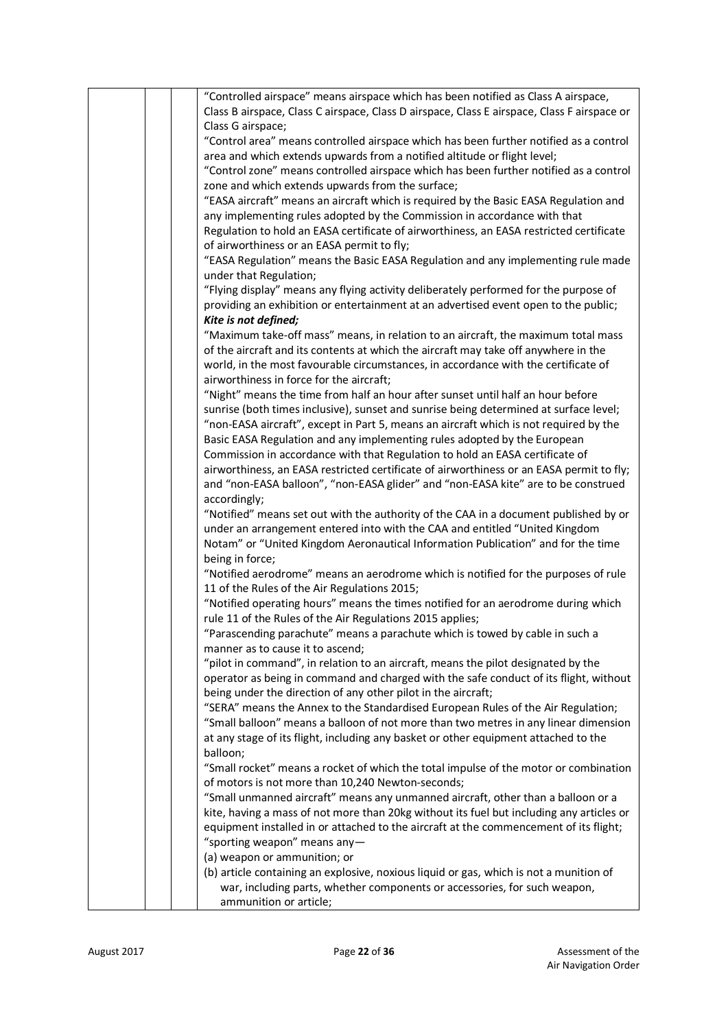|  | "Controlled airspace" means airspace which has been notified as Class A airspace,           |
|--|---------------------------------------------------------------------------------------------|
|  | Class B airspace, Class C airspace, Class D airspace, Class E airspace, Class F airspace or |
|  | Class G airspace;                                                                           |
|  | "Control area" means controlled airspace which has been further notified as a control       |
|  | area and which extends upwards from a notified altitude or flight level;                    |
|  | "Control zone" means controlled airspace which has been further notified as a control       |
|  | zone and which extends upwards from the surface;                                            |
|  | "EASA aircraft" means an aircraft which is required by the Basic EASA Regulation and        |
|  | any implementing rules adopted by the Commission in accordance with that                    |
|  | Regulation to hold an EASA certificate of airworthiness, an EASA restricted certificate     |
|  |                                                                                             |
|  | of airworthiness or an EASA permit to fly;                                                  |
|  | "EASA Regulation" means the Basic EASA Regulation and any implementing rule made            |
|  | under that Regulation;                                                                      |
|  | "Flying display" means any flying activity deliberately performed for the purpose of        |
|  | providing an exhibition or entertainment at an advertised event open to the public;         |
|  | Kite is not defined;                                                                        |
|  | "Maximum take-off mass" means, in relation to an aircraft, the maximum total mass           |
|  | of the aircraft and its contents at which the aircraft may take off anywhere in the         |
|  | world, in the most favourable circumstances, in accordance with the certificate of          |
|  | airworthiness in force for the aircraft;                                                    |
|  | "Night" means the time from half an hour after sunset until half an hour before             |
|  | sunrise (both times inclusive), sunset and sunrise being determined at surface level;       |
|  | "non-EASA aircraft", except in Part 5, means an aircraft which is not required by the       |
|  | Basic EASA Regulation and any implementing rules adopted by the European                    |
|  | Commission in accordance with that Regulation to hold an EASA certificate of                |
|  | airworthiness, an EASA restricted certificate of airworthiness or an EASA permit to fly;    |
|  | and "non-EASA balloon", "non-EASA glider" and "non-EASA kite" are to be construed           |
|  | accordingly;                                                                                |
|  | "Notified" means set out with the authority of the CAA in a document published by or        |
|  | under an arrangement entered into with the CAA and entitled "United Kingdom                 |
|  | Notam" or "United Kingdom Aeronautical Information Publication" and for the time            |
|  | being in force;                                                                             |
|  | "Notified aerodrome" means an aerodrome which is notified for the purposes of rule          |
|  | 11 of the Rules of the Air Regulations 2015;                                                |
|  | "Notified operating hours" means the times notified for an aerodrome during which           |
|  | rule 11 of the Rules of the Air Regulations 2015 applies;                                   |
|  | "Parascending parachute" means a parachute which is towed by cable in such a                |
|  | manner as to cause it to ascend;                                                            |
|  | "pilot in command", in relation to an aircraft, means the pilot designated by the           |
|  | operator as being in command and charged with the safe conduct of its flight, without       |
|  | being under the direction of any other pilot in the aircraft;                               |
|  | "SERA" means the Annex to the Standardised European Rules of the Air Regulation;            |
|  |                                                                                             |
|  | "Small balloon" means a balloon of not more than two metres in any linear dimension         |
|  | at any stage of its flight, including any basket or other equipment attached to the         |
|  | balloon;                                                                                    |
|  | "Small rocket" means a rocket of which the total impulse of the motor or combination        |
|  | of motors is not more than 10,240 Newton-seconds;                                           |
|  | "Small unmanned aircraft" means any unmanned aircraft, other than a balloon or a            |
|  | kite, having a mass of not more than 20kg without its fuel but including any articles or    |
|  | equipment installed in or attached to the aircraft at the commencement of its flight;       |
|  | "sporting weapon" means any-                                                                |
|  | (a) weapon or ammunition; or                                                                |
|  | (b) article containing an explosive, noxious liquid or gas, which is not a munition of      |
|  | war, including parts, whether components or accessories, for such weapon,                   |
|  | ammunition or article;                                                                      |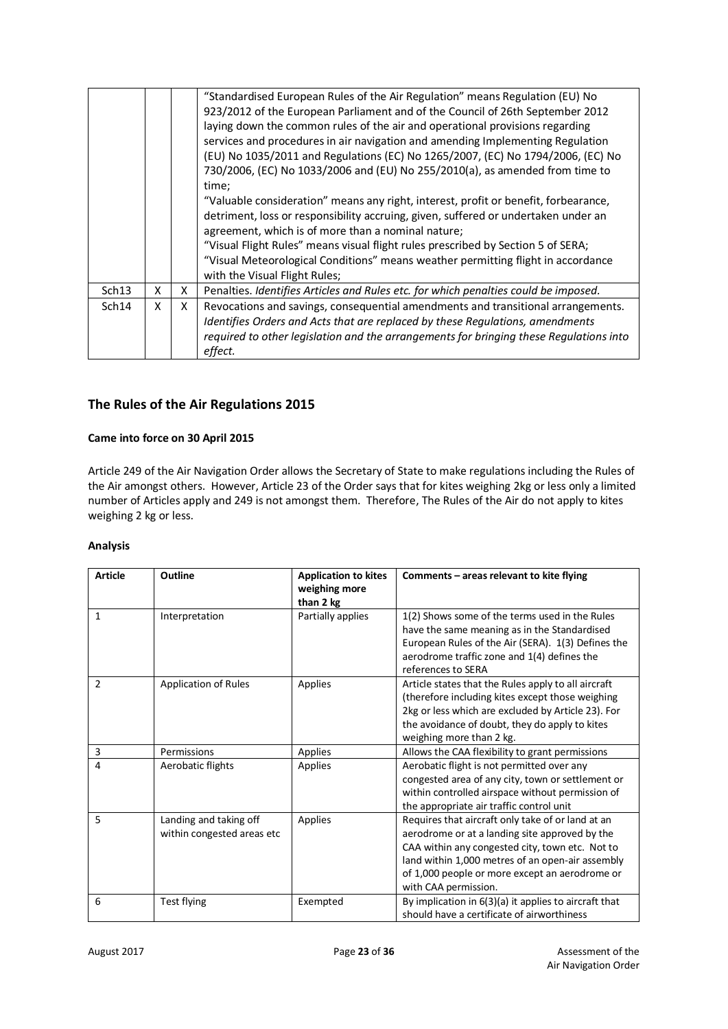|       |   |   | "Standardised European Rules of the Air Regulation" means Regulation (EU) No<br>923/2012 of the European Parliament and of the Council of 26th September 2012<br>laying down the common rules of the air and operational provisions regarding<br>services and procedures in air navigation and amending Implementing Regulation<br>(EU) No 1035/2011 and Regulations (EC) No 1265/2007, (EC) No 1794/2006, (EC) No<br>730/2006, (EC) No 1033/2006 and (EU) No 255/2010(a), as amended from time to<br>time;<br>"Valuable consideration" means any right, interest, profit or benefit, forbearance,<br>detriment, loss or responsibility accruing, given, suffered or undertaken under an<br>agreement, which is of more than a nominal nature;<br>"Visual Flight Rules" means visual flight rules prescribed by Section 5 of SERA;<br>"Visual Meteorological Conditions" means weather permitting flight in accordance<br>with the Visual Flight Rules; |
|-------|---|---|---------------------------------------------------------------------------------------------------------------------------------------------------------------------------------------------------------------------------------------------------------------------------------------------------------------------------------------------------------------------------------------------------------------------------------------------------------------------------------------------------------------------------------------------------------------------------------------------------------------------------------------------------------------------------------------------------------------------------------------------------------------------------------------------------------------------------------------------------------------------------------------------------------------------------------------------------------|
| Sch13 | X | X | Penalties. Identifies Articles and Rules etc. for which penalties could be imposed.                                                                                                                                                                                                                                                                                                                                                                                                                                                                                                                                                                                                                                                                                                                                                                                                                                                                     |
| Sch14 | X | X | Revocations and savings, consequential amendments and transitional arrangements.<br>Identifies Orders and Acts that are replaced by these Regulations, amendments<br>required to other legislation and the arrangements for bringing these Regulations into<br>effect.                                                                                                                                                                                                                                                                                                                                                                                                                                                                                                                                                                                                                                                                                  |

# **The Rules of the Air Regulations 2015**

#### **Came into force on 30 April 2015**

Article 249 of the Air Navigation Order allows the Secretary of State to make regulations including the Rules of the Air amongst others. However, Article 23 of the Order says that for kites weighing 2kg or less only a limited number of Articles apply and 249 is not amongst them. Therefore, The Rules of the Air do not apply to kites weighing 2 kg or less.

#### **Analysis**

| <b>Article</b> | <b>Outline</b>                                       | <b>Application to kites</b><br>weighing more<br>than 2 kg | Comments - areas relevant to kite flying                                                                                                                                                                                                                                             |
|----------------|------------------------------------------------------|-----------------------------------------------------------|--------------------------------------------------------------------------------------------------------------------------------------------------------------------------------------------------------------------------------------------------------------------------------------|
| $\mathbf{1}$   | Interpretation                                       | Partially applies                                         | 1(2) Shows some of the terms used in the Rules<br>have the same meaning as in the Standardised<br>European Rules of the Air (SERA). 1(3) Defines the<br>aerodrome traffic zone and 1(4) defines the<br>references to SERA                                                            |
| $\overline{2}$ | <b>Application of Rules</b>                          | Applies                                                   | Article states that the Rules apply to all aircraft<br>(therefore including kites except those weighing)<br>2kg or less which are excluded by Article 23). For<br>the avoidance of doubt, they do apply to kites<br>weighing more than 2 kg.                                         |
| 3              | Permissions                                          | Applies                                                   | Allows the CAA flexibility to grant permissions                                                                                                                                                                                                                                      |
| 4              | Aerobatic flights                                    | Applies                                                   | Aerobatic flight is not permitted over any<br>congested area of any city, town or settlement or<br>within controlled airspace without permission of<br>the appropriate air traffic control unit                                                                                      |
| 5              | Landing and taking off<br>within congested areas etc | Applies                                                   | Requires that aircraft only take of or land at an<br>aerodrome or at a landing site approved by the<br>CAA within any congested city, town etc. Not to<br>land within 1,000 metres of an open-air assembly<br>of 1,000 people or more except an aerodrome or<br>with CAA permission. |
| 6              | Test flying                                          | Exempted                                                  | By implication in 6(3)(a) it applies to aircraft that<br>should have a certificate of airworthiness                                                                                                                                                                                  |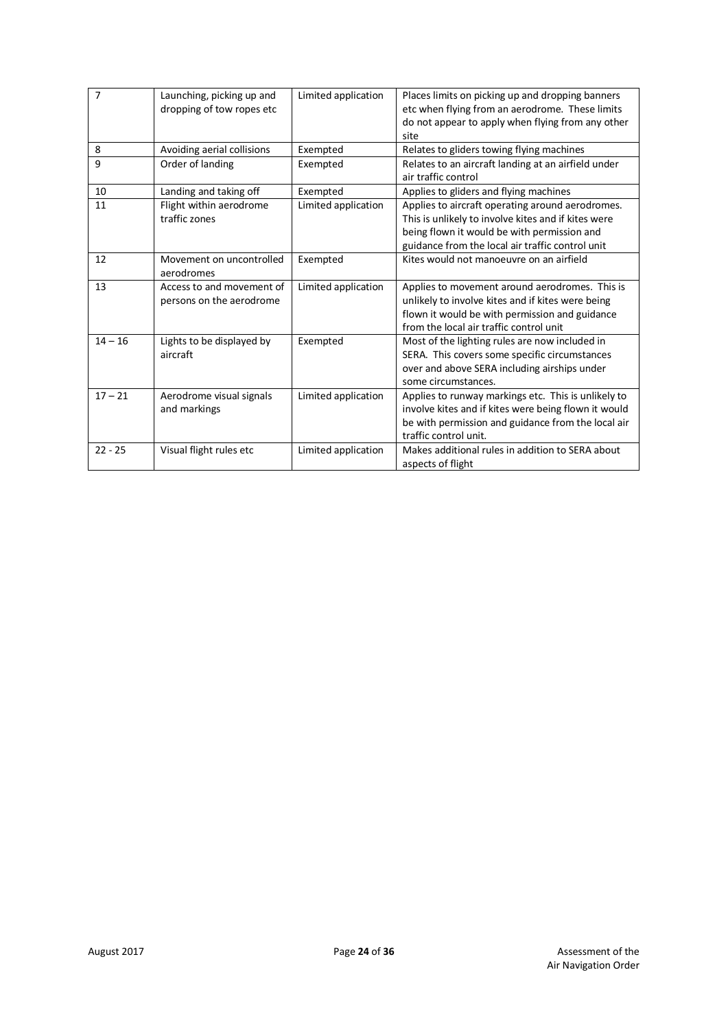| $\overline{7}$ | Launching, picking up and<br>dropping of tow ropes etc | Limited application | Places limits on picking up and dropping banners<br>etc when flying from an aerodrome. These limits<br>do not appear to apply when flying from any other<br>site                                           |
|----------------|--------------------------------------------------------|---------------------|------------------------------------------------------------------------------------------------------------------------------------------------------------------------------------------------------------|
| 8              | Avoiding aerial collisions                             | Exempted            | Relates to gliders towing flying machines                                                                                                                                                                  |
| 9              | Order of landing                                       | Exempted            | Relates to an aircraft landing at an airfield under<br>air traffic control                                                                                                                                 |
| 10             | Landing and taking off                                 | Exempted            | Applies to gliders and flying machines                                                                                                                                                                     |
| 11             | Flight within aerodrome<br>traffic zones               | Limited application | Applies to aircraft operating around aerodromes.<br>This is unlikely to involve kites and if kites were<br>being flown it would be with permission and<br>guidance from the local air traffic control unit |
| 12             | Movement on uncontrolled<br>aerodromes                 | Exempted            | Kites would not manoeuvre on an airfield                                                                                                                                                                   |
| 13             | Access to and movement of<br>persons on the aerodrome  | Limited application | Applies to movement around aerodromes. This is<br>unlikely to involve kites and if kites were being<br>flown it would be with permission and guidance<br>from the local air traffic control unit           |
| $14 - 16$      | Lights to be displayed by<br>aircraft                  | Exempted            | Most of the lighting rules are now included in<br>SERA. This covers some specific circumstances<br>over and above SERA including airships under<br>some circumstances.                                     |
| $17 - 21$      | Aerodrome visual signals<br>and markings               | Limited application | Applies to runway markings etc. This is unlikely to<br>involve kites and if kites were being flown it would<br>be with permission and guidance from the local air<br>traffic control unit.                 |
| $22 - 25$      | Visual flight rules etc                                | Limited application | Makes additional rules in addition to SERA about<br>aspects of flight                                                                                                                                      |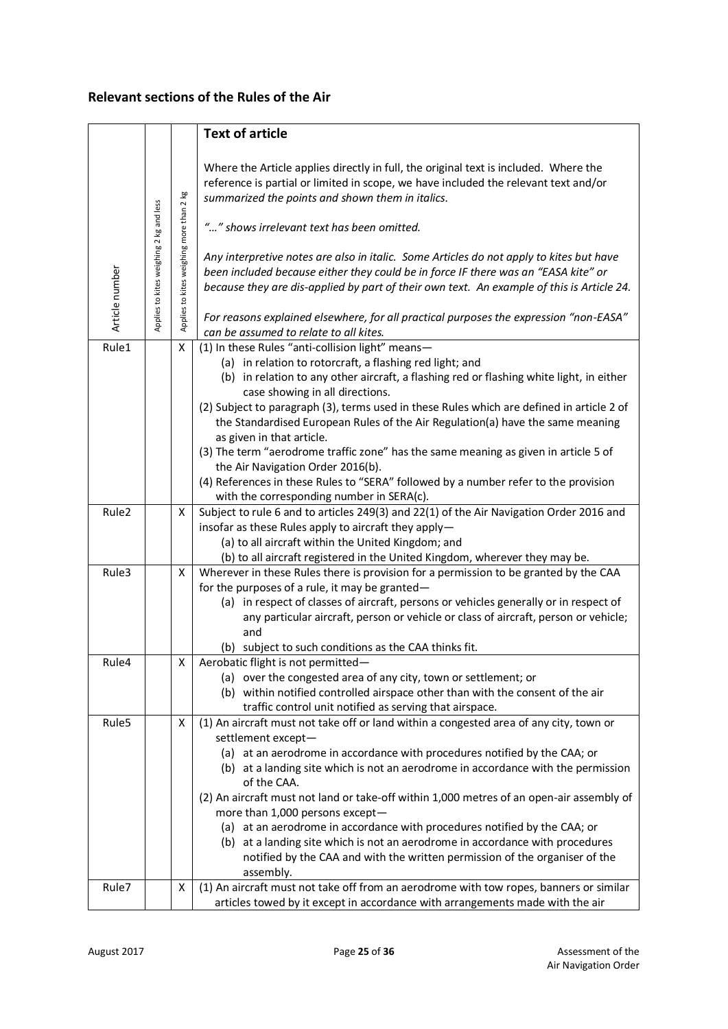# **Relevant sections of the Rules of the Air**

|                   |                                         |                                          | <b>Text of article</b>                                                                                                                                                                                                                                                                                                                                                                                                                                                                                                                                                                                                                                                                         |  |  |  |
|-------------------|-----------------------------------------|------------------------------------------|------------------------------------------------------------------------------------------------------------------------------------------------------------------------------------------------------------------------------------------------------------------------------------------------------------------------------------------------------------------------------------------------------------------------------------------------------------------------------------------------------------------------------------------------------------------------------------------------------------------------------------------------------------------------------------------------|--|--|--|
| Article number    | Applies to kites weighing 2 kg and less | Applies to kites weighing more than 2 kg | Where the Article applies directly in full, the original text is included. Where the<br>reference is partial or limited in scope, we have included the relevant text and/or<br>summarized the points and shown them in italics.<br>"" shows irrelevant text has been omitted.<br>Any interpretive notes are also in italic. Some Articles do not apply to kites but have<br>been included because either they could be in force IF there was an "EASA kite" or<br>because they are dis-applied by part of their own text. An example of this is Article 24.<br>For reasons explained elsewhere, for all practical purposes the expression "non-EASA"<br>can be assumed to relate to all kites. |  |  |  |
| Rule1             |                                         | X                                        | (1) In these Rules "anti-collision light" means-                                                                                                                                                                                                                                                                                                                                                                                                                                                                                                                                                                                                                                               |  |  |  |
|                   |                                         |                                          | (a) in relation to rotorcraft, a flashing red light; and<br>(b) in relation to any other aircraft, a flashing red or flashing white light, in either<br>case showing in all directions.<br>(2) Subject to paragraph (3), terms used in these Rules which are defined in article 2 of<br>the Standardised European Rules of the Air Regulation(a) have the same meaning<br>as given in that article.<br>(3) The term "aerodrome traffic zone" has the same meaning as given in article 5 of<br>the Air Navigation Order 2016(b).                                                                                                                                                                |  |  |  |
|                   |                                         |                                          | (4) References in these Rules to "SERA" followed by a number refer to the provision                                                                                                                                                                                                                                                                                                                                                                                                                                                                                                                                                                                                            |  |  |  |
|                   |                                         |                                          | with the corresponding number in SERA(c).                                                                                                                                                                                                                                                                                                                                                                                                                                                                                                                                                                                                                                                      |  |  |  |
| Rule <sub>2</sub> |                                         | Χ                                        | Subject to rule 6 and to articles 249(3) and 22(1) of the Air Navigation Order 2016 and<br>insofar as these Rules apply to aircraft they apply-<br>(a) to all aircraft within the United Kingdom; and<br>(b) to all aircraft registered in the United Kingdom, wherever they may be.                                                                                                                                                                                                                                                                                                                                                                                                           |  |  |  |
| Rule3             |                                         | Χ                                        | Wherever in these Rules there is provision for a permission to be granted by the CAA<br>for the purposes of a rule, it may be granted-<br>(a) in respect of classes of aircraft, persons or vehicles generally or in respect of<br>any particular aircraft, person or vehicle or class of aircraft, person or vehicle;<br>and<br>(b) subject to such conditions as the CAA thinks fit.                                                                                                                                                                                                                                                                                                         |  |  |  |
| Rule4             |                                         | Χ                                        | Aerobatic flight is not permitted-<br>(a) over the congested area of any city, town or settlement; or<br>(b) within notified controlled airspace other than with the consent of the air<br>traffic control unit notified as serving that airspace.                                                                                                                                                                                                                                                                                                                                                                                                                                             |  |  |  |
| Rule5             |                                         | X                                        | (1) An aircraft must not take off or land within a congested area of any city, town or<br>settlement except-<br>(a) at an aerodrome in accordance with procedures notified by the CAA; or<br>(b) at a landing site which is not an aerodrome in accordance with the permission<br>of the CAA.<br>(2) An aircraft must not land or take-off within 1,000 metres of an open-air assembly of<br>more than 1,000 persons except-<br>(a) at an aerodrome in accordance with procedures notified by the CAA; or<br>(b) at a landing site which is not an aerodrome in accordance with procedures                                                                                                     |  |  |  |
|                   |                                         |                                          | notified by the CAA and with the written permission of the organiser of the                                                                                                                                                                                                                                                                                                                                                                                                                                                                                                                                                                                                                    |  |  |  |
| Rule7             |                                         | Х                                        | assembly.<br>(1) An aircraft must not take off from an aerodrome with tow ropes, banners or similar                                                                                                                                                                                                                                                                                                                                                                                                                                                                                                                                                                                            |  |  |  |
|                   |                                         |                                          | articles towed by it except in accordance with arrangements made with the air                                                                                                                                                                                                                                                                                                                                                                                                                                                                                                                                                                                                                  |  |  |  |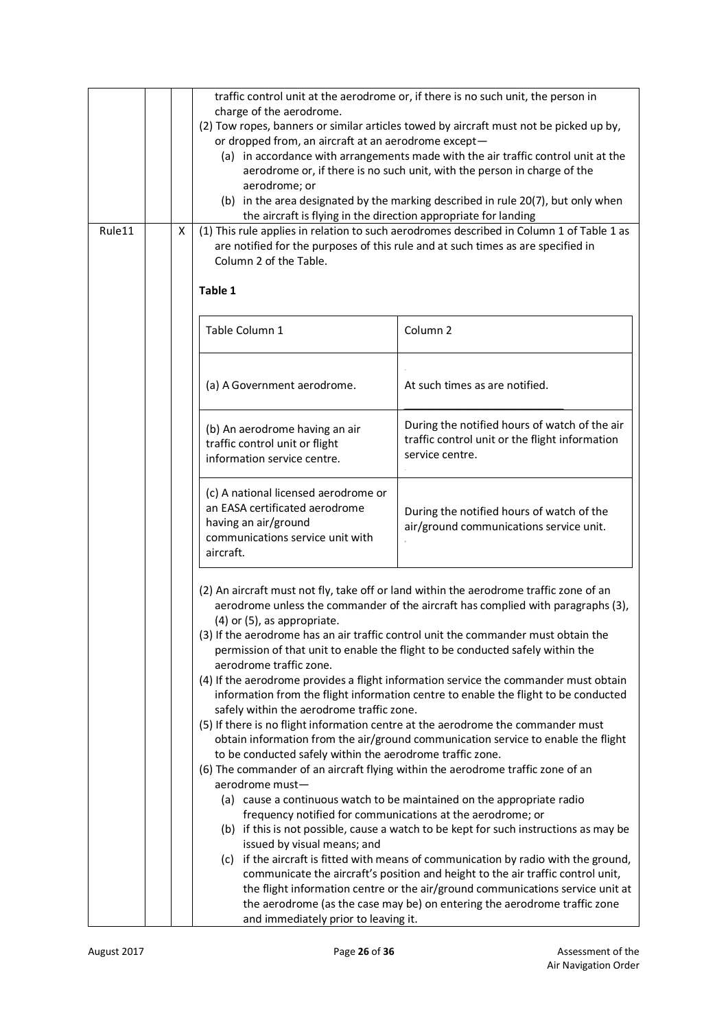| Rule11                                                                                                                                          |  | Χ | traffic control unit at the aerodrome or, if there is no such unit, the person in<br>charge of the aerodrome.<br>(2) Tow ropes, banners or similar articles towed by aircraft must not be picked up by,<br>or dropped from, an aircraft at an aerodrome except-<br>(a) in accordance with arrangements made with the air traffic control unit at the<br>aerodrome or, if there is no such unit, with the person in charge of the<br>aerodrome; or<br>(b) in the area designated by the marking described in rule 20(7), but only when<br>the aircraft is flying in the direction appropriate for landing<br>(1) This rule applies in relation to such aerodromes described in Column 1 of Table 1 as<br>are notified for the purposes of this rule and at such times as are specified in                                                                                                                                                                                                                                                                                                                                                                                                                                                                                                                                                                                                                                                                                                                                                                                                                                              |                                                                                                                    |  |  |  |
|-------------------------------------------------------------------------------------------------------------------------------------------------|--|---|---------------------------------------------------------------------------------------------------------------------------------------------------------------------------------------------------------------------------------------------------------------------------------------------------------------------------------------------------------------------------------------------------------------------------------------------------------------------------------------------------------------------------------------------------------------------------------------------------------------------------------------------------------------------------------------------------------------------------------------------------------------------------------------------------------------------------------------------------------------------------------------------------------------------------------------------------------------------------------------------------------------------------------------------------------------------------------------------------------------------------------------------------------------------------------------------------------------------------------------------------------------------------------------------------------------------------------------------------------------------------------------------------------------------------------------------------------------------------------------------------------------------------------------------------------------------------------------------------------------------------------------|--------------------------------------------------------------------------------------------------------------------|--|--|--|
|                                                                                                                                                 |  |   | Column 2 of the Table.<br>Table 1                                                                                                                                                                                                                                                                                                                                                                                                                                                                                                                                                                                                                                                                                                                                                                                                                                                                                                                                                                                                                                                                                                                                                                                                                                                                                                                                                                                                                                                                                                                                                                                                     |                                                                                                                    |  |  |  |
|                                                                                                                                                 |  |   | Table Column 1                                                                                                                                                                                                                                                                                                                                                                                                                                                                                                                                                                                                                                                                                                                                                                                                                                                                                                                                                                                                                                                                                                                                                                                                                                                                                                                                                                                                                                                                                                                                                                                                                        | Column <sub>2</sub>                                                                                                |  |  |  |
|                                                                                                                                                 |  |   | (a) A Government aerodrome.                                                                                                                                                                                                                                                                                                                                                                                                                                                                                                                                                                                                                                                                                                                                                                                                                                                                                                                                                                                                                                                                                                                                                                                                                                                                                                                                                                                                                                                                                                                                                                                                           | At such times as are notified.                                                                                     |  |  |  |
|                                                                                                                                                 |  |   | (b) An aerodrome having an air<br>traffic control unit or flight<br>information service centre.                                                                                                                                                                                                                                                                                                                                                                                                                                                                                                                                                                                                                                                                                                                                                                                                                                                                                                                                                                                                                                                                                                                                                                                                                                                                                                                                                                                                                                                                                                                                       | During the notified hours of watch of the air<br>traffic control unit or the flight information<br>service centre. |  |  |  |
| (c) A national licensed aerodrome or<br>an EASA certificated aerodrome<br>having an air/ground<br>communications service unit with<br>aircraft. |  |   |                                                                                                                                                                                                                                                                                                                                                                                                                                                                                                                                                                                                                                                                                                                                                                                                                                                                                                                                                                                                                                                                                                                                                                                                                                                                                                                                                                                                                                                                                                                                                                                                                                       | During the notified hours of watch of the<br>air/ground communications service unit.                               |  |  |  |
|                                                                                                                                                 |  |   | (2) An aircraft must not fly, take off or land within the aerodrome traffic zone of an<br>aerodrome unless the commander of the aircraft has complied with paragraphs (3),<br>(4) or (5), as appropriate.<br>(3) If the aerodrome has an air traffic control unit the commander must obtain the<br>permission of that unit to enable the flight to be conducted safely within the<br>aerodrome traffic zone.<br>(4) If the aerodrome provides a flight information service the commander must obtain<br>information from the flight information centre to enable the flight to be conducted<br>safely within the aerodrome traffic zone.<br>(5) If there is no flight information centre at the aerodrome the commander must<br>obtain information from the air/ground communication service to enable the flight<br>to be conducted safely within the aerodrome traffic zone.<br>(6) The commander of an aircraft flying within the aerodrome traffic zone of an<br>aerodrome must-<br>(a) cause a continuous watch to be maintained on the appropriate radio<br>frequency notified for communications at the aerodrome; or<br>(b) if this is not possible, cause a watch to be kept for such instructions as may be<br>issued by visual means; and<br>(c) if the aircraft is fitted with means of communication by radio with the ground,<br>communicate the aircraft's position and height to the air traffic control unit,<br>the flight information centre or the air/ground communications service unit at<br>the aerodrome (as the case may be) on entering the aerodrome traffic zone<br>and immediately prior to leaving it. |                                                                                                                    |  |  |  |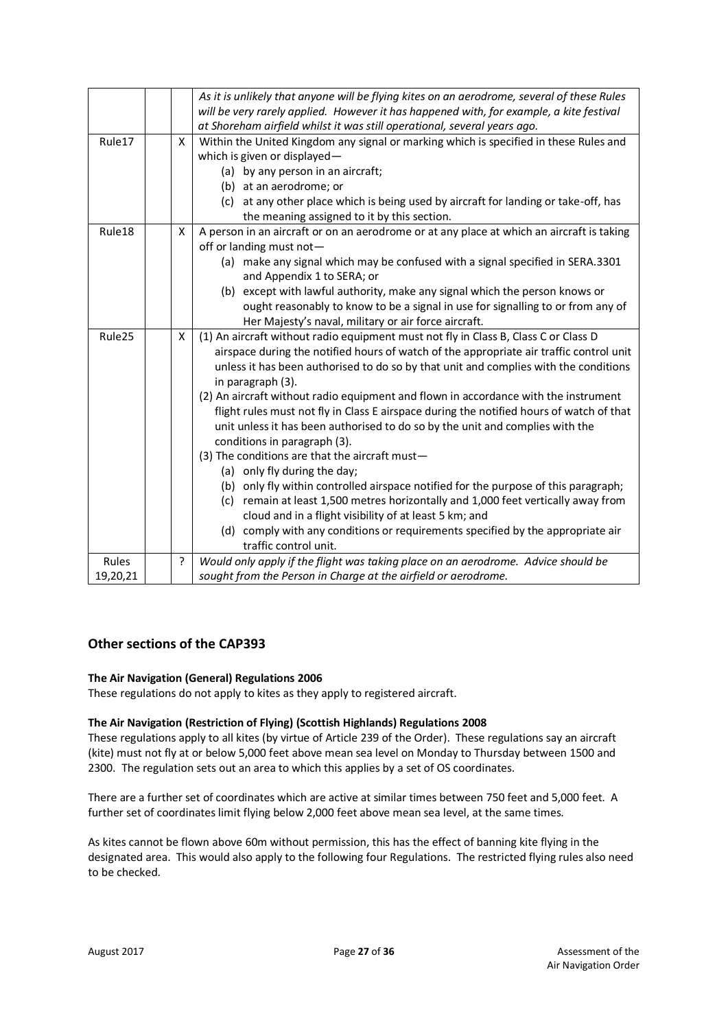|          |                                                                                                                            |   | As it is unlikely that anyone will be flying kites on an aerodrome, several of these Rules<br>will be very rarely applied. However it has happened with, for example, a kite festival                                                                                                            |  |  |
|----------|----------------------------------------------------------------------------------------------------------------------------|---|--------------------------------------------------------------------------------------------------------------------------------------------------------------------------------------------------------------------------------------------------------------------------------------------------|--|--|
|          |                                                                                                                            |   | at Shoreham airfield whilst it was still operational, several years ago.                                                                                                                                                                                                                         |  |  |
| Rule17   |                                                                                                                            | X | Within the United Kingdom any signal or marking which is specified in these Rules and<br>which is given or displayed-                                                                                                                                                                            |  |  |
|          |                                                                                                                            |   | (a) by any person in an aircraft;<br>(b) at an aerodrome; or                                                                                                                                                                                                                                     |  |  |
|          |                                                                                                                            |   | (c) at any other place which is being used by aircraft for landing or take-off, has                                                                                                                                                                                                              |  |  |
|          |                                                                                                                            |   | the meaning assigned to it by this section.                                                                                                                                                                                                                                                      |  |  |
| Rule18   | A person in an aircraft or on an aerodrome or at any place at which an aircraft is taking<br>X<br>off or landing must not- |   |                                                                                                                                                                                                                                                                                                  |  |  |
|          |                                                                                                                            |   | (a) make any signal which may be confused with a signal specified in SERA.3301<br>and Appendix 1 to SERA; or                                                                                                                                                                                     |  |  |
|          |                                                                                                                            |   | (b) except with lawful authority, make any signal which the person knows or                                                                                                                                                                                                                      |  |  |
|          |                                                                                                                            |   | ought reasonably to know to be a signal in use for signalling to or from any of<br>Her Majesty's naval, military or air force aircraft.                                                                                                                                                          |  |  |
| Rule25   |                                                                                                                            | X | (1) An aircraft without radio equipment must not fly in Class B, Class C or Class D                                                                                                                                                                                                              |  |  |
|          |                                                                                                                            |   | airspace during the notified hours of watch of the appropriate air traffic control unit<br>unless it has been authorised to do so by that unit and complies with the conditions                                                                                                                  |  |  |
|          |                                                                                                                            |   | in paragraph (3).                                                                                                                                                                                                                                                                                |  |  |
|          |                                                                                                                            |   | (2) An aircraft without radio equipment and flown in accordance with the instrument<br>flight rules must not fly in Class E airspace during the notified hours of watch of that<br>unit unless it has been authorised to do so by the unit and complies with the<br>conditions in paragraph (3). |  |  |
|          |                                                                                                                            |   | (3) The conditions are that the aircraft must-                                                                                                                                                                                                                                                   |  |  |
|          |                                                                                                                            |   | (a) only fly during the day;                                                                                                                                                                                                                                                                     |  |  |
|          |                                                                                                                            |   | (b) only fly within controlled airspace notified for the purpose of this paragraph;<br>(c) remain at least 1,500 metres horizontally and 1,000 feet vertically away from                                                                                                                         |  |  |
|          |                                                                                                                            |   | cloud and in a flight visibility of at least 5 km; and                                                                                                                                                                                                                                           |  |  |
|          |                                                                                                                            |   | (d) comply with any conditions or requirements specified by the appropriate air                                                                                                                                                                                                                  |  |  |
|          |                                                                                                                            |   | traffic control unit.                                                                                                                                                                                                                                                                            |  |  |
| Rules    |                                                                                                                            | ? | Would only apply if the flight was taking place on an aerodrome. Advice should be                                                                                                                                                                                                                |  |  |
| 19,20,21 |                                                                                                                            |   | sought from the Person in Charge at the airfield or aerodrome.                                                                                                                                                                                                                                   |  |  |

# **Other sections of the CAP393**

#### **The Air Navigation (General) Regulations 2006**

These regulations do not apply to kites as they apply to registered aircraft.

#### **The Air Navigation (Restriction of Flying) (Scottish Highlands) Regulations 2008**

These regulations apply to all kites (by virtue of Article 239 of the Order). These regulations say an aircraft (kite) must not fly at or below 5,000 feet above mean sea level on Monday to Thursday between 1500 and 2300. The regulation sets out an area to which this applies by a set of OS coordinates.

There are a further set of coordinates which are active at similar times between 750 feet and 5,000 feet. A further set of coordinates limit flying below 2,000 feet above mean sea level, at the same times.

As kites cannot be flown above 60m without permission, this has the effect of banning kite flying in the designated area. This would also apply to the following four Regulations. The restricted flying rules also need to be checked.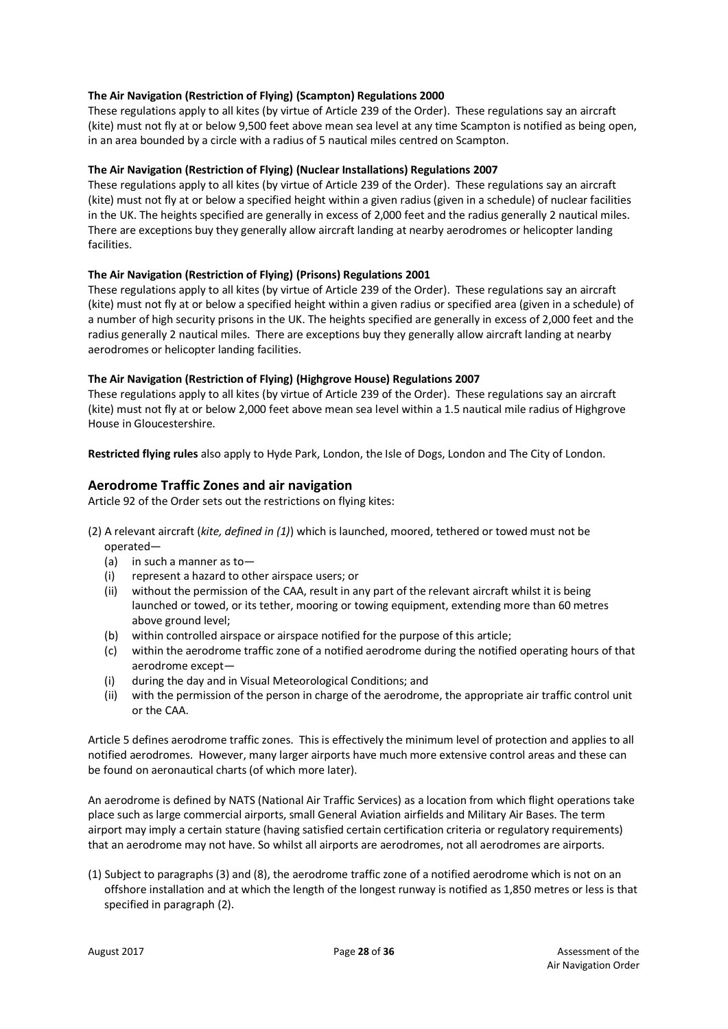### **The Air Navigation (Restriction of Flying) (Scampton) Regulations 2000**

These regulations apply to all kites (by virtue of Article 239 of the Order). These regulations say an aircraft (kite) must not fly at or below 9,500 feet above mean sea level at any time Scampton is notified as being open, in an area bounded by a circle with a radius of 5 nautical miles centred on Scampton.

#### **The Air Navigation (Restriction of Flying) (Nuclear Installations) Regulations 2007**

These regulations apply to all kites (by virtue of Article 239 of the Order). These regulations say an aircraft (kite) must not fly at or below a specified height within a given radius (given in a schedule) of nuclear facilities in the UK. The heights specified are generally in excess of 2,000 feet and the radius generally 2 nautical miles. There are exceptions buy they generally allow aircraft landing at nearby aerodromes or helicopter landing facilities.

#### **The Air Navigation (Restriction of Flying) (Prisons) Regulations 2001**

These regulations apply to all kites (by virtue of Article 239 of the Order). These regulations say an aircraft (kite) must not fly at or below a specified height within a given radius or specified area (given in a schedule) of a number of high security prisons in the UK. The heights specified are generally in excess of 2,000 feet and the radius generally 2 nautical miles. There are exceptions buy they generally allow aircraft landing at nearby aerodromes or helicopter landing facilities.

#### **The Air Navigation (Restriction of Flying) (Highgrove House) Regulations 2007**

These regulations apply to all kites (by virtue of Article 239 of the Order). These regulations say an aircraft (kite) must not fly at or below 2,000 feet above mean sea level within a 1.5 nautical mile radius of Highgrove House in Gloucestershire.

**Restricted flying rules** also apply to Hyde Park, London, the Isle of Dogs, London and The City of London.

# **Aerodrome Traffic Zones and air navigation**

Article 92 of the Order sets out the restrictions on flying kites:

- (2) A relevant aircraft (*kite, defined in (1)*) which is launched, moored, tethered or towed must not be operated—
	- (a) in such a manner as to—
	- (i) represent a hazard to other airspace users; or
	- (ii) without the permission of the CAA, result in any part of the relevant aircraft whilst it is being launched or towed, or its tether, mooring or towing equipment, extending more than 60 metres above ground level;
	- (b) within controlled airspace or airspace notified for the purpose of this article;
	- (c) within the aerodrome traffic zone of a notified aerodrome during the notified operating hours of that aerodrome except—
	- (i) during the day and in Visual Meteorological Conditions; and
	- (ii) with the permission of the person in charge of the aerodrome, the appropriate air traffic control unit or the CAA.

Article 5 defines aerodrome traffic zones. This is effectively the minimum level of protection and applies to all notified aerodromes. However, many larger airports have much more extensive control areas and these can be found on aeronautical charts (of which more later).

An aerodrome is defined by NATS (National Air Traffic Services) as a location from which flight operations take place such as large commercial airports, small General Aviation airfields and Military Air Bases. The term airport may imply a certain stature (having satisfied certain certification criteria or regulatory requirements) that an aerodrome may not have. So whilst all airports are aerodromes, not all aerodromes are airports.

(1) Subject to paragraphs (3) and (8), the aerodrome traffic zone of a notified aerodrome which is not on an offshore installation and at which the length of the longest runway is notified as 1,850 metres or less is that specified in paragraph (2).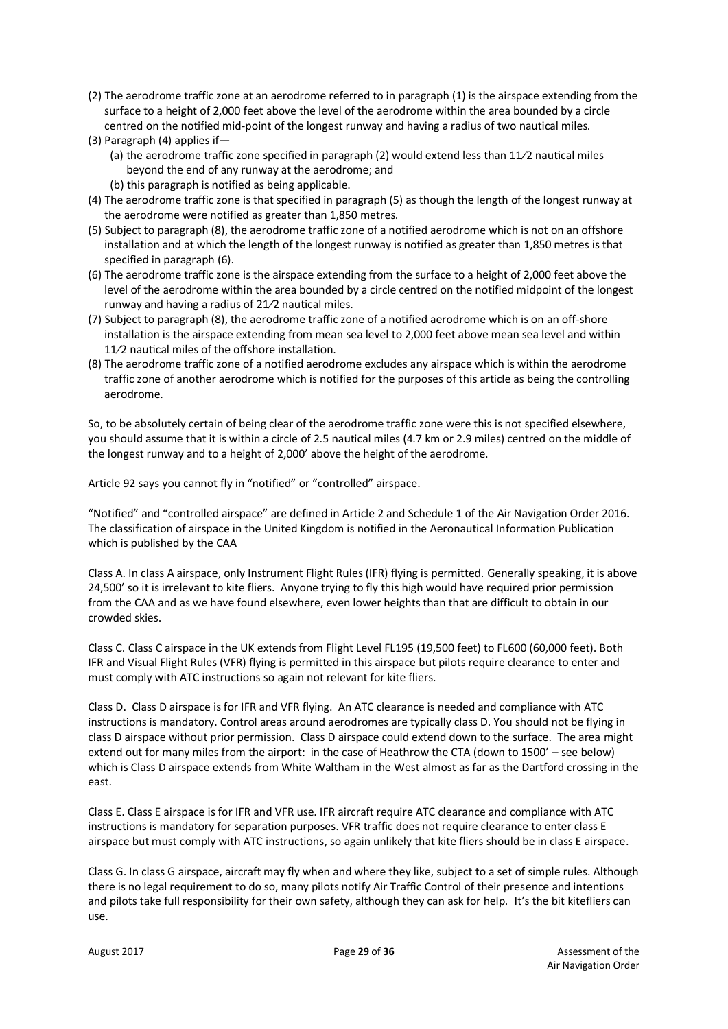- (2) The aerodrome traffic zone at an aerodrome referred to in paragraph (1) is the airspace extending from the surface to a height of 2,000 feet above the level of the aerodrome within the area bounded by a circle centred on the notified mid-point of the longest runway and having a radius of two nautical miles.
- (3) Paragraph (4) applies if—
	- (a) the aerodrome traffic zone specified in paragraph (2) would extend less than 11/2 nautical miles beyond the end of any runway at the aerodrome; and
	- (b) this paragraph is notified as being applicable.
- (4) The aerodrome traffic zone is that specified in paragraph (5) as though the length of the longest runway at the aerodrome were notified as greater than 1,850 metres.
- (5) Subject to paragraph (8), the aerodrome traffic zone of a notified aerodrome which is not on an offshore installation and at which the length of the longest runway is notified as greater than 1,850 metres is that specified in paragraph (6).
- (6) The aerodrome traffic zone is the airspace extending from the surface to a height of 2,000 feet above the level of the aerodrome within the area bounded by a circle centred on the notified midpoint of the longest runway and having a radius of  $21/2$  nautical miles.
- (7) Subject to paragraph (8), the aerodrome traffic zone of a notified aerodrome which is on an off-shore installation is the airspace extending from mean sea level to 2,000 feet above mean sea level and within 11/2 nautical miles of the offshore installation.
- (8) The aerodrome traffic zone of a notified aerodrome excludes any airspace which is within the aerodrome traffic zone of another aerodrome which is notified for the purposes of this article as being the controlling aerodrome.

So, to be absolutely certain of being clear of the aerodrome traffic zone were this is not specified elsewhere, you should assume that it is within a circle of 2.5 nautical miles (4.7 km or 2.9 miles) centred on the middle of the longest runway and to a height of 2,000' above the height of the aerodrome.

Article 92 says you cannot fly in "notified" or "controlled" airspace.

"Notified" and "controlled airspace" are defined in Article 2 and Schedule 1 of the Air Navigation Order 2016. The classification of airspace in the United Kingdom is notified in the Aeronautical Information Publication which is published by the CAA

Class A. In class A airspace, only Instrument Flight Rules (IFR) flying is permitted. Generally speaking, it is above 24,500' so it is irrelevant to kite fliers. Anyone trying to fly this high would have required prior permission from the CAA and as we have found elsewhere, even lower heights than that are difficult to obtain in our crowded skies.

Class C. Class C airspace in the UK extends from Flight Level FL195 (19,500 feet) to FL600 (60,000 feet). Both IFR and Visual Flight Rules (VFR) flying is permitted in this airspace but pilots require clearance to enter and must comply with ATC instructions so again not relevant for kite fliers.

Class D. Class D airspace is for IFR and VFR flying. An ATC clearance is needed and compliance with ATC instructions is mandatory. Control areas around aerodromes are typically class D. You should not be flying in class D airspace without prior permission. Class D airspace could extend down to the surface. The area might extend out for many miles from the airport: in the case of Heathrow the CTA (down to 1500' – see below) which is Class D airspace extends from White Waltham in the West almost as far as the Dartford crossing in the east.

Class E. Class E airspace is for IFR and VFR use. IFR aircraft require ATC clearance and compliance with ATC instructions is mandatory for separation purposes. VFR traffic does not require clearance to enter class E airspace but must comply with ATC instructions, so again unlikely that kite fliers should be in class E airspace.

Class G. In class G airspace, aircraft may fly when and where they like, subject to a set of simple rules. Although there is no legal requirement to do so, many pilots notify Air Traffic Control of their presence and intentions and pilots take full responsibility for their own safety, although they can ask for help. It's the bit kitefliers can use.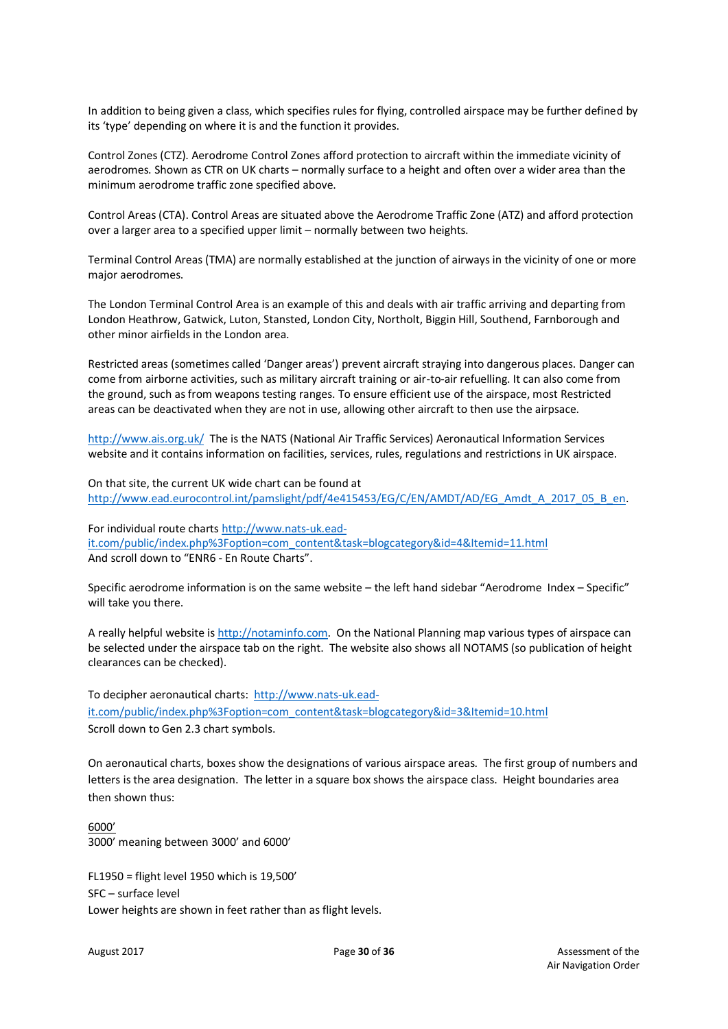In addition to being given a class, which specifies rules for flying, controlled airspace may be further defined by its 'type' depending on where it is and the function it provides.

Control Zones (CTZ). Aerodrome Control Zones afford protection to aircraft within the immediate vicinity of aerodromes. Shown as CTR on UK charts – normally surface to a height and often over a wider area than the minimum aerodrome traffic zone specified above.

Control Areas (CTA). Control Areas are situated above the Aerodrome Traffic Zone (ATZ) and afford protection over a larger area to a specified upper limit – normally between two heights.

Terminal Control Areas (TMA) are normally established at the junction of airways in the vicinity of one or more major aerodromes.

The London Terminal Control Area is an example of this and deals with air traffic arriving and departing from London Heathrow, Gatwick, Luton, Stansted, London City, Northolt, Biggin Hill, Southend, Farnborough and other minor airfields in the London area.

Restricted areas (sometimes called 'Danger areas') prevent aircraft straying into dangerous places. Danger can come from airborne activities, such as military aircraft training or air-to-air refuelling. It can also come from the ground, such as from weapons testing ranges. To ensure efficient use of the airspace, most Restricted areas can be deactivated when they are not in use, allowing other aircraft to then use the airpsace.

http://www.ais.org.uk/ The is the NATS (National Air Traffic Services) Aeronautical Information Services website and it contains information on facilities, services, rules, regulations and restrictions in UK airspace.

On that site, the current UK wide chart can be found at http://www.ead.eurocontrol.int/pamslight/pdf/4e415453/EG/C/EN/AMDT/AD/EG\_Amdt\_A\_2017\_05\_B\_en.

For individual route charts http://www.nats-uk.eadit.com/public/index.php%3Foption=com\_content&task=blogcategory&id=4&Itemid=11.html And scroll down to "ENR6 - En Route Charts".

Specific aerodrome information is on the same website – the left hand sidebar "Aerodrome Index – Specific" will take you there.

A really helpful website is http://notaminfo.com. On the National Planning map various types of airspace can be selected under the airspace tab on the right. The website also shows all NOTAMS (so publication of height clearances can be checked).

To decipher aeronautical charts: http://www.nats-uk.eadit.com/public/index.php%3Foption=com\_content&task=blogcategory&id=3&Itemid=10.html Scroll down to Gen 2.3 chart symbols.

On aeronautical charts, boxes show the designations of various airspace areas. The first group of numbers and letters is the area designation. The letter in a square box shows the airspace class. Height boundaries area then shown thus:

6000' 3000' meaning between 3000' and 6000'

FL1950 = flight level 1950 which is 19,500' SFC – surface level Lower heights are shown in feet rather than as flight levels.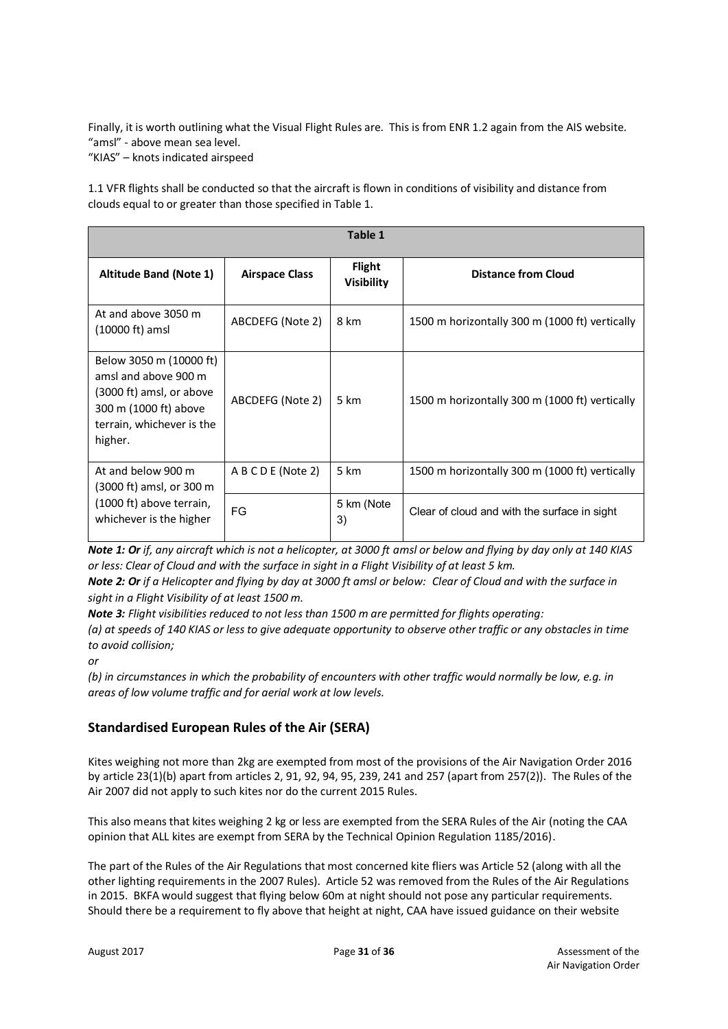Finally, it is worth outlining what the Visual Flight Rules are. This is from ENR 1.2 again from the AIS website. "amsl" - above mean sea level.

"KIAS" – knots indicated airspeed

1.1 VFR flights shall be conducted so that the aircraft is flown in conditions of visibility and distance from clouds equal to or greater than those specified in Table 1.

| Table 1                                                                                                                                      |                       |                                    |                                                |  |  |  |  |  |  |
|----------------------------------------------------------------------------------------------------------------------------------------------|-----------------------|------------------------------------|------------------------------------------------|--|--|--|--|--|--|
| <b>Altitude Band (Note 1)</b>                                                                                                                | <b>Airspace Class</b> | <b>Flight</b><br><b>Visibility</b> | <b>Distance from Cloud</b>                     |  |  |  |  |  |  |
| At and above 3050 m<br>(10000 ft) amsl                                                                                                       | ABCDEFG (Note 2)      | 8 km                               | 1500 m horizontally 300 m (1000 ft) vertically |  |  |  |  |  |  |
| Below 3050 m (10000 ft)<br>amsl and above 900 m<br>(3000 ft) amsl, or above<br>300 m (1000 ft) above<br>terrain, whichever is the<br>higher. | ABCDEFG (Note 2)      | 5 km                               | 1500 m horizontally 300 m (1000 ft) vertically |  |  |  |  |  |  |
| At and below 900 m<br>$(3000 \text{ ft})$ amsl, or 300 m                                                                                     | A B C D E (Note 2)    | 5 km                               | 1500 m horizontally 300 m (1000 ft) vertically |  |  |  |  |  |  |
| (1000 ft) above terrain,<br>whichever is the higher                                                                                          | <b>FG</b>             | 5 km (Note<br>3)                   | Clear of cloud and with the surface in sight   |  |  |  |  |  |  |

*Note 1: Or if, any aircraft which is not a helicopter, at 3000 ft amsl or below and flying by day only at 140 KIAS or less: Clear of Cloud and with the surface in sight in a Flight Visibility of at least 5 km.*

*Note 2: Or if a Helicopter and flying by day at 3000 ft amsl or below: Clear of Cloud and with the surface in sight in a Flight Visibility of at least 1500 m.* 

*Note 3: Flight visibilities reduced to not less than 1500 m are permitted for flights operating:*

*(a) at speeds of 140 KIAS or less to give adequate opportunity to observe other traffic or any obstacles in time to avoid collision;* 

*or* 

*(b) in circumstances in which the probability of encounters with other traffic would normally be low, e.g. in areas of low volume traffic and for aerial work at low levels.*

# **Standardised European Rules of the Air (SERA)**

Kites weighing not more than 2kg are exempted from most of the provisions of the Air Navigation Order 2016 by article 23(1)(b) apart from articles 2, 91, 92, 94, 95, 239, 241 and 257 (apart from 257(2)). The Rules of the Air 2007 did not apply to such kites nor do the current 2015 Rules.

This also means that kites weighing 2 kg or less are exempted from the SERA Rules of the Air (noting the CAA opinion that ALL kites are exempt from SERA by the Technical Opinion Regulation 1185/2016).

The part of the Rules of the Air Regulations that most concerned kite fliers was Article 52 (along with all the other lighting requirements in the 2007 Rules). Article 52 was removed from the Rules of the Air Regulations in 2015. BKFA would suggest that flying below 60m at night should not pose any particular requirements. Should there be a requirement to fly above that height at night, CAA have issued guidance on their website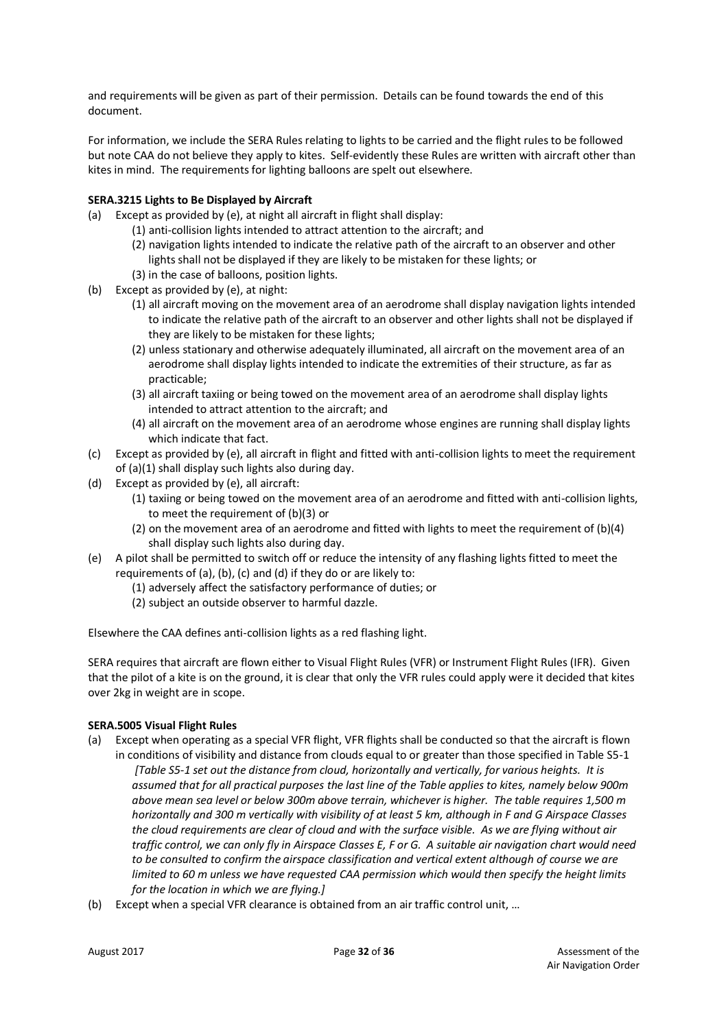and requirements will be given as part of their permission. Details can be found towards the end of this document.

For information, we include the SERA Rules relating to lights to be carried and the flight rules to be followed but note CAA do not believe they apply to kites. Self-evidently these Rules are written with aircraft other than kites in mind. The requirements for lighting balloons are spelt out elsewhere.

### **SERA.3215 Lights to Be Displayed by Aircraft**

- (a) Except as provided by (e), at night all aircraft in flight shall display:
	- (1) anti-collision lights intended to attract attention to the aircraft; and
	- (2) navigation lights intended to indicate the relative path of the aircraft to an observer and other lights shall not be displayed if they are likely to be mistaken for these lights; or
	- (3) in the case of balloons, position lights.
- (b) Except as provided by (e), at night:
	- (1) all aircraft moving on the movement area of an aerodrome shall display navigation lights intended to indicate the relative path of the aircraft to an observer and other lights shall not be displayed if they are likely to be mistaken for these lights;
	- (2) unless stationary and otherwise adequately illuminated, all aircraft on the movement area of an aerodrome shall display lights intended to indicate the extremities of their structure, as far as practicable;
	- (3) all aircraft taxiing or being towed on the movement area of an aerodrome shall display lights intended to attract attention to the aircraft; and
	- (4) all aircraft on the movement area of an aerodrome whose engines are running shall display lights which indicate that fact.
- (c) Except as provided by (e), all aircraft in flight and fitted with anti-collision lights to meet the requirement of (a)(1) shall display such lights also during day.
- (d) Except as provided by (e), all aircraft:
	- (1) taxiing or being towed on the movement area of an aerodrome and fitted with anti-collision lights, to meet the requirement of (b)(3) or
	- (2) on the movement area of an aerodrome and fitted with lights to meet the requirement of (b)(4) shall display such lights also during day.
- (e) A pilot shall be permitted to switch off or reduce the intensity of any flashing lights fitted to meet the requirements of (a), (b), (c) and (d) if they do or are likely to:
	- (1) adversely affect the satisfactory performance of duties; or
	- (2) subject an outside observer to harmful dazzle.

Elsewhere the CAA defines anti-collision lights as a red flashing light.

SERA requires that aircraft are flown either to Visual Flight Rules (VFR) or Instrument Flight Rules (IFR). Given that the pilot of a kite is on the ground, it is clear that only the VFR rules could apply were it decided that kites over 2kg in weight are in scope.

#### **SERA.5005 Visual Flight Rules**

- (a) Except when operating as a special VFR flight, VFR flights shall be conducted so that the aircraft is flown in conditions of visibility and distance from clouds equal to or greater than those specified in Table S5-1
	- *[Table S5-1 set out the distance from cloud, horizontally and vertically, for various heights. It is assumed that for all practical purposes the last line of the Table applies to kites, namely below 900m above mean sea level or below 300m above terrain, whichever is higher. The table requires 1,500 m horizontally and 300 m vertically with visibility of at least 5 km, although in F and G Airspace Classes the cloud requirements are clear of cloud and with the surface visible. As we are flying without air traffic control, we can only fly in Airspace Classes E, F or G. A suitable air navigation chart would need to be consulted to confirm the airspace classification and vertical extent although of course we are limited to 60 m unless we have requested CAA permission which would then specify the height limits for the location in which we are flying.]*
- (b) Except when a special VFR clearance is obtained from an air traffic control unit, …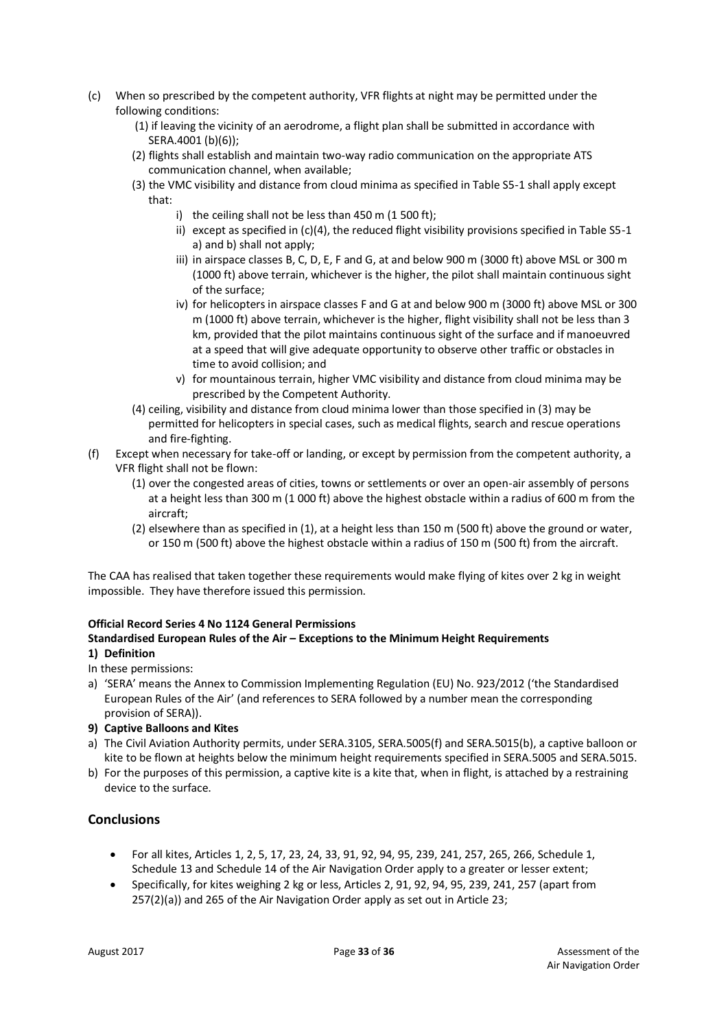- (c) When so prescribed by the competent authority, VFR flights at night may be permitted under the following conditions:
	- (1) if leaving the vicinity of an aerodrome, a flight plan shall be submitted in accordance with SERA.4001 (b)(6));
	- (2) flights shall establish and maintain two-way radio communication on the appropriate ATS communication channel, when available;
	- (3) the VMC visibility and distance from cloud minima as specified in Table S5-1 shall apply except that:
		- i) the ceiling shall not be less than 450 m (1 500 ft);
		- ii) except as specified in (c)(4), the reduced flight visibility provisions specified in Table S5-1 a) and b) shall not apply;
		- iii) in airspace classes B, C, D, E, F and G, at and below 900 m (3000 ft) above MSL or 300 m (1000 ft) above terrain, whichever is the higher, the pilot shall maintain continuous sight of the surface;
		- iv) for helicopters in airspace classes F and G at and below 900 m (3000 ft) above MSL or 300 m (1000 ft) above terrain, whichever is the higher, flight visibility shall not be less than 3 km, provided that the pilot maintains continuous sight of the surface and if manoeuvred at a speed that will give adequate opportunity to observe other traffic or obstacles in time to avoid collision; and
		- v) for mountainous terrain, higher VMC visibility and distance from cloud minima may be prescribed by the Competent Authority.
	- (4) ceiling, visibility and distance from cloud minima lower than those specified in (3) may be permitted for helicopters in special cases, such as medical flights, search and rescue operations and fire-fighting.
- (f) Except when necessary for take-off or landing, or except by permission from the competent authority, a VFR flight shall not be flown:
	- (1) over the congested areas of cities, towns or settlements or over an open-air assembly of persons at a height less than 300 m (1 000 ft) above the highest obstacle within a radius of 600 m from the aircraft;
	- (2) elsewhere than as specified in (1), at a height less than 150 m (500 ft) above the ground or water, or 150 m (500 ft) above the highest obstacle within a radius of 150 m (500 ft) from the aircraft.

The CAA has realised that taken together these requirements would make flying of kites over 2 kg in weight impossible. They have therefore issued this permission.

# **Official Record Series 4 No 1124 General Permissions**

# **Standardised European Rules of the Air – Exceptions to the Minimum Height Requirements**

# **1) Definition**

- In these permissions:
- a) 'SERA' means the Annex to Commission Implementing Regulation (EU) No. 923/2012 ('the Standardised European Rules of the Air' (and references to SERA followed by a number mean the corresponding provision of SERA)).
- **9) Captive Balloons and Kites**
- a) The Civil Aviation Authority permits, under SERA.3105, SERA.5005(f) and SERA.5015(b), a captive balloon or kite to be flown at heights below the minimum height requirements specified in SERA.5005 and SERA.5015.
- b) For the purposes of this permission, a captive kite is a kite that, when in flight, is attached by a restraining device to the surface.

# **Conclusions**

- For all kites, Articles 1, 2, 5, 17, 23, 24, 33, 91, 92, 94, 95, 239, 241, 257, 265, 266, Schedule 1, Schedule 13 and Schedule 14 of the Air Navigation Order apply to a greater or lesser extent;
- Specifically, for kites weighing 2 kg or less, Articles 2, 91, 92, 94, 95, 239, 241, 257 (apart from 257(2)(a)) and 265 of the Air Navigation Order apply as set out in Article 23;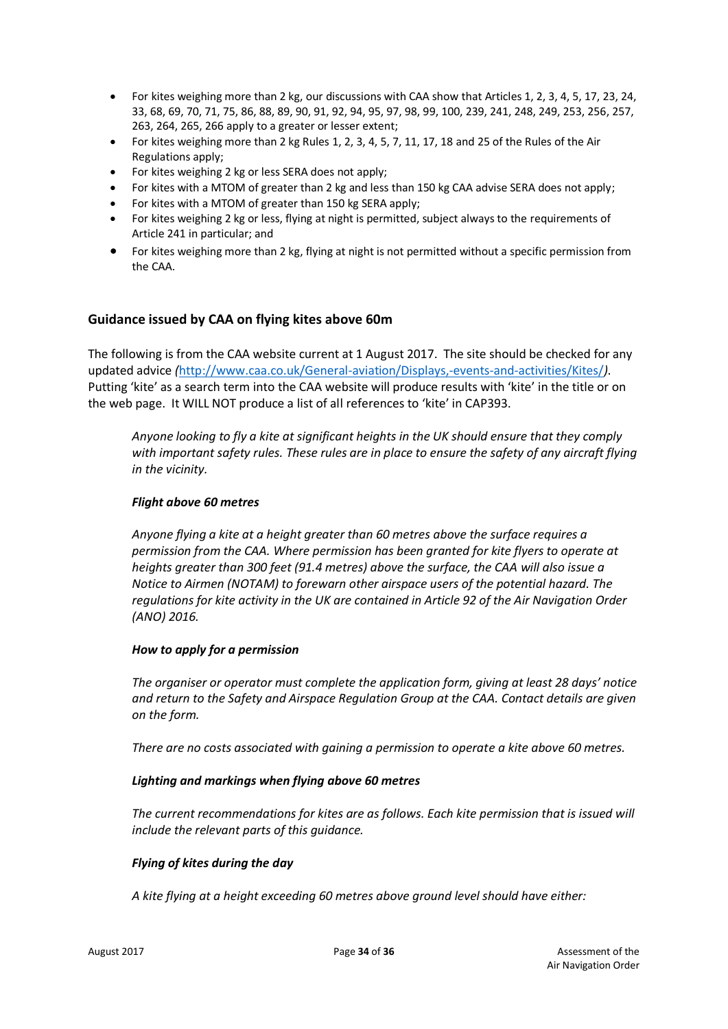- For kites weighing more than 2 kg, our discussions with CAA show that Articles 1, 2, 3, 4, 5, 17, 23, 24, 33, 68, 69, 70, 71, 75, 86, 88, 89, 90, 91, 92, 94, 95, 97, 98, 99, 100, 239, 241, 248, 249, 253, 256, 257, 263, 264, 265, 266 apply to a greater or lesser extent;
- For kites weighing more than 2 kg Rules 1, 2, 3, 4, 5, 7, 11, 17, 18 and 25 of the Rules of the Air Regulations apply;
- For kites weighing 2 kg or less SERA does not apply;
- For kites with a MTOM of greater than 2 kg and less than 150 kg CAA advise SERA does not apply;
- For kites with a MTOM of greater than 150 kg SERA apply;
- For kites weighing 2 kg or less, flying at night is permitted, subject always to the requirements of Article 241 in particular; and
- For kites weighing more than 2 kg, flying at night is not permitted without a specific permission from the CAA.

# **Guidance issued by CAA on flying kites above 60m**

The following is from the CAA website current at 1 August 2017. The site should be checked for any updated advice *(*http://www.caa.co.uk/General-aviation/Displays,-events-and-activities/Kites/*)*. Putting 'kite' as a search term into the CAA website will produce results with 'kite' in the title or on the web page. It WILL NOT produce a list of all references to 'kite' in CAP393.

*Anyone looking to fly a kite at significant heights in the UK should ensure that they comply with important safety rules. These rules are in place to ensure the safety of any aircraft flying in the vicinity.*

# *Flight above 60 metres*

*Anyone flying a kite at a height greater than 60 metres above the surface requires a permission from the CAA. Where permission has been granted for kite flyers to operate at heights greater than 300 feet (91.4 metres) above the surface, the CAA will also issue a Notice to Airmen (NOTAM) to forewarn other airspace users of the potential hazard. The regulations for kite activity in the UK are contained in Article 92 of the Air Navigation Order (ANO) 2016.*

# *How to apply for a permission*

*The organiser or operator must complete the application form, giving at least 28 days' notice and return to the Safety and Airspace Regulation Group at the CAA. Contact details are given on the form.*

*There are no costs associated with gaining a permission to operate a kite above 60 metres.*

# *Lighting and markings when flying above 60 metres*

*The current recommendations for kites are as follows. Each kite permission that is issued will include the relevant parts of this guidance.*

# *Flying of kites during the day*

*A kite flying at a height exceeding 60 metres above ground level should have either:*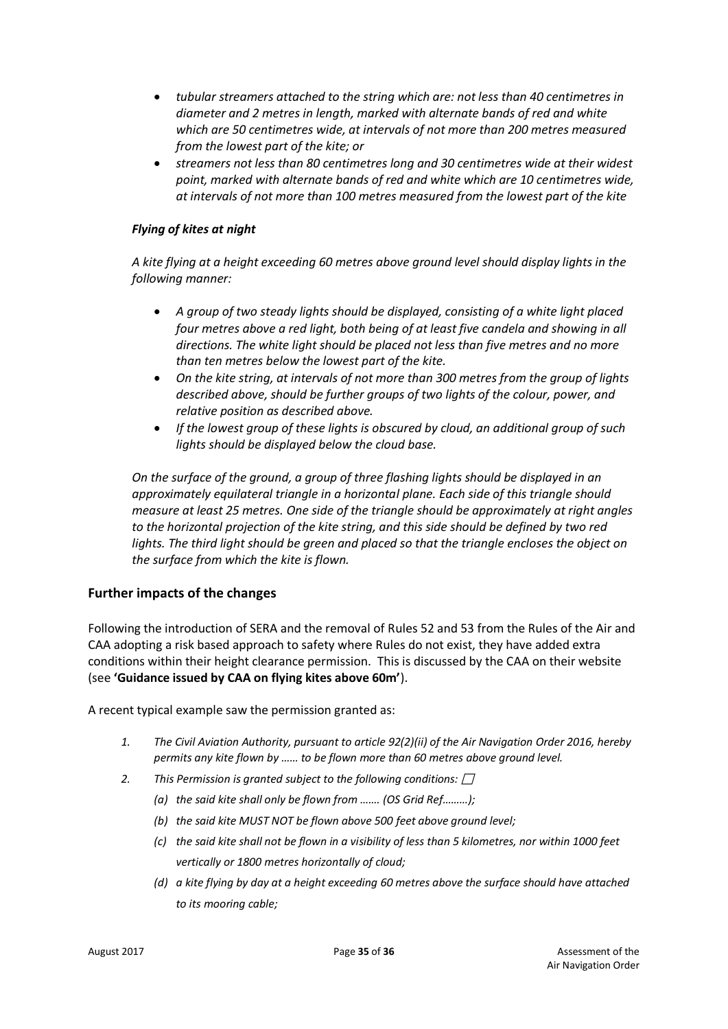- *tubular streamers attached to the string which are: not less than 40 centimetres in diameter and 2 metres in length, marked with alternate bands of red and white which are 50 centimetres wide, at intervals of not more than 200 metres measured from the lowest part of the kite; or*
- *streamers not less than 80 centimetres long and 30 centimetres wide at their widest point, marked with alternate bands of red and white which are 10 centimetres wide, at intervals of not more than 100 metres measured from the lowest part of the kite*

# *Flying of kites at night*

*A kite flying at a height exceeding 60 metres above ground level should display lights in the following manner:*

- *A group of two steady lights should be displayed, consisting of a white light placed*  four metres above a red light, both being of at least five candela and showing in all *directions. The white light should be placed not less than five metres and no more than ten metres below the lowest part of the kite.*
- *On the kite string, at intervals of not more than 300 metres from the group of lights described above, should be further groups of two lights of the colour, power, and relative position as described above.*
- *If the lowest group of these lights is obscured by cloud, an additional group of such lights should be displayed below the cloud base.*

*On the surface of the ground, a group of three flashing lights should be displayed in an approximately equilateral triangle in a horizontal plane. Each side of this triangle should measure at least 25 metres. One side of the triangle should be approximately at right angles to the horizontal projection of the kite string, and this side should be defined by two red*  lights. The third light should be green and placed so that the triangle encloses the object on *the surface from which the kite is flown.*

# **Further impacts of the changes**

Following the introduction of SERA and the removal of Rules 52 and 53 from the Rules of the Air and CAA adopting a risk based approach to safety where Rules do not exist, they have added extra conditions within their height clearance permission. This is discussed by the CAA on their website (see **'Guidance issued by CAA on flying kites above 60m'**).

A recent typical example saw the permission granted as:

- *1. The Civil Aviation Authority, pursuant to article 92(2)(ii) of the Air Navigation Order 2016, hereby permits any kite flown by …… to be flown more than 60 metres above ground level.*
- *2. This Permission is granted subject to the following conditions:* 
	- *(a) the said kite shall only be flown from ……. (OS Grid Ref………);*
	- *(b) the said kite MUST NOT be flown above 500 feet above ground level;*
	- *(c) the said kite shall not be flown in a visibility of less than 5 kilometres, nor within 1000 feet vertically or 1800 metres horizontally of cloud;*
	- *(d) a kite flying by day at a height exceeding 60 metres above the surface should have attached to its mooring cable;*